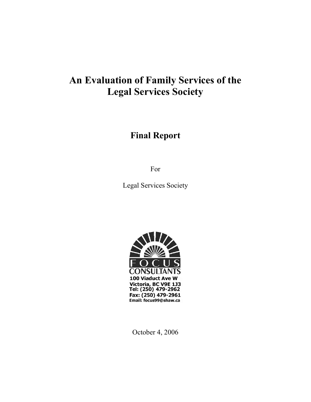# **An Evaluation of Family Services of the Legal Services Society**

# **Final Report**

For

Legal Services Society



October 4, 2006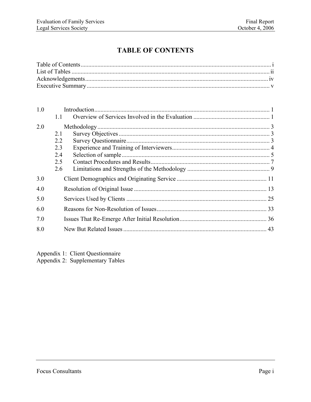# **TABLE OF CONTENTS**

| 1.0 |     |  |
|-----|-----|--|
|     | 11  |  |
| 2.0 |     |  |
|     | 2.1 |  |
|     | 2.2 |  |
|     | 2.3 |  |
|     | 2.4 |  |
|     | 2.5 |  |
|     | 2.6 |  |
| 3.0 |     |  |
| 4.0 |     |  |
| 5.0 |     |  |
| 6.0 |     |  |
| 7.0 |     |  |
| 8.0 |     |  |

Appendix 1: Client Questionnaire

Appendix 2: Supplementary Tables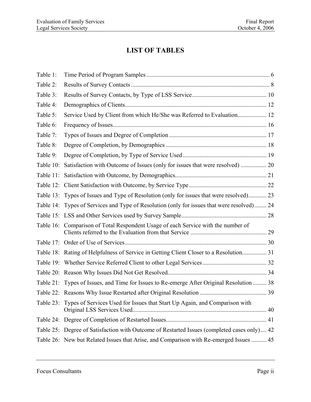# **LIST OF TABLES**

| Table 1:  |                                                                                             |  |
|-----------|---------------------------------------------------------------------------------------------|--|
| Table 2:  |                                                                                             |  |
| Table 3:  |                                                                                             |  |
| Table 4:  |                                                                                             |  |
| Table 5:  | Service Used by Client from which He/She was Referred to Evaluation 12                      |  |
| Table 6:  |                                                                                             |  |
| Table 7:  |                                                                                             |  |
| Table 8:  |                                                                                             |  |
| Table 9:  |                                                                                             |  |
| Table 10: | Satisfaction with Outcome of Issues (only for issues that were resolved)  20                |  |
| Table 11: |                                                                                             |  |
| Table 12: |                                                                                             |  |
|           | Table 13: Types of Issues and Type of Resolution (only for issues that were resolved) 23    |  |
|           | Table 14: Types of Services and Type of Resolution (only for issues that were resolved) 24  |  |
|           |                                                                                             |  |
| Table 16: | Comparison of Total Respondent Usage of each Service with the number of                     |  |
|           |                                                                                             |  |
|           | Table 18: Rating of Helpfulness of Service in Getting Client Closer to a Resolution 31      |  |
|           |                                                                                             |  |
|           |                                                                                             |  |
|           | Table 21: Types of Issues, and Time for Issues to Re-emerge After Original Resolution  38   |  |
|           |                                                                                             |  |
|           | Table 23: Types of Services Used for Issues that Start Up Again, and Comparison with        |  |
|           |                                                                                             |  |
|           | Table 25: Degree of Satisfaction with Outcome of Restarted Issues (completed cases only) 42 |  |
|           | Table 26: New but Related Issues that Arise, and Comparison with Re-emerged Issues  45      |  |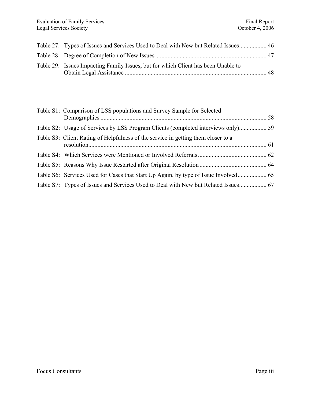| Table 27: Types of Issues and Services Used to Deal with New but Related Issues 46 |  |
|------------------------------------------------------------------------------------|--|
|                                                                                    |  |
| Table 29: Issues Impacting Family Issues, but for which Client has been Unable to  |  |

| Table S1: Comparison of LSS populations and Survey Sample for Selected            |  |
|-----------------------------------------------------------------------------------|--|
|                                                                                   |  |
|                                                                                   |  |
| Table S3: Client Rating of Helpfulness of the service in getting them closer to a |  |
|                                                                                   |  |
|                                                                                   |  |
|                                                                                   |  |
|                                                                                   |  |
|                                                                                   |  |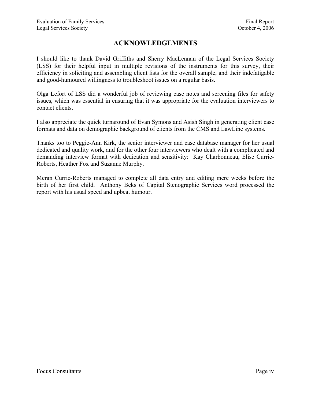# **ACKNOWLEDGEMENTS**

I should like to thank David Griffiths and Sherry MacLennan of the Legal Services Society (LSS) for their helpful input in multiple revisions of the instruments for this survey, their efficiency in soliciting and assembling client lists for the overall sample, and their indefatigable and good-humoured willingness to troubleshoot issues on a regular basis.

Olga Lefort of LSS did a wonderful job of reviewing case notes and screening files for safety issues, which was essential in ensuring that it was appropriate for the evaluation interviewers to contact clients.

I also appreciate the quick turnaround of Evan Symons and Asish Singh in generating client case formats and data on demographic background of clients from the CMS and LawLine systems.

Thanks too to Peggie-Ann Kirk, the senior interviewer and case database manager for her usual dedicated and quality work, and for the other four interviewers who dealt with a complicated and demanding interview format with dedication and sensitivity: Kay Charbonneau, Elise Currie-Roberts, Heather Fox and Suzanne Murphy.

Meran Currie-Roberts managed to complete all data entry and editing mere weeks before the birth of her first child. Anthony Beks of Capital Stenographic Services word processed the report with his usual speed and upbeat humour.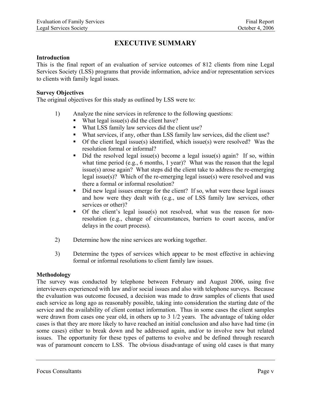# **EXECUTIVE SUMMARY**

#### **Introduction**

This is the final report of an evaluation of service outcomes of 812 clients from nine Legal Services Society (LSS) programs that provide information, advice and/or representation services to clients with family legal issues.

#### **Survey Objectives**

The original objectives for this study as outlined by LSS were to:

- 1) Analyze the nine services in reference to the following questions:
	- What legal issue(s) did the client have?
	- What LSS family law services did the client use?
	- What services, if any, other than LSS family law services, did the client use?
	- Of the client legal issue(s) identified, which issue(s) were resolved? Was the resolution formal or informal?
	- Did the resolved legal issue(s) become a legal issue(s) again? If so, within what time period (e.g., 6 months, 1 year)? What was the reason that the legal issue(s) arose again? What steps did the client take to address the re-emerging legal issue(s)? Which of the re-emerging legal issue(s) were resolved and was there a formal or informal resolution?
	- Did new legal issues emerge for the client? If so, what were these legal issues and how were they dealt with (e.g., use of LSS family law services, other services or other)?
	- Of the client's legal issue(s) not resolved, what was the reason for nonresolution (e.g., change of circumstances, barriers to court access, and/or delays in the court process).
- 2) Determine how the nine services are working together.
- 3) Determine the types of services which appear to be most effective in achieving formal or informal resolutions to client family law issues.

#### **Methodology**

The survey was conducted by telephone between February and August 2006, using five interviewers experienced with law and/or social issues and also with telephone surveys. Because the evaluation was outcome focused, a decision was made to draw samples of clients that used each service as long ago as reasonably possible, taking into consideration the starting date of the service and the availability of client contact information. Thus in some cases the client samples were drawn from cases one year old, in others up to 3 1/2 years. The advantage of taking older cases is that they are more likely to have reached an initial conclusion and also have had time (in some cases) either to break down and be addressed again, and/or to involve new but related issues. The opportunity for these types of patterns to evolve and be defined through research was of paramount concern to LSS. The obvious disadvantage of using old cases is that many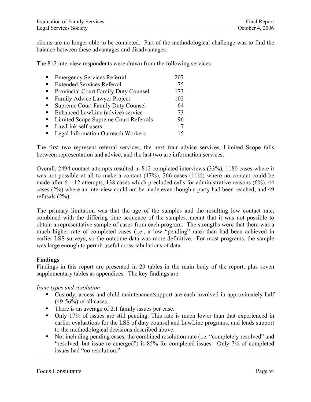clients are no longer able to be contacted. Part of the methodological challenge was to find the balance between these advantages and disadvantages.

The 812 interview respondents were drawn from the following services:

| $\blacksquare$ | <b>Emergency Services Referral</b>        | 207 |
|----------------|-------------------------------------------|-----|
|                | <b>Extended Services Referral</b>         | 75  |
| $\blacksquare$ | Provincial Court Family Duty Counsel      | 173 |
| $\blacksquare$ | Family Advice Lawyer Project              | 102 |
| $\blacksquare$ | <b>Supreme Court Family Duty Counsel</b>  | 64  |
| $\blacksquare$ | Enhanced LawLine (advice) service         | 73  |
|                | Limited Scope Supreme Court Referrals     | 96  |
|                | LawLink self-users                        |     |
|                | <b>Legal Information Outreach Workers</b> |     |

The first two represent referral services, the next four advice services, Limited Scope falls between representation and advice, and the last two are information services.

Overall, 2494 contact attempts resulted in 812 completed interviews (33%), 1180 cases where it was not possible at all to make a contact  $(47%)$ , 266 cases  $(11%)$  where no contact could be made after  $6 - 12$  attempts, 138 cases which precluded calls for administrative reasons (6%), 44 cases (2%) where an interview could not be made even though a party had been reached, and 49 refusals (2%).

The primary limitation was that the age of the samples and the resulting low contact rate, combined with the differing time sequence of the samples, meant that it was not possible to obtain a representative sample of cases from each program. The strengths were that there was a much higher rate of completed cases (i.e., a low "pending" rate) than had been achieved in earlier LSS surveys, so the outcome data was more definitive. For most programs, the sample was large enough to permit useful cross-tabulations of data.

#### **Findings**

Findings in this report are presented in 29 tables in the main body of the report, plus seven supplementary tables as appendices. The key findings are:

*Issue types and resolution* 

- Custody, access and child maintenance/support are each involved in approximately half (49-56%) of all cases.
- There is an average of 2.1 family issues per case.
- Only 17% of issues are still pending. This rate is much lower than that experienced in earlier evaluations for the LSS of duty counsel and LawLine programs, and lends support to the methodological decisions described above.
- Not including pending cases, the combined resolution rate (i.e. "completely resolved" and "resolved, but issue re-emerged") is 85% for completed issues. Only 7% of completed issues had "no resolution."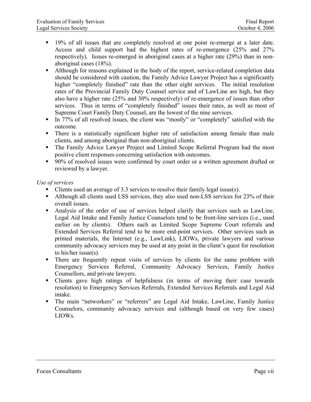- 19% of all issues that are completely resolved at one point re-emerge at a later date. Access and child support had the highest rates of re-emergence (25% and 27% respectively). Issues re-emerged in aboriginal cases at a higher rate (29%) than in nonaboriginal cases (18%).
- Although for reasons explained in the body of the report, service-related completion data should be considered with caution, the Family Advice Lawyer Project has a significantly higher "completely finished" rate than the other eight services. The initial resolution rates of the Provincial Family Duty Counsel service and of LawLine are high, but they also have a higher rate (25% and 30% respectively) of re-emergence of issues than other services. Thus in terms of "completely finished" issues their rates, as well as most of Supreme Court Family Duty Counsel, are the lowest of the nine services.
- In 77% of all resolved issues, the client was "mostly" or "completely" satisfied with the outcome.
- There is a statistically significant higher rate of satisfaction among female than male clients, and among aboriginal than non-aboriginal clients.
- The Family Advice Lawyer Project and Limited Scope Referral Program had the most positive client responses concerning satisfaction with outcomes.
- 90% of resolved issues were confirmed by court order or a written agreement drafted or reviewed by a lawyer.

#### *Use of services*

- Clients used an average of 3.3 services to resolve their family legal issue(s).
- Although all clients used LSS services, they also used non-LSS services for 23% of their overall issues.
- Analysis of the order of use of services helped clarify that services such as LawLine, Legal Aid Intake and Family Justice Counselors tend to be front-line services (i.e., used earlier on by clients). Others such as Limited Scope Supreme Court referrals and Extended Services Referral tend to be more end-point services. Other services such as printed materials, the Internet (e.g., LawLink), LIOWs, private lawyers and various community advocacy services may be used at any point in the client's quest for resolution to his/her issue(s).
- There are frequently repeat visits of services by clients for the same problem with Emergency Services Referral, Community Advocacy Services, Family Justice Counsellors, and private lawyers.
- Clients gave high ratings of helpfulness (in terms of moving their case towards resolution) to Emergency Services Referrals, Extended Services Referrals and Legal Aid intake.
- The main "networkers" or "referrers" are Legal Aid Intake, LawLine, Family Justice Counselors, community advocacy services and (although based on very few cases) LIOWs.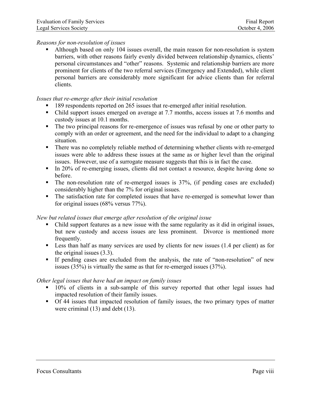#### *Reasons for non-resolution of issues*

 Although based on only 104 issues overall, the main reason for non-resolution is system barriers, with other reasons fairly evenly divided between relationship dynamics, clients' personal circumstances and "other" reasons. Systemic and relationship barriers are more prominent for clients of the two referral services (Emergency and Extended), while client personal barriers are considerably more significant for advice clients than for referral clients.

#### *Issues that re-emerge after their initial resolution*

- 189 respondents reported on 265 issues that re-emerged after initial resolution.
- Child support issues emerged on average at 7.7 months, access issues at 7.6 months and custody issues at 10.1 months.
- The two principal reasons for re-emergence of issues was refusal by one or other party to comply with an order or agreement, and the need for the individual to adapt to a changing situation.
- There was no completely reliable method of determining whether clients with re-emerged issues were able to address these issues at the same as or higher level than the original issues. However, use of a surrogate measure suggests that this is in fact the case.
- In 20% of re-emerging issues, clients did not contact a resource, despite having done so before.
- The non-resolution rate of re-emerged issues is 37%, (if pending cases are excluded) considerably higher than the 7% for original issues.
- The satisfaction rate for completed issues that have re-emerged is somewhat lower than for original issues (68% versus 77%).

#### *New but related issues that emerge after resolution of the original issue*

- Child support features as a new issue with the same regularity as it did in original issues, but new custody and access issues are less prominent. Divorce is mentioned more frequently.
- Less than half as many services are used by clients for new issues (1.4 per client) as for the original issues (3.3).
- If pending cases are excluded from the analysis, the rate of "non-resolution" of new issues (35%) is virtually the same as that for re-emerged issues (37%).

#### *Other legal issues that have had an impact on family issues*

- <sup>10%</sup> of clients in a sub-sample of this survey reported that other legal issues had impacted resolution of their family issues.
- Of 44 issues that impacted resolution of family issues, the two primary types of matter were criminal (13) and debt (13).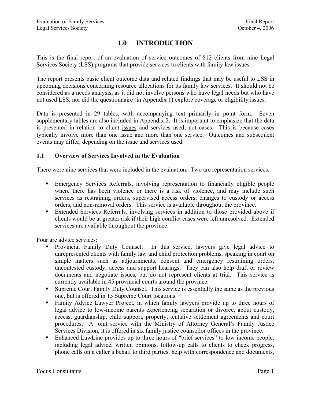# **1.0 INTRODUCTION**

<span id="page-9-0"></span>This is the final report of an evaluation of service outcomes of 812 clients from nine Legal Services Society (LSS) programs that provide services to clients with family law issues.

The report presents basic client outcome data and related findings that may be useful to LSS in upcoming decisions concerning resource allocations for its family law services. It should not be considered as a needs analysis, as it did not involve persons who have legal needs but who have not used LSS, nor did the questionnaire (in Appendix 1) explore coverage or eligibility issues.

Data is presented in 29 tables, with accompanying text primarily in point form. Seven supplementary tables are also included in Appendix 2. It is important to emphasize that the data is presented in relation to client issues and services used, not cases. This is because cases typically involve more than one issue and more than one service. Outcomes and subsequent events may differ, depending on the issue and services used.

#### **1.1 Overview of Services Involved in the Evaluation**

There were nine services that were included in the evaluation. Two are representation services:

- Emergency Services Referrals, involving representation to financially eligible people where there has been violence or there is a risk of violence, and may include such services as restraining orders, supervised access orders, changes to custody or access orders, and non-removal orders. This service is available throughout the province.
- Extended Services Referrals, involving services in addition to those provided above if clients would be at greater risk if their high conflict cases were left unresolved. Extended services are available throughout the province.

Four are advice services:

- Provincial Family Duty Counsel. In this service, lawyers give legal advice to unrepresented clients with family law and child protection problems, speaking in court on simple matters such as adjournments, consent and emergency restraining orders, uncontested custody, access and support hearings. They can also help draft or review documents and negotiate issues, but do not represent clients at trial. This service is currently available in 45 provincial courts around the province.
- Supreme Court Family Duty Counsel. This service is essentially the same as the previous one, but is offered in 15 Supreme Court locations.
- Family Advice Lawyer Project, in which family lawyers provide up to three hours of legal advice to low-income parents experiencing separation or divorce, about custody, access, guardianship, child support, property, tentative settlement agreements and court procedures. A joint service with the Ministry of Attorney General's Family Justice Services Division, it is offered in six family justice counsellor offices in the province.
- Enhanced LawLine provides up to three hours of "brief services" to low income people, including legal advice, written opinions, follow-up calls to clients to check progress, phone calls on a caller's behalf to third parties, help with correspondence and documents,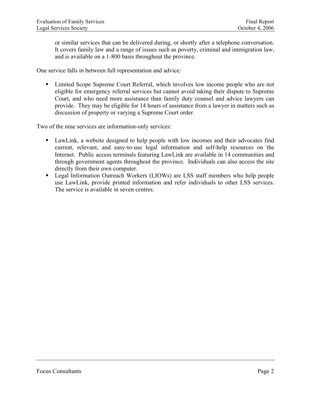or similar services that can be delivered during, or shortly after a telephone conversation. It covers family law and a range of issues such as poverty, criminal and immigration law, and is available on a 1-800 basis throughout the province.

One service falls in between full representation and advice:

 Limited Scope Supreme Court Referral, which involves low income people who are not eligible for emergency referral services but cannot avoid taking their dispute to Supreme Court, and who need more assistance than family duty counsel and advice lawyers can provide. They may be eligible for 14 hours of assistance from a lawyer in matters such as discussion of property or varying a Supreme Court order.

Two of the nine services are information-only services:

- LawLink, a website designed to help people with low incomes and their advocates find current, relevant, and easy-to-use legal information and self-help resources on the Internet. Public access terminals featuring LawLink are available in 14 communities and through government agents throughout the province. Individuals can also access the site directly from their own computer.
- Legal Information Outreach Workers (LIOWs) are LSS staff members who help people use LawLink, provide printed information and refer individuals to other LSS services. The service is available in seven centres.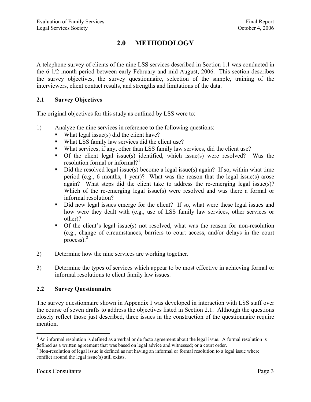# **2.0 METHODOLOGY**

<span id="page-11-0"></span>A telephone survey of clients of the nine LSS services described in Section 1.1 was conducted in the 6 1/2 month period between early February and mid-August, 2006. This section describes the survey objectives, the survey questionnaire, selection of the sample, training of the interviewers, client contact results, and strengths and limitations of the data.

#### **2.1 Survey Objectives**

The original objectives for this study as outlined by LSS were to:

- 1) Analyze the nine services in reference to the following questions:
	- What legal issue(s) did the client have?
	- What LSS family law services did the client use?
	- What services, if any, other than LSS family law services, did the client use?
	- Of the client legal issue(s) identified, which issue(s) were resolved? Was the resolution formal or informal?<sup>[1](#page-11-0)</sup>
	- Did the resolved legal issue(s) become a legal issue(s) again? If so, within what time period (e.g., 6 months, 1 year)? What was the reason that the legal issue(s) arose again? What steps did the client take to address the re-emerging legal issue(s)? Which of the re-emerging legal issue(s) were resolved and was there a formal or informal resolution?
	- Did new legal issues emerge for the client? If so, what were these legal issues and how were they dealt with (e.g., use of LSS family law services, other services or other)?
	- Of the client's legal issue(s) not resolved, what was the reason for non-resolution (e.g., change of circumstances, barriers to court access, and/or delays in the court process). $2$
- 2) Determine how the nine services are working together.
- 3) Determine the types of services which appear to be most effective in achieving formal or informal resolutions to client family law issues.

#### **2.2 Survey Questionnaire**

The survey questionnaire shown in Appendix I was developed in interaction with LSS staff over the course of seven drafts to address the objectives listed in Section 2.1. Although the questions closely reflect those just described, three issues in the construction of the questionnaire require mention.

1

 $<sup>1</sup>$  An informal resolution is defined as a verbal or de facto agreement about the legal issue. A formal resolution is</sup> defined as a written agreement that was based on legal advice and witnessed; or a court order. 2

<sup>&</sup>lt;sup>2</sup> Non-resolution of legal issue is defined as not having an informal or formal resolution to a legal issue where conflict around the legal issue(s) still exists.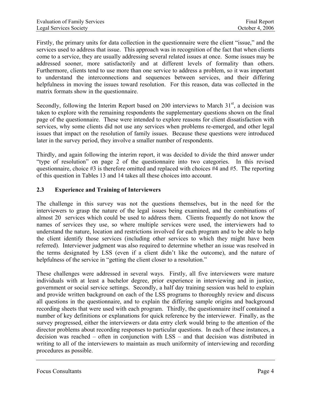<span id="page-12-0"></span>Firstly, the primary units for data collection in the questionnaire were the client "issue," and the services used to address that issue. This approach was in recognition of the fact that when clients come to a service, they are usually addressing several related issues at once. Some issues may be addressed sooner, more satisfactorily and at different levels of formality than others. Furthermore, clients tend to use more than one service to address a problem, so it was important to understand the interconnections and sequences between services, and their differing helpfulness in moving the issues toward resolution. For this reason, data was collected in the matrix formats show in the questionnaire.

Secondly, following the Interim Report based on 200 interviews to March  $31<sup>st</sup>$ , a decision was taken to explore with the remaining respondents the supplementary questions shown on the final page of the questionnaire. These were intended to explore reasons for client dissatisfaction with services, why some clients did not use any services when problems re-emerged, and other legal issues that impact on the resolution of family issues. Because these questions were introduced later in the survey period, they involve a smaller number of respondents.

Thirdly, and again following the interim report, it was decided to divide the third answer under "type of resolution" on page 2 of the questionnaire into two categories. In this revised questionnaire, choice #3 is therefore omitted and replaced with choices #4 and #5. The reporting of this question in Tables 13 and 14 takes all these choices into account.

#### **2.3 Experience and Training of Interviewers**

The challenge in this survey was not the questions themselves, but in the need for the interviewers to grasp the nature of the legal issues being examined, and the combinations of almost 20 services which could be used to address them. Clients frequently do not know the names of services they use, so where multiple services were used, the interviewers had to understand the nature, location and restrictions involved for each program and to be able to help the client identify those services (including other services to which they might have been referred). Interviewer judgment was also required to determine whether an issue was resolved in the terms designated by LSS (even if a client didn't like the outcome), and the nature of helpfulness of the service in "getting the client closer to a resolution."

These challenges were addressed in several ways. Firstly, all five interviewers were mature individuals with at least a bachelor degree, prior experience in interviewing and in justice, government or social service settings. Secondly, a half day training session was held to explain and provide written background on each of the LSS programs to thoroughly review and discuss all questions in the questionnaire, and to explain the differing sample origins and background recording sheets that were used with each program. Thirdly, the questionnaire itself contained a number of key definitions or explanations for quick reference by the interviewer. Finally, as the survey progressed, either the interviewers or data entry clerk would bring to the attention of the director problems about recording responses to particular questions. In each of these instances, a decision was reached – often in conjunction with LSS – and that decision was distributed in writing to all of the interviewers to maintain as much uniformity of interviewing and recording procedures as possible.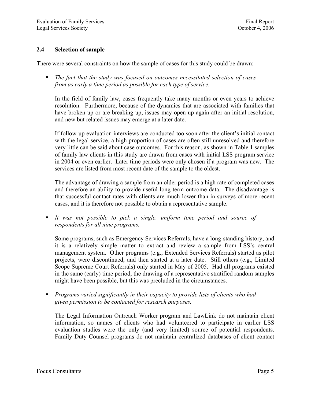#### <span id="page-13-0"></span>**2.4 Selection of sample**

There were several constraints on how the sample of cases for this study could be drawn:

 *The fact that the study was focused on outcomes necessitated selection of cases from as early a time period as possible for each type of service.* 

In the field of family law, cases frequently take many months or even years to achieve resolution. Furthermore, because of the dynamics that are associated with families that have broken up or are breaking up, issues may open up again after an initial resolution, and new but related issues may emerge at a later date.

If follow-up evaluation interviews are conducted too soon after the client's initial contact with the legal service, a high proportion of cases are often still unresolved and therefore very little can be said about case outcomes. For this reason, as shown in Table 1 samples of family law clients in this study are drawn from cases with initial LSS program service in 2004 or even earlier. Later time periods were only chosen if a program was new. The services are listed from most recent date of the sample to the oldest.

The advantage of drawing a sample from an older period is a high rate of completed cases and therefore an ability to provide useful long term outcome data. The disadvantage is that successful contact rates with clients are much lower than in surveys of more recent cases, and it is therefore not possible to obtain a representative sample.

 *It was not possible to pick a single, uniform time period and source of respondents for all nine programs.* 

Some programs, such as Emergency Services Referrals, have a long-standing history, and it is a relatively simple matter to extract and review a sample from LSS's central management system. Other programs (e.g., Extended Services Referrals) started as pilot projects, were discontinued, and then started at a later date. Still others (e.g., Limited Scope Supreme Court Referrals) only started in May of 2005. Had all programs existed in the same (early) time period, the drawing of a representative stratified random samples might have been possible, but this was precluded in the circumstances.

 *Programs varied significantly in their capacity to provide lists of clients who had given permission to be contacted for research purposes.* 

The Legal Information Outreach Worker program and LawLink do not maintain client information, so names of clients who had volunteered to participate in earlier LSS evaluation studies were the only (and very limited) source of potential respondents. Family Duty Counsel programs do not maintain centralized databases of client contact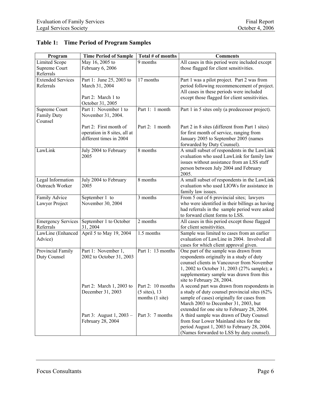| Program                   | <b>Time Period of Sample</b> | Total # of months        | <b>Comments</b>                                 |
|---------------------------|------------------------------|--------------------------|-------------------------------------------------|
| <b>Limited Scope</b>      | May 16, 2005 to              | 9 months                 | All cases in this period were included except   |
| Supreme Court             | February 6, 2006             |                          | those flagged for client sensitivities.         |
| Referrals                 |                              |                          |                                                 |
| <b>Extended Services</b>  | Part 1: June 25, 2003 to     | 17 months                | Part 1 was a pilot project. Part 2 was from     |
| Referrals                 | March 31, 2004               |                          | period following recommencement of project.     |
|                           |                              |                          | All cases in these periods were included        |
|                           | Part 2: March 1 to           |                          | except those flagged for client sensitivities.  |
|                           | October 31, 2005             |                          |                                                 |
| Supreme Court             | Part 1: November 1 to        | Part 1: 1 month          | Part 1 in 5 sites only (a predecessor project). |
| <b>Family Duty</b>        | November 31, 2004.           |                          |                                                 |
| Counsel                   |                              |                          |                                                 |
|                           | Part 2: First month of       | Part 2: 1 month          | Part 2 in 8 sites (different from Part 1 sites) |
|                           | operation in 8 sites, all at |                          | for first month of service, ranging from        |
|                           | different times in 2004      |                          | January 2005 to September 2005 (names           |
|                           |                              |                          | forwarded by Duty Counsel).                     |
| LawLink                   | July 2004 to February        | 8 months                 | A small subset of respondents in the LawLink    |
|                           | 2005                         |                          | evaluation who used LawLink for family law      |
|                           |                              |                          | issues without assistance from an LSS staff     |
|                           |                              |                          | person between July 2004 and February           |
|                           |                              |                          | 2005.                                           |
| Legal Information         | July 2004 to February        | 8 months                 | A small subset of respondents in the LawLink    |
| Outreach Worker           | 2005                         |                          | evaluation who used LIOWs for assistance in     |
|                           |                              |                          | family law issues.                              |
| Family Advice             | September 1 to               | 3 months                 | From 5 out of 6 provincial sites; lawyers       |
| Lawyer Project            | November 30, 2004            |                          | who were identified in their billings as having |
|                           |                              |                          | had referrals in the sample period were asked   |
|                           |                              |                          | to forward client forms to LSS.                 |
| <b>Emergency Services</b> | September 1 to October       | 2 months                 | All cases in this period except those flagged   |
| Referrals                 | 31, 2004                     |                          | for client sensitivities.                       |
| LawLine (Enhanced         | April 5 to May 19, 2004      | 1.5 months               | Sample was limited to cases from an earlier     |
| Advice)                   |                              |                          | evaluation of LawLine in 2004. Involved all     |
|                           |                              |                          | cases for which client approval given.          |
| Provincial Family         | Part 1: November 1,          | Part 1: 13 months        | One part of the sample was drawn from           |
| Duty Counsel              | 2002 to October 31, 2003     |                          | respondents originally in a study of duty       |
|                           |                              |                          | counsel clients in Vancouver from November      |
|                           |                              |                          | 1, 2002 to October 31, 2003 (27% sample); a     |
|                           |                              |                          | supplementary sample was drawn from this        |
|                           |                              |                          | site to February 28, 2004.                      |
|                           | Part 2: March 1, 2003 to     | Part 2: 10 months        | A second part was drawn from respondents in     |
|                           | December 31, 2003            | $(5 \text{ sites})$ , 13 | a study of duty counsel provincial sites (62%   |
|                           |                              | months (1 site)          | sample of cases) originally for cases from      |
|                           |                              |                          | March 2003 to December 31, 2003, but            |
|                           |                              |                          | extended for one site to February 28, 2004.     |
|                           | Part 3: August 1, 2003 -     | Part 3: 7 months         | A third sample was drawn of Duty Counsel        |
|                           | February 28, 2004            |                          | from four Lower Mainland sites for the          |
|                           |                              |                          | period August 1, 2003 to February 28, 2004.     |
|                           |                              |                          | (Names forwarded to LSS by duty counsel).       |

## <span id="page-14-0"></span>**Table 1: Time Period of Program Samples**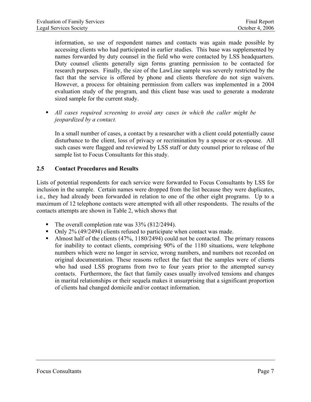<span id="page-15-0"></span>information, so use of respondent names and contacts was again made possible by accessing clients who had participated in earlier studies. This base was supplemented by names forwarded by duty counsel in the field who were contacted by LSS headquarters. Duty counsel clients generally sign forms granting permission to be contacted for research purposes. Finally, the size of the LawLine sample was severely restricted by the fact that the service is offered by phone and clients therefore do not sign waivers. However, a process for obtaining permission from callers was implemented in a 2004 evaluation study of the program, and this client base was used to generate a moderate sized sample for the current study.

 *All cases required screening to avoid any cases in which the caller might be jeopardized by a contact.* 

In a small number of cases, a contact by a researcher with a client could potentially cause disturbance to the client, loss of privacy or recrimination by a spouse or ex-spouse. All such cases were flagged and reviewed by LSS staff or duty counsel prior to release of the sample list to Focus Consultants for this study.

#### **2.5 Contact Procedures and Results**

Lists of potential respondents for each service were forwarded to Focus Consultants by LSS for inclusion in the sample. Certain names were dropped from the list because they were duplicates, i.e., they had already been forwarded in relation to one of the other eight programs. Up to a maximum of 12 telephone contacts were attempted with all other respondents. The results of the contacts attempts are shown in Table 2, which shows that

- The overall completion rate was  $33\%$  (812/2494).
- Only 2% (49/2494) clients refused to participate when contact was made.
- Almost half of the clients  $(47\%, 1180/2494)$  could not be contacted. The primary reasons for inability to contact clients, comprising 90% of the 1180 situations, were telephone numbers which were no longer in service, wrong numbers, and numbers not recorded on original documentation. These reasons reflect the fact that the samples were of clients who had used LSS programs from two to four years prior to the attempted survey contacts. Furthermore, the fact that family cases usually involved tensions and changes in marital relationships or their sequela makes it unsurprising that a significant proportion of clients had changed domicile and/or contact information.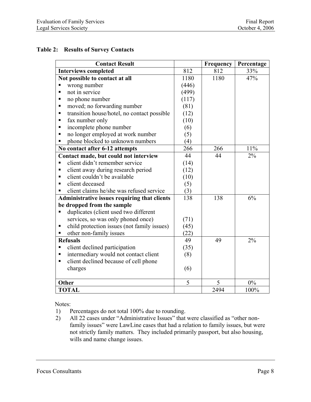#### <span id="page-16-0"></span>**Table 2: Results of Survey Contacts**

| <b>Contact Result</b>                                   |       | Frequency | Percentage |
|---------------------------------------------------------|-------|-----------|------------|
| <b>Interviews completed</b>                             | 812   | 812       | 33%        |
| Not possible to contact at all                          | 1180  | 1180      | 47%        |
| wrong number<br>П                                       | (446) |           |            |
| not in service<br>п                                     | (499) |           |            |
| no phone number<br>٠                                    | (117) |           |            |
| moved; no forwarding number<br>٠                        | (81)  |           |            |
| transition house/hotel, no contact possible<br>П        | (12)  |           |            |
| fax number only<br>п                                    | (10)  |           |            |
| incomplete phone number<br>$\blacksquare$               | (6)   |           |            |
| no longer employed at work number<br>٠                  | (5)   |           |            |
| phone blocked to unknown numbers<br>п                   | (4)   |           |            |
| No contact after 6-12 attempts                          | 266   | 266       | 11%        |
| Contact made, but could not interview                   | 44    | 44        | 2%         |
| client didn't remember service                          | (14)  |           |            |
| client away during research period<br>п                 | (12)  |           |            |
| client couldn't be available<br>$\blacksquare$          | (10)  |           |            |
| client deceased<br>$\blacksquare$                       | (5)   |           |            |
| client claims he/she was refused service                | (3)   |           |            |
| Administrative issues requiring that clients            | 138   | 138       | 6%         |
| be dropped from the sample                              |       |           |            |
| duplicates (client used two different                   |       |           |            |
| services, so was only phoned once)                      | (71)  |           |            |
| child protection issues (not family issues)<br>Е        | (45)  |           |            |
| other non-family issues<br>П                            | (22)  |           |            |
| <b>Refusals</b>                                         | 49    | 49        | 2%         |
| client declined participation<br>٠                      | (35)  |           |            |
| intermediary would not contact client<br>٠              | (8)   |           |            |
| client declined because of cell phone<br>$\blacksquare$ |       |           |            |
| charges                                                 | (6)   |           |            |
| Other                                                   | 5     | 5         | $0\%$      |
| <b>TOTAL</b>                                            |       | 2494      | 100%       |

Notes:

- 1) Percentages do not total 100% due to rounding.
- 2) All 22 cases under "Administrative Issues" that were classified as "other nonfamily issues" were LawLine cases that had a relation to family issues, but were not strictly family matters. They included primarily passport, but also housing, wills and name change issues.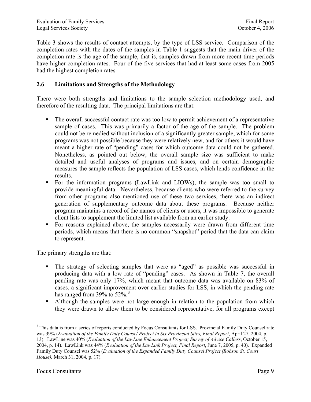<span id="page-17-0"></span>Table 3 shows the results of contact attempts, by the type of LSS service. Comparison of the completion rates with the dates of the samples in Table 1 suggests that the main driver of the completion rate is the age of the sample, that is, samples drawn from more recent time periods have higher completion rates. Four of the five services that had at least some cases from 2005 had the highest completion rates.

#### **2.6 Limitations and Strengths of the Methodology**

There were both strengths and limitations to the sample selection methodology used, and therefore of the resulting data. The principal limitations are that:

- The overall successful contact rate was too low to permit achievement of a representative sample of cases. This was primarily a factor of the age of the sample. The problem could not be remedied without inclusion of a significantly greater sample, which for some programs was not possible because they were relatively new, and for others it would have meant a higher rate of "pending" cases for which outcome data could not be gathered. Nonetheless, as pointed out below, the overall sample size was sufficient to make detailed and useful analyses of programs and issues, and on certain demographic measures the sample reflects the population of LSS cases, which lends confidence in the results.
- For the information programs (LawLink and LIOWs), the sample was too small to provide meaningful data. Nevertheless, because clients who were referred to the survey from other programs also mentioned use of these two services, there was an indirect generation of supplementary outcome data about these programs. Because neither program maintains a record of the names of clients or users, it was impossible to generate client lists to supplement the limited list available from an earlier study.
- For reasons explained above, the samples necessarily were drawn from different time periods, which means that there is no common "snapshot" period that the data can claim to represent.

The primary strengths are that:

- The strategy of selecting samples that were as "aged" as possible was successful in producing data with a low rate of "pending" cases. As shown in Table 7, the overall pending rate was only 17%, which meant that outcome data was available on 83% of cases, a significant improvement over earlier studies for LSS, in which the pending rate has ranged from [3](#page-17-0)9% to  $52\%$ .<sup>3</sup>
- Although the samples were not large enough in relation to the population from which they were drawn to allow them to be considered representative, for all programs except

*House),* March 31, 2004, p. 17).

<sup>1</sup> <sup>3</sup> This data is from a series of reports conducted by Focus Consultants for LSS. Provincial Family Duty Counsel rate was 39% (*Evaluation of the Family Duty Counsel Project in Six Provincial Sites, Final Report*, April 27, 2004, p.

<sup>13).</sup> LawLine was 40% (*Evaluation of the LawLine Enhancement Project; Survey of Advice Callers*, October 15, 2004, p. 14). LawLink was 44% (*Evaluation of the LawLink Project, Final Report*, June 7, 2005, p. 40). Expanded Family Duty Counsel was 52% (*Evaluation of the Expanded Family Duty Counsel Project (Robson St. Court*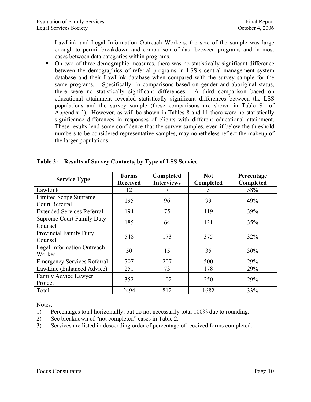<span id="page-18-0"></span>LawLink and Legal Information Outreach Workers, the size of the sample was large enough to permit breakdown and comparison of data between programs and in most cases between data categories within programs.

 On two of three demographic measures, there was no statistically significant difference between the demographics of referral programs in LSS's central management system database and their LawLink database when compared with the survey sample for the same programs. Specifically, in comparisons based on gender and aboriginal status, there were no statistically significant differences. A third comparison based on educational attainment revealed statistically significant differences between the LSS populations and the survey sample (these comparisons are shown in Table S1 of Appendix 2). However, as will be shown in Tables 8 and 11 there were no statistically significance differences in responses of clients with different educational attainment. These results lend some confidence that the survey samples, even if below the threshold numbers to be considered representative samples, may nonetheless reflect the makeup of the larger populations.

| <b>Service Type</b>                | <b>Forms</b>    | Completed         | <b>Not</b> | Percentage |
|------------------------------------|-----------------|-------------------|------------|------------|
|                                    | <b>Received</b> | <b>Interviews</b> | Completed  | Completed  |
| LawLink                            | 12              |                   | 5          | 58%        |
| <b>Limited Scope Supreme</b>       | 195             | 96                | 99         | 49%        |
| Court Referral                     |                 |                   |            |            |
| <b>Extended Services Referral</b>  | 194             | 75                | 119        | 39%        |
| <b>Supreme Court Family Duty</b>   | 185             | 64                | 121        | 35%        |
| Counsel                            |                 |                   |            |            |
| Provincial Family Duty             | 548             | 173               | 375        | 32%        |
| Counsel                            |                 |                   |            |            |
| Legal Information Outreach         | 50              | 15                | 35         | 30%        |
| Worker                             |                 |                   |            |            |
| <b>Emergency Services Referral</b> | 707             | 207               | 500        | 29%        |
| LawLine (Enhanced Advice)          | 251             | 73                | 178        | 29%        |
| Family Advice Lawyer               |                 |                   |            |            |
| Project                            | 352             | 102               | 250        | 29%        |
| Total                              | 2494            | 812               | 1682       | 33%        |

#### **Table 3: Results of Survey Contacts, by Type of LSS Service**

Notes:

1) Percentages total horizontally, but do not necessarily total 100% due to rounding.

- 2) See breakdown of "not completed" cases in Table 2.
- 3) Services are listed in descending order of percentage of received forms completed.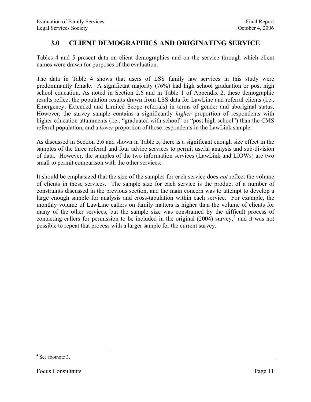# <span id="page-19-0"></span>**3.0 CLIENT DEMOGRAPHICS AND ORIGINATING SERVICE**

Tables 4 and 5 present data on client demographics and on the service through which client names were drawn for purposes of the evaluation.

The data in Table 4 shows that users of LSS family law services in this study were predominantly female. A significant majority (76%) had high school graduation or post high school education. As noted in Section 2.6 and in Table 1 of Appendix 2, these demographic results reflect the population results drawn from LSS data for LawLine and referral clients (i.e., Emergency, Extended and Limited Scope referrals) in terms of gender and aboriginal status. However, the survey sample contains a significantly *higher* proportion of respondents with higher education attainments (i.e., "graduated with school" or "post high school") than the CMS referral population, and a *lower* proportion of those respondents in the LawLink sample.

As discussed in Section 2.6 and shown in Table 5, there is a significant enough size effect in the samples of the three referral and four advice services to permit useful analysis and sub-division of data. However, the samples of the two information services (LawLink and LIOWs) are two small to permit comparison with the other services.

It should be emphasized that the size of the samples for each service does *not* reflect the volume of clients in those services. The sample size for each service is the product of a number of constraints discussed in the previous section, and the main concern was to attempt to develop a large enough sample for analysis and cross-tabulation within each service. For example, the monthly volume of LawLine callers on family matters is higher than the volume of clients for many of the other services, but the sample size was constrained by the difficult process of contacting callers for permission to be included in the original  $(2004)$  $(2004)$  $(2004)$  survey,<sup>4</sup> and it was not possible to repeat that process with a larger sample for the current survey.

1

<sup>4</sup> See footnote 3.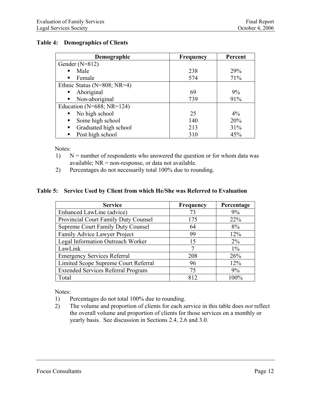#### <span id="page-20-0"></span>**Table 4: Demographics of Clients**

| Demographic                      | <b>Frequency</b> | Percent |
|----------------------------------|------------------|---------|
| Gender $(N=812)$                 |                  |         |
| Male                             | 238              | 29%     |
| Female<br>$\blacksquare$         | 574              | 71%     |
| Ethnic Status (N=808; NR=4)      |                  |         |
| Aboriginal<br>٠                  | 69               | 9%      |
| Non-aboriginal<br>п              | 739              | 91%     |
| Education ( $N=688$ ; $NR=124$ ) |                  |         |
| No high school                   | 25               | $4\%$   |
| Some high school<br>٠            | 140              | 20%     |
| Graduated high school<br>٠       | 213              | 31%     |
| Post high school<br>п            | 310              | 45%     |

Notes:

- 1)  $N =$  number of respondents who answered the question or for whom data was available;  $NR = non-response$ , or data not available.
- 2) Percentages do not necessarily total 100% due to rounding.

#### **Table 5: Service Used by Client from which He/She was Referred to Evaluation**

| <b>Service</b>                            | <b>Frequency</b> | Percentage |
|-------------------------------------------|------------------|------------|
| Enhanced LawLine (advice)                 | 73               | 9%         |
| Provincial Court Family Duty Counsel      | 175              | 22%        |
| <b>Supreme Court Family Duty Counsel</b>  | 64               | 8%         |
| Family Advice Lawyer Project              | 99               | 12%        |
| Legal Information Outreach Worker         | 15               | $2\%$      |
| LawLink                                   |                  | $1\%$      |
| <b>Emergency Services Referral</b>        | 208              | 26%        |
| Limited Scope Supreme Court Referral      | 96               | 12%        |
| <b>Extended Services Referral Program</b> | 75               | 9%         |
| Total                                     | 812              | 100%       |

Notes:

- 1) Percentages do not total 100% due to rounding.
- 2) The volume and proportion of clients for each service in this table does *not* reflect the overall volume and proportion of clients for those services on a monthly or yearly basis. See discussion in Sections 2.4, 2.6 and 3.0.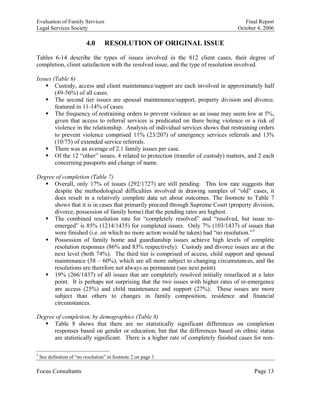# **4.0 RESOLUTION OF ORIGINAL ISSUE**

<span id="page-21-0"></span>Tables 6-14 describe the types of issues involved in the 812 client cases, their degree of completion, client satisfaction with the resolved issue, and the type of resolution involved.

*Issues (Table 6)*

- Custody, access and client maintenance/support are each involved in approximately half (49-56%) of all cases.
- The second tier issues are spousal maintenance/support, property division and divorce, featured in 11-14% of cases.
- $\blacksquare$  The frequency of restraining orders to prevent violence as an issue may seem low at 5%, given that access to referral services is predicated on there being violence or a risk of violence in the relationship. Analysis of individual services shows that restraining orders to prevent violence comprised 11% (23/207) of emergency services referrals and 13% (10/75) of extended service referrals.
- There was an average of 2.1 family issues per case.
- Of the 12 "other" issues, 4 related to protection (transfer of custody) matters, and 2 each concerning passports and change of name.

#### *Degree of completion (Table 7)*

- Overall, only 17% of issues (292/1727) are still pending. This low rate suggests that despite the methodological difficulties involved in drawing samples of "old" cases, it does result in a relatively complete data set about outcomes. The footnote to Table 7 shows that it is in cases that primarily proceed through Supreme Court (property division, divorce, possession of family home) that the pending rates are highest.
- The combined resolution rate for "completely resolved" and "resolved, but issue reemerged" is 85% (1214/1435) for completed issues. Only 7% (103/1437) of issues that were finished (i.e. on which no more action would be taken) had "no resolution."<sup>[5](#page-21-0)</sup>
- **Possession of family home and guardianship issues achieve high levels of complete** resolution responses (86% and 83% respectively). Custody and divorce issues are at the next level (both 74%). The third tier is comprised of access, child support and spousal maintenance  $(58 - 60\%)$ , which are all more subject to changing circumstances, and the resolutions are therefore not always as permanent (see next point).
- <sup>19%</sup> (266/1437) of all issues that are completely resolved initially resurfaced at a later point. It is perhaps not surprising that the two issues with higher rates of re-emergence are access (25%) and child maintenance and support (27%). These issues are more subject than others to changes in family composition, residence and financial circumstances.

#### *Degree of completion, by demographics (Table 8)*

• Table 8 shows that there are no statistically significant differences on completion responses based on gender or education, but that the differences based on ethnic status are statistically significant. There is a higher rate of completely finished cases for non-

<sup>&</sup>lt;sup>5</sup> See definition of "no resolution" in footnote 2 on page 3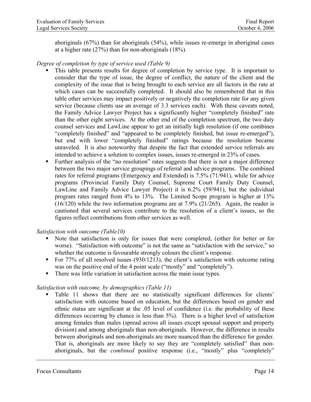aboriginals (67%) than for aboriginals (54%), while issues re-emerge in aboriginal cases at a higher rate (27%) than for non-aboriginals (18%).

#### *Degree of completion by type of service used (Table 9)*

- This table presents results for degree of completion by service type. It is important to consider that the type of issue, the degree of conflict, the nature of the client and the complexity of the issue that is being brought to each service are all factors in the rate at which cases can be successfully completed. It should also be remembered that in this table other services may impact positively or negatively the completion rate for any given service (because clients use an average of 3.3 services each). With these caveats noted, the Family Advice Lawyer Project has a significantly higher "completely finished" rate than the other eight services. At the other end of the completion spectrum, the two duty counsel services and LawLine appear to get an initially high resolution (if one combines "completely finished" and "appeared to be completely finished, but issue re-emerged"), but end with lower "completely finished" ratings because the resolution became unraveled. It is also noteworthy that despite the fact that extended service referrals are intended to achieve a solution to complex issues, issues re-emerged in 23% of cases.
- Further analysis of the "no resolution" rates suggests that there is not a major difference between the two major service groupings of referral and advice programs. The combined rates for referral programs (Emergency and Extended) is 7.5% (71/941), while for advice programs (Provincial Family Duty Counsel, Supreme Court Family Duty Counsel, LawLine and Family Advice Lawyer Project) it is 6.2% (59/941), but the individual program rates ranged from 4% to 13%. The Limited Scope program is higher at 13% (16/120) while the two information programs are at 7.9% (21/265). Again, the reader is cautioned that several services contribute to the resolution of a client's issues, so the figures reflect contributions from other services as well.

#### *Satisfaction with outcome (Table10)*

- Note that satisfaction is only for issues that were completed, (either for better or for worse). "Satisfaction with outcome" is not the same as "satisfaction with the service," so whether the outcome is favourable strongly colours the client's response.
- For 77% of all resolved issues (930/1213), the client's satisfaction with outcome rating was on the positive end of the 4 point scale ("mostly" and "completely").
- There was little variation in satisfaction across the main issue types.

#### *Satisfaction with outcome, by demographics (Table 11)*

 Table 11 shows that there are no statistically significant differences for clients' satisfaction with outcome based on education, but the differences based on gender and ethnic status are significant at the .05 level of confidence (i.e. the probability of these differences occurring by chance is less than 5%). There is a higher level of satisfaction among females than males (spread across all issues except spousal support and property division) and among aboriginals than non-aboriginals. However, the difference in results between aboriginals and non-aboriginals are more nuanced than the difference for gender. That is, aboriginals are more likely to say they are "completely satisfied" than nonaboriginals, but the *combined* positive response (i.e., "mostly" plus "completely"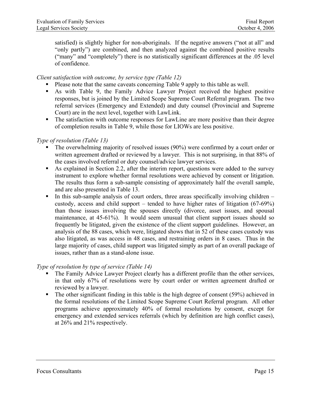satisfied) is slightly higher for non-aboriginals. If the negative answers ("not at all" and "only partly") are combined, and then analyzed against the combined positive results ("many" and "completely") there is no statistically significant differences at the .05 level of confidence.

#### *Client satisfaction with outcome, by service type (Table 12)*

- Please note that the same caveats concerning Table 9 apply to this table as well.
- As with Table 9, the Family Advice Lawyer Project received the highest positive responses, but is joined by the Limited Scope Supreme Court Referral program. The two referral services (Emergency and Extended) and duty counsel (Provincial and Supreme Court) are in the next level, together with LawLink.
- The satisfaction with outcome responses for LawLine are more positive than their degree of completion results in Table 9, while those for LIOWs are less positive.

#### *Type of resolution (Table 13)*

- The overwhelming majority of resolved issues (90%) were confirmed by a court order or written agreement drafted or reviewed by a lawyer. This is not surprising, in that 88% of the cases involved referral or duty counsel/advice lawyer services.
- As explained in Section 2.2, after the interim report, questions were added to the survey instrument to explore whether formal resolutions were achieved by consent or litigation. The results thus form a sub-sample consisting of approximately half the overall sample, and are also presented in Table 13.
- In this sub-sample analysis of court orders, three areas specifically involving children  $$ custody, access and child support – tended to have higher rates of litigation (67-69%) than those issues involving the spouses directly (divorce, asset issues, and spousal maintenance, at 45-61%). It would seem unusual that client support issues should so frequently be litigated, given the existence of the client support guidelines. However, an analysis of the 88 cases, which were, litigated shows that in 52 of these cases custody was also litigated, as was access in 48 cases, and restraining orders in 8 cases. Thus in the large majority of cases, child support was litigated simply as part of an overall package of issues, rather than as a stand-alone issue.

#### *Type of resolution by type of service (Table 14)*

- The Family Advice Lawyer Project clearly has a different profile than the other services, in that only 67% of resolutions were by court order or written agreement drafted or reviewed by a lawyer.
- The other significant finding in this table is the high degree of consent (59%) achieved in the formal resolutions of the Limited Scope Supreme Court Referral program. All other programs achieve approximately 40% of formal resolutions by consent, except for emergency and extended services referrals (which by definition are high conflict cases), at 26% and 21% respectively.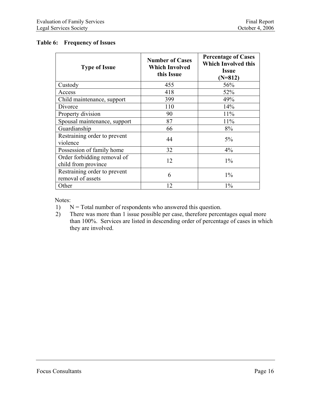#### <span id="page-24-0"></span>**Table 6: Frequency of Issues**

| <b>Type of Issue</b>                               | <b>Number of Cases</b><br><b>Which Involved</b><br>this Issue | <b>Percentage of Cases</b><br><b>Which Involved this</b><br><b>Issue</b><br>$(N=812)$ |
|----------------------------------------------------|---------------------------------------------------------------|---------------------------------------------------------------------------------------|
| Custody                                            | 455                                                           | 56%                                                                                   |
| Access                                             | 418                                                           | 52%                                                                                   |
| Child maintenance, support                         | 399                                                           | 49%                                                                                   |
| Divorce                                            | 110                                                           | 14%                                                                                   |
| Property division                                  | 90                                                            | 11%                                                                                   |
| Spousal maintenance, support                       | 87                                                            | 11%                                                                                   |
| Guardianship                                       | 66                                                            | 8%                                                                                    |
| Restraining order to prevent<br>violence           | 44                                                            | 5%                                                                                    |
| Possession of family home                          | 32                                                            | 4%                                                                                    |
| Order forbidding removal of<br>child from province | 12                                                            | $1\%$                                                                                 |
| Restraining order to prevent<br>removal of assets  | 6                                                             | $1\%$                                                                                 |
| Other                                              | 12                                                            | $1\%$                                                                                 |

Notes:

- 1)  $N = Total number of respondents who answered this question.$
- 2) There was more than 1 issue possible per case, therefore percentages equal more than 100%. Services are listed in descending order of percentage of cases in which they are involved.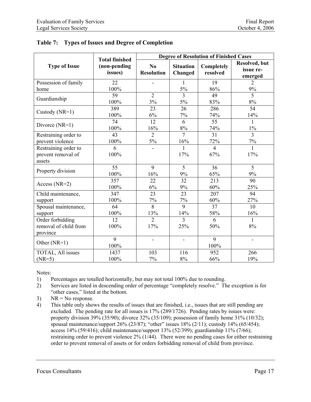|                                                       | <b>Total finished</b>   | <b>Degree of Resolution of Finished Cases</b> |                             |                        |                                               |  |  |
|-------------------------------------------------------|-------------------------|-----------------------------------------------|-----------------------------|------------------------|-----------------------------------------------|--|--|
| <b>Type of Issue</b>                                  | (non-pending<br>issues) | No<br><b>Resolution</b>                       | <b>Situation</b><br>Changed | Completely<br>resolved | <b>Resolved</b> , but<br>issue re-<br>emerged |  |  |
| Possession of family                                  | 22                      |                                               | $\mathbf{1}$                | 19                     | $\overline{2}$                                |  |  |
| home                                                  | 100%                    |                                               | $5\%$                       | 86%                    | 9%                                            |  |  |
| Guardianship                                          | 59                      | $\overline{2}$                                | $\overline{3}$              | 49                     | $\overline{5}$                                |  |  |
|                                                       | 100%                    | 3%                                            | 5%                          | 83%                    | 8%                                            |  |  |
| Custody $(NR=1)$                                      | 389                     | 23                                            | 26                          | 286                    | 54                                            |  |  |
|                                                       | 100%                    | 6%                                            | 7%                          | 74%                    | 14%                                           |  |  |
| Divorce $(NR=1)$                                      | 74                      | 12                                            | 6                           | 55                     | $\mathbf{1}$                                  |  |  |
|                                                       | 100%                    | 16%                                           | $8\%$                       | 74%                    | $1\%$                                         |  |  |
| Restraining order to                                  | 43                      | $\overline{2}$                                | $\tau$                      | 31                     | $\overline{3}$                                |  |  |
| prevent violence                                      | 100%                    | 5%                                            | 16%                         | 72%                    | $7\%$                                         |  |  |
| Restraining order to<br>prevent removal of<br>assets  | 6<br>100%               |                                               | 1<br>17%                    | $\overline{4}$<br>67%  | 1<br>17%                                      |  |  |
| Property division                                     | $\overline{55}$         | $\overline{9}$                                | $\overline{5}$              | 36                     | $\overline{5}$                                |  |  |
|                                                       | 100%                    | 16%                                           | 9%                          | 65%                    | 9%                                            |  |  |
| Access ( $NR=2$ )                                     | 357                     | 22                                            | 32                          | 213                    | 90                                            |  |  |
|                                                       | 100%                    | 6%                                            | $9\%$                       | 60%                    | 25%                                           |  |  |
| Child maintenance,                                    | 347                     | 23                                            | 23                          | 207                    | 94                                            |  |  |
| support                                               | 100%                    | 7%                                            | 7%                          | 60%                    | 27%                                           |  |  |
| Spousal maintenance,                                  | 64                      | 8                                             | 9                           | 37                     | 10                                            |  |  |
| support                                               | 100%                    | 13%                                           | 14%                         | 58%                    | 16%                                           |  |  |
| Order forbidding<br>removal of child from<br>province | $\overline{12}$<br>100% | $\overline{2}$<br>17%                         | 3<br>25%                    | 6<br>50%               | $\mathbf{1}$<br>8%                            |  |  |
| Other (NR=1)                                          | 9<br>100%               |                                               | $\blacksquare$              | 9<br>100%              |                                               |  |  |
| TOTAL, All issues                                     | 1437                    | 103                                           | 116                         | 952                    | 266                                           |  |  |
| $(NR=5)$                                              | 100%                    | 7%                                            | 8%                          | 66%                    | 19%                                           |  |  |

<span id="page-25-0"></span>

|  |  | Table 7: Types of Issues and Degree of Completion |  |
|--|--|---------------------------------------------------|--|
|--|--|---------------------------------------------------|--|

Notes:

- 1) Percentages are totalled horizontally, but may not total 100% due to rounding.
- 2) Services are listed in descending order of percentage "completely resolve." The exception is for "other cases," listed at the bottom.
- 3)  $NR = No$  response.
- 4) This table only shows the results of issues that are finished, i.e., issues that are still pending are excluded. The pending rate for all issues is 17% (289/1726). Pending rates by issues were: property division 39% (35/90); divorce 32% (35/109); possession of family home 31% (10/32); spousal maintenance/support  $26\%$  (23/87); "other" issues 18% (2/11); custody 14% (65/454); access 14% (59/416); child maintenance/support 13% (52/399); guardianship 11% (7/66); restraining order to prevent violence 2% (1/44). There were no pending cases for either restraining order to prevent removal of assets or for orders forbidding removal of child from province.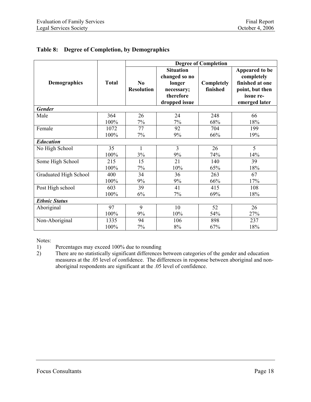|                       |              | <b>Degree of Completion</b>         |                                                                                         |                        |                                                                                                  |  |  |  |
|-----------------------|--------------|-------------------------------------|-----------------------------------------------------------------------------------------|------------------------|--------------------------------------------------------------------------------------------------|--|--|--|
| <b>Demographics</b>   | <b>Total</b> | N <sub>0</sub><br><b>Resolution</b> | <b>Situation</b><br>changed so no<br>longer<br>necessary;<br>therefore<br>dropped issue | Completely<br>finished | Appeared to be<br>completely<br>finished at one<br>point, but then<br>issue re-<br>emerged later |  |  |  |
| <b>Gender</b>         |              |                                     |                                                                                         |                        |                                                                                                  |  |  |  |
| Male                  | 364          | 26                                  | 24                                                                                      | 248                    | 66                                                                                               |  |  |  |
|                       | 100%         | 7%                                  | 7%                                                                                      | 68%                    | 18%                                                                                              |  |  |  |
| Female                | 1072         | 77                                  | 92                                                                                      | 704                    | 199                                                                                              |  |  |  |
|                       | 100%         | 7%                                  | 9%                                                                                      | 66%                    | 19%                                                                                              |  |  |  |
| <b>Education</b>      |              |                                     |                                                                                         |                        |                                                                                                  |  |  |  |
| No High School        | 35           | 1                                   | 3                                                                                       | 26                     | 5                                                                                                |  |  |  |
|                       | 100%         | 3%                                  | 9%                                                                                      | 74%                    | 14%                                                                                              |  |  |  |
| Some High School      | 215          | 15                                  | 21                                                                                      | 140                    | 39                                                                                               |  |  |  |
|                       | 100%         | 7%                                  | 10%                                                                                     | 65%                    | 18%                                                                                              |  |  |  |
| Graduated High School | 400          | 34                                  | 36                                                                                      | 263                    | 67                                                                                               |  |  |  |
|                       | 100%         | 9%                                  | 9%                                                                                      | 66%                    | 17%                                                                                              |  |  |  |
| Post High school      | 603          | 39                                  | 41                                                                                      | 415                    | 108                                                                                              |  |  |  |
|                       | 100%         | 6%                                  | 7%                                                                                      | 69%                    | 18%                                                                                              |  |  |  |
| <b>Ethnic Status</b>  |              |                                     |                                                                                         |                        |                                                                                                  |  |  |  |
| Aboriginal            | 97           | 9                                   | 10                                                                                      | 52                     | 26                                                                                               |  |  |  |
|                       | 100%         | 9%                                  | 10%                                                                                     | 54%                    | 27%                                                                                              |  |  |  |
| Non-Aboriginal        | 1335         | 94                                  | 106                                                                                     | 898                    | 237                                                                                              |  |  |  |
|                       | 100%         | 7%                                  | 8%                                                                                      | 67%                    | 18%                                                                                              |  |  |  |

### <span id="page-26-0"></span>**Table 8: Degree of Completion, by Demographics**

Notes:

1) Percentages may exceed 100% due to rounding

2) There are no statistically significant differences between categories of the gender and education measures at the .05 level of confidence. The differences in response between aboriginal and nonaboriginal respondents are significant at the .05 level of confidence.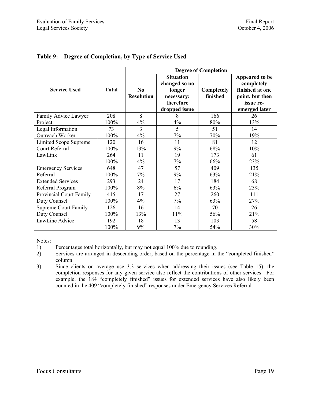|                                |              | <b>Degree of Completion</b>                 |                                                                                         |                               |                                                                                                  |  |  |
|--------------------------------|--------------|---------------------------------------------|-----------------------------------------------------------------------------------------|-------------------------------|--------------------------------------------------------------------------------------------------|--|--|
| <b>Service Used</b>            | <b>Total</b> | $\mathbf{N}\mathbf{0}$<br><b>Resolution</b> | <b>Situation</b><br>changed so no<br>longer<br>necessary;<br>therefore<br>dropped issue | <b>Completely</b><br>finished | Appeared to be<br>completely<br>finished at one<br>point, but then<br>issue re-<br>emerged later |  |  |
| Family Advice Lawyer           | 208          | 8                                           | 8                                                                                       | 166                           | 26                                                                                               |  |  |
| Project                        | 100%         | 4%                                          | 4%                                                                                      | 80%                           | 13%                                                                                              |  |  |
| Legal Information              | 73           | 3                                           | 5                                                                                       | 51                            | 14                                                                                               |  |  |
| Outreach Worker                | 100%         | 4%                                          | 7%                                                                                      | 70%                           | 19%                                                                                              |  |  |
| <b>Limited Scope Supreme</b>   | 120          | 16                                          | 11                                                                                      | 81                            | 12                                                                                               |  |  |
| <b>Court Referral</b>          | 100%         | 13%                                         | 9%                                                                                      | 68%                           | 10%                                                                                              |  |  |
| LawLink                        | 264          | 11                                          | 19                                                                                      | 173                           | 61                                                                                               |  |  |
|                                | 100%         | 4%                                          | 7%                                                                                      | 66%                           | 23%                                                                                              |  |  |
| <b>Emergency Services</b>      | 648          | 47                                          | 57                                                                                      | 409                           | 135                                                                                              |  |  |
| Referral                       | 100%         | 7%                                          | 9%                                                                                      | 63%                           | 21%                                                                                              |  |  |
| <b>Extended Services</b>       | 293          | 24                                          | 17                                                                                      | 184                           | 68                                                                                               |  |  |
| Referral Program               | 100%         | 8%                                          | 6%                                                                                      | 63%                           | 23%                                                                                              |  |  |
| <b>Provincial Court Family</b> | 415          | 17                                          | 27                                                                                      | 260                           | 111                                                                                              |  |  |
| Duty Counsel                   | 100%         | $4\%$                                       | 7%                                                                                      | 63%                           | 27%                                                                                              |  |  |
| <b>Supreme Court Family</b>    | 126          | 16                                          | 14                                                                                      | 70                            | 26                                                                                               |  |  |
| Duty Counsel                   | 100%         | 13%                                         | 11%                                                                                     | 56%                           | 21%                                                                                              |  |  |
| LawLine Advice                 | 192          | 18                                          | 13                                                                                      | 103                           | 58                                                                                               |  |  |
|                                | 100%         | 9%                                          | 7%                                                                                      | 54%                           | 30%                                                                                              |  |  |

#### <span id="page-27-0"></span>**Table 9: Degree of Completion, by Type of Service Used**

Notes:

<sup>1)</sup> Percentages total horizontally, but may not equal 100% due to rounding.

<sup>2)</sup> Services are arranged in descending order, based on the percentage in the "completed finished" column.

<sup>3)</sup> Since clients on average use 3.3 services when addressing their issues (see Table 15), the completion responses for any given service also reflect the contributions of other services. For example, the 184 "completely finished" issues for extended services have also likely been counted in the 409 "completely finished" responses under Emergency Services Referral.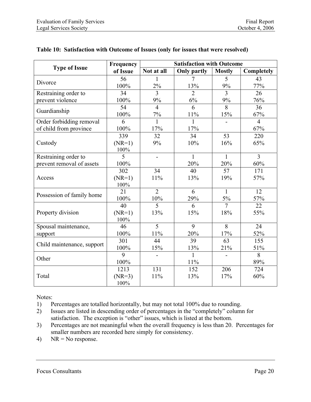|                            | Frequency | <b>Satisfaction with Outcome</b> |                    |                |                |  |
|----------------------------|-----------|----------------------------------|--------------------|----------------|----------------|--|
| <b>Type of Issue</b>       | of Issue  | Not at all                       | <b>Only partly</b> | <b>Mostly</b>  | Completely     |  |
|                            | 56        | 1                                | 7                  | 5              | 43             |  |
| Divorce                    | 100%      | 2%                               | 13%                | $9\%$          | 77%            |  |
| Restraining order to       | 34        | 3                                | $\overline{2}$     | $\overline{3}$ | 26             |  |
| prevent violence           | 100%      | 9%                               | 6%                 | 9%             | 76%            |  |
|                            | 54        | $\overline{4}$                   | 6                  | 8              | 36             |  |
| Guardianship               | 100%      | $7\%$                            | 11%                | 15%            | 67%            |  |
| Order forbidding removal   | 6         | $\mathbf{1}$                     | 1                  |                | $\overline{4}$ |  |
| of child from province     | 100%      | 17%                              | 17%                |                | 67%            |  |
|                            | 339       | 32                               | 34                 | 53             | 220            |  |
| Custody                    | $(NR=1)$  | 9%                               | 10%                | 16%            | 65%            |  |
|                            | 100%      |                                  |                    |                |                |  |
| Restraining order to       | 5         | $\blacksquare$                   | 1                  | $\mathbf{1}$   | $\overline{3}$ |  |
| prevent removal of assets  | 100%      |                                  | 20%                | 20%            | 60%            |  |
|                            | 302       | 34                               | 40                 | 57             | 171            |  |
| Access                     | $(NR=1)$  | 11%                              | 13%                | 19%            | 57%            |  |
|                            | 100%      |                                  |                    |                |                |  |
|                            | 21        | $\overline{2}$                   | 6                  | $\mathbf{1}$   | 12             |  |
| Possession of family home  | 100%      | 10%                              | 29%                | 5%             | 57%            |  |
|                            | 40        | 5                                | 6                  | $\overline{7}$ | 22             |  |
| Property division          | $(NR=1)$  | 13%                              | 15%                | 18%            | 55%            |  |
|                            | 100%      |                                  |                    |                |                |  |
| Spousal maintenance,       | 46        | $\overline{5}$                   | 9                  | 8              | 24             |  |
| support                    | 100%      | 11%                              | 20%                | 17%            | 52%            |  |
|                            | 301       | 44                               | 39                 | 63             | 155            |  |
| Child maintenance, support | 100%      | 15%                              | 13%                | 21%            | 51%            |  |
| Other                      | 9         |                                  | 1                  |                | $\overline{8}$ |  |
|                            | 100%      |                                  | 11%                |                | 89%            |  |
|                            | 1213      | 131                              | 152                | 206            | 724            |  |
| Total                      | $(NR=3)$  | 11%                              | 13%                | 17%            | 60%            |  |
|                            | 100%      |                                  |                    |                |                |  |

#### <span id="page-28-0"></span>**Table 10: Satisfaction with Outcome of Issues (only for issues that were resolved)**

Notes:

1) Percentages are totalled horizontally, but may not total 100% due to rounding.

- 2) Issues are listed in descending order of percentages in the "completely" column for satisfaction. The exception is "other" issues, which is listed at the bottom.
- 3) Percentages are not meaningful when the overall frequency is less than 20. Percentages for smaller numbers are recorded here simply for consistency.
- 4) NR = No response.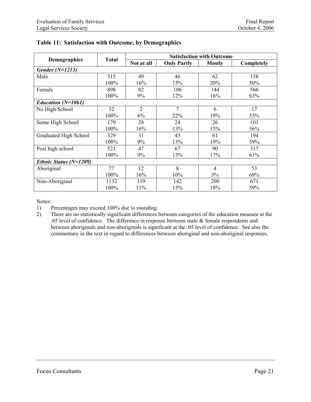|                        | <b>Total</b> | <b>Satisfaction with Outcome</b> |                    |                |            |  |  |
|------------------------|--------------|----------------------------------|--------------------|----------------|------------|--|--|
| <b>Demographics</b>    |              | Not at all                       | <b>Only Partly</b> | <b>Mostly</b>  | Completely |  |  |
| Gender $(N=1213)$      |              |                                  |                    |                |            |  |  |
| Male                   | 315          | 49                               | 46                 | 62             | 158        |  |  |
|                        | 100%         | 16%                              | 15%                | 20%            | 50%        |  |  |
| Female                 | 898          | 82                               | 106                | 144            | 566        |  |  |
|                        | 100%         | 9%                               | 12%                | 16%            | 63%        |  |  |
| Education $(N=1061)$   |              |                                  |                    |                |            |  |  |
| No High School         | 32           | $\overline{2}$                   | 7                  | 6              | 17         |  |  |
|                        | 100%         | 6%                               | 22%                | 19%            | 53%        |  |  |
| Some High School       | 179          | 28                               | 24                 | 26             | 101        |  |  |
|                        | 100%         | 16%                              | 13%                | 15%            | 56%        |  |  |
| Graduated High School  | 329          | 31                               | 43                 | 61             | 194        |  |  |
|                        | 100%         | 9%                               | 13%                | 19%            | 59%        |  |  |
| Post high school       | 521          | 47                               | 67                 | 90             | 317        |  |  |
|                        | 100%         | 9%                               | 13%                | 17%            | 61%        |  |  |
| Ethnic Status (N=1209) |              |                                  |                    |                |            |  |  |
| Aboriginal             | 77           | 12                               | 8                  | $\overline{4}$ | 53         |  |  |
|                        | 100%         | 16%                              | 10%                | 5%             | 69%        |  |  |
| Non-Aboriginal         | 1132         | 119                              | 142                | 200            | 671        |  |  |
|                        | 100%         | 11%                              | 13%                | 18%            | 59%        |  |  |

<span id="page-29-0"></span>

Notes:

1) Percentages may exceed 100% due to rounding.

2) There are no statistically significant differences between categories of the education measure at the .05 level of confidence. The difference in response between male & female respondents and between aboriginals and non-aboriginals is significant at the .05 level of confidence. See also the commentary in the text in regard to differences between aboriginal and non-aboriginal responses.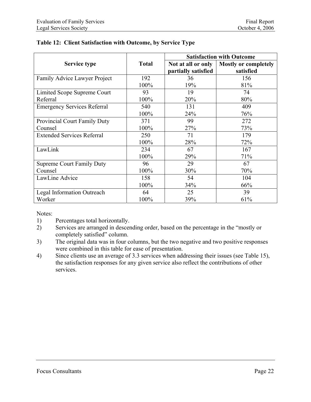|                                    |              | <b>Satisfaction with Outcome</b> |                             |  |
|------------------------------------|--------------|----------------------------------|-----------------------------|--|
| Service type                       | <b>Total</b> | Not at all or only               | <b>Mostly or completely</b> |  |
|                                    |              | partially satisfied              | satisfied                   |  |
| Family Advice Lawyer Project       | 192          | 36                               | 156                         |  |
|                                    | 100%         | 19%                              | 81%                         |  |
| Limited Scope Supreme Court        | 93           | 19                               | 74                          |  |
| Referral                           | 100%         | 20%                              | 80%                         |  |
| <b>Emergency Services Referral</b> | 540          | 131                              | 409                         |  |
|                                    | 100%         | 24%                              | 76%                         |  |
| Provincial Court Family Duty       | 371          | 99                               | 272                         |  |
| Counsel                            | 100%         | 27%                              | 73%                         |  |
| <b>Extended Services Referral</b>  | 250          | 71                               | 179                         |  |
|                                    | 100%         | 28%                              | 72%                         |  |
| LawLink                            | 234          | 67                               | 167                         |  |
|                                    | 100%         | 29%                              | 71%                         |  |
| <b>Supreme Court Family Duty</b>   | 96           | 29                               | 67                          |  |
| Counsel                            | 100%         | 30%                              | 70%                         |  |
| LawLine Advice                     | 158          | 54                               | 104                         |  |
|                                    | 100%         | 34%                              | 66%                         |  |
| Legal Information Outreach         | 64           | 25                               | 39                          |  |
| Worker                             | 100%         | 39%                              | 61%                         |  |

# <span id="page-30-0"></span>**Table 12: Client Satisfaction with Outcome, by Service Type**

Notes:

- 1) Percentages total horizontally.
- 2) Services are arranged in descending order, based on the percentage in the "mostly or completely satisfied" column.
- 3) The original data was in four columns, but the two negative and two positive responses were combined in this table for ease of presentation.
- 4) Since clients use an average of 3.3 services when addressing their issues (see Table 15), the satisfaction responses for any given service also reflect the contributions of other services.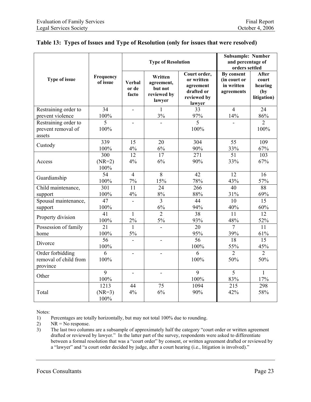|                       |                       |                                 | <b>Type of Resolution</b>                                 | <b>Subsample: Number</b><br>and percentage of<br>orders settled                |                                                        |                                                         |
|-----------------------|-----------------------|---------------------------------|-----------------------------------------------------------|--------------------------------------------------------------------------------|--------------------------------------------------------|---------------------------------------------------------|
| Type of issue         | Frequency<br>of issue | <b>Verbal</b><br>or de<br>facto | Written<br>agreement,<br>but not<br>reviewed by<br>lawyer | Court order,<br>or written<br>agreement<br>drafted or<br>reviewed by<br>lawyer | By consent<br>(in court or<br>in written<br>agreements | <b>After</b><br>court<br>hearing<br>(by)<br>litigation) |
| Restraining order to  | 34                    | ÷,                              |                                                           | 33                                                                             | $\overline{4}$                                         | 24                                                      |
| prevent violence      | 100%                  |                                 | 3%                                                        | 97%                                                                            | 14%                                                    | 86%                                                     |
| Restraining order to  | 5                     |                                 |                                                           | 5                                                                              |                                                        | $\overline{2}$                                          |
| prevent removal of    | 100%                  |                                 |                                                           | 100%                                                                           |                                                        | 100%                                                    |
| assets                |                       |                                 |                                                           |                                                                                |                                                        |                                                         |
| Custody               | 339                   | 15                              | 20                                                        | 304                                                                            | 55                                                     | 109                                                     |
|                       | 100%                  | $4\%$                           | $6\%$                                                     | 90%                                                                            | 33%                                                    | 67%                                                     |
|                       | 300                   | 12                              | 17                                                        | 271                                                                            | 51                                                     | 103                                                     |
| Access                | $(NR=2)$<br>100%      | 4%                              | 6%                                                        | 90%                                                                            | 33%                                                    | 67%                                                     |
| Guardianship          | $\overline{54}$       | $\overline{4}$                  | 8                                                         | 42                                                                             | 12                                                     | 16                                                      |
|                       | 100%                  | 7%                              | 15%                                                       | 78%                                                                            | 43%                                                    | 57%                                                     |
| Child maintenance,    | $\overline{301}$      | $\overline{11}$                 | $\overline{24}$                                           | 266                                                                            | 40                                                     | 88                                                      |
| support               | 100%                  | 4%                              | 8%                                                        | 88%                                                                            | 31%                                                    | 69%                                                     |
| Spousal maintenance,  | $\overline{47}$       | $\overline{a}$                  | $\overline{3}$                                            | 44                                                                             | 10                                                     | $\overline{15}$                                         |
| support               | 100%                  |                                 | 6%                                                        | 94%                                                                            | 40%                                                    | 60%                                                     |
| Property division     | 41                    | 1                               | $\overline{2}$                                            | 38                                                                             | $\overline{11}$                                        | 12                                                      |
|                       | 100%                  | $2\%$                           | $5\%$                                                     | 93%                                                                            | 48%                                                    | 52%                                                     |
| Possession of family  | 21                    | $\mathbf{1}$                    |                                                           | 20                                                                             | $\overline{7}$                                         | 11                                                      |
| home                  | 100%                  | $5\%$                           |                                                           | 95%                                                                            | 39%                                                    | 61%                                                     |
| Divorce               | $\overline{56}$       | $\blacksquare$                  | $\overline{\phantom{m}}$                                  | 56                                                                             | $\overline{18}$                                        | $\overline{15}$                                         |
|                       | 100%                  |                                 |                                                           | 100%                                                                           | 55%                                                    | 45%                                                     |
| Order forbidding      | 6                     | ÷,                              | $\blacksquare$                                            | 6                                                                              | $\overline{2}$                                         | $\overline{2}$                                          |
| removal of child from | 100%                  |                                 |                                                           | 100%                                                                           | 50%                                                    | 50%                                                     |
| province              |                       |                                 |                                                           |                                                                                |                                                        |                                                         |
| Other                 | 9                     | $\overline{\phantom{a}}$        | $\blacksquare$                                            | $\overline{9}$                                                                 | $\overline{5}$                                         | $\mathbf{1}$                                            |
|                       | $100\%$               |                                 |                                                           | 100%                                                                           | 83%                                                    | 17%                                                     |
|                       | 1213                  | 44                              | 75                                                        | 1094                                                                           | 215                                                    | 298                                                     |
| Total                 | $(NR=3)$              | 4%                              | 6%                                                        | 90%                                                                            | 42%                                                    | 58%                                                     |
|                       | 100%                  |                                 |                                                           |                                                                                |                                                        |                                                         |

### <span id="page-31-0"></span>**Table 13: Types of Issues and Type of Resolution (only for issues that were resolved)**

Notes:

1) Percentages are totally horizontally, but may not total 100% due to rounding.<br>
2) NR = No response.

 $NR = No$  response.

3) The last two columns are a subsample of approximately half the category "court order or written agreement drafted or reviewed by lawyer." In the latter part of the survey, respondents were asked to differentiate between a formal resolution that was a "court order" by consent, or written agreement drafted or reviewed by a "lawyer" and "a court order decided by judge, after a court hearing (i.e., litigation is involved)."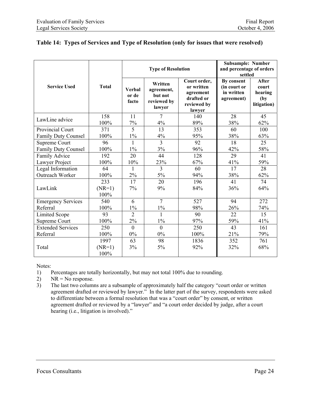|                            |                         |                                 | <b>Type of Resolution</b>                                 | <b>Subsample: Number</b><br>and percentage of orders<br>settled                |                                                        |                                                         |
|----------------------------|-------------------------|---------------------------------|-----------------------------------------------------------|--------------------------------------------------------------------------------|--------------------------------------------------------|---------------------------------------------------------|
| <b>Service Used</b>        | <b>Total</b>            | <b>Verbal</b><br>or de<br>facto | Written<br>agreement,<br>but not<br>reviewed by<br>lawyer | Court order,<br>or written<br>agreement<br>drafted or<br>reviewed by<br>lawyer | By consent<br>(in court or<br>in written<br>agreement) | <b>After</b><br>court<br>hearing<br>(by)<br>litigation) |
| LawLine advice             | 158                     | 11                              | 7                                                         | 140                                                                            | 28                                                     | 45                                                      |
|                            | 100%                    | 7%                              | 4%                                                        | 89%                                                                            | 38%                                                    | 62%                                                     |
| <b>Provincial Court</b>    | 371                     | $\overline{5}$                  | $\overline{13}$                                           | 353                                                                            | 60                                                     | 100                                                     |
| <b>Family Duty Counsel</b> | 100%                    | $1\%$                           | $4\%$                                                     | 95%                                                                            | 38%                                                    | 63%                                                     |
| Supreme Court              | 96                      | $\mathbf{1}$                    | $\overline{3}$                                            | 92                                                                             | 18                                                     | 25                                                      |
| Family Duty Counsel        | 100%                    | $1\%$                           | 3%                                                        | 96%                                                                            | 42%                                                    | 58%                                                     |
| Family Advice              | 192                     | 20                              | 44                                                        | 128                                                                            | 29                                                     | 41                                                      |
| Lawyer Project             | 100%                    | 10%                             | 23%                                                       | 67%                                                                            | 41%                                                    | 59%                                                     |
| Legal Information          | 64                      | 1                               | $\overline{3}$                                            | 60                                                                             | 17                                                     | 28                                                      |
| Outreach Worker            | 100%                    | 2%                              | $5\%$                                                     | 94%                                                                            | 38%                                                    | 62%                                                     |
| LawLink                    | 233<br>$(NR=1)$<br>100% | 17<br>7%                        | 20<br>9%                                                  | 196<br>84%                                                                     | 41<br>36%                                              | 74<br>64%                                               |
| <b>Emergency Services</b>  | 540                     | 6                               | $\overline{7}$                                            | 527                                                                            | 94                                                     | 272                                                     |
| Referral                   | 100%                    | $1\%$                           | $1\%$                                                     | 98%                                                                            | 26%                                                    | 74%                                                     |
| <b>Limited Scope</b>       | 93                      | $\overline{2}$                  |                                                           | 90                                                                             | 22                                                     | 15                                                      |
| Supreme Court              | 100%                    | 2%                              | $1\%$                                                     | 97%                                                                            | 59%                                                    | 41%                                                     |
| <b>Extended Services</b>   | 250                     | $\overline{0}$                  | $\mathbf{0}$                                              | 250                                                                            | 43                                                     | 161                                                     |
| Referral                   | 100%                    | $0\%$                           | 0%                                                        | 100%                                                                           | 21%                                                    | 79%                                                     |
|                            | 1997                    | 63                              | 98                                                        | 1836                                                                           | 352                                                    | 761                                                     |
| Total                      | $(NR=1)$<br>100%        | 3%                              | 5%                                                        | 92%                                                                            | 32%                                                    | 68%                                                     |

# <span id="page-32-0"></span>**Table 14: Types of Services and Type of Resolution (only for issues that were resolved)**

Notes:

1) Percentages are totally horizontally, but may not total 100% due to rounding.

2) NR = No response.

3) The last two columns are a subsample of approximately half the category "court order or written agreement drafted or reviewed by lawyer." In the latter part of the survey, respondents were asked to differentiate between a formal resolution that was a "court order" by consent, or written agreement drafted or reviewed by a "lawyer" and "a court order decided by judge, after a court hearing (i.e., litigation is involved)."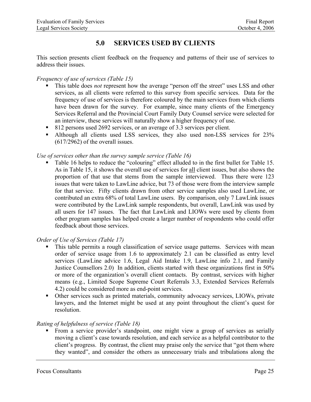# **5.0 SERVICES USED BY CLIENTS**

<span id="page-33-0"></span>This section presents client feedback on the frequency and patterns of their use of services to address their issues.

#### *Frequency of use of services (Table 15)*

- This table does *not* represent how the average "person off the street" uses LSS and other services, as all clients were referred to this survey from specific services. Data for the frequency of use of services is therefore coloured by the main services from which clients have been drawn for the survey. For example, since many clients of the Emergency Services Referral and the Provincial Court Family Duty Counsel service were selected for an interview, these services will naturally show a higher frequency of use.
- 812 persons used 2692 services, or an average of 3.3 services per client.
- Although all clients used LSS services, they also used non-LSS services for 23% (617/2962) of the overall issues.

#### *Use of services other than the survey sample service (Table 16)*

 Table 16 helps to reduce the "colouring" effect alluded to in the first bullet for Table 15. As in Table 15, it shows the overall use of services for all client issues, but also shows the proportion of that use that stems from the sample interviewed. Thus there were 123 issues that were taken to LawLine advice, but 73 of those were from the interview sample for that service. Fifty clients drawn from other service samples also used LawLine, or contributed an extra 68% of total LawLine users. By comparison, only 7 LawLink issues were contributed by the LawLink sample respondents, but overall, LawLink was used by all users for 147 issues. The fact that LawLink and LIOWs were used by clients from other program samples has helped create a larger number of respondents who could offer feedback about those services.

#### *Order of Use of Services (Table 17)*

- This table permits a rough classification of service usage patterns. Services with mean order of service usage from 1.6 to approximately 2.1 can be classified as entry level services (LawLine advice 1.6, Legal Aid Intake 1.9, LawLine info 2.1, and Family Justice Counsellors 2.0) In addition, clients started with these organizations first in 50% or more of the organization's overall client contacts. By contrast, services with higher means (e.g., Limited Scope Supreme Court Referrals 3.3, Extended Services Referrals 4.2) could be considered more as end-point services.
- Other services such as printed materials, community advocacy services, LIOWs, private lawyers, and the Internet might be used at any point throughout the client's quest for resolution.

#### *Rating of helpfulness of service (Table 18)*

 From a service provider's standpoint, one might view a group of services as serially moving a client's case towards resolution, and each service as a helpful contributor to the client's progress. By contrast, the client may praise only the service that "got them where they wanted", and consider the others as unnecessary trials and tribulations along the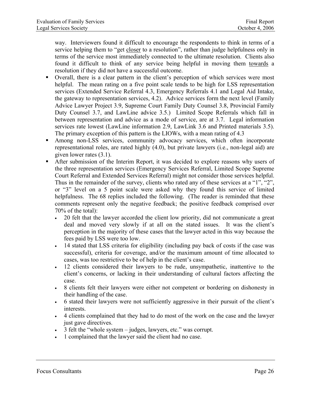way. Interviewers found it difficult to encourage the respondents to think in terms of a service helping them to "get closer to a resolution", rather than judge helpfulness only in terms of the service most immediately connected to the ultimate resolution. Clients also found it difficult to think of any service being helpful in moving them towards a resolution if they did not have a successful outcome.

- Overall, there is a clear pattern in the client's perception of which services were most helpful. The mean rating on a five point scale tends to be high for LSS representation services (Extended Service Referral 4.3, Emergency Referrals 4.1 and Legal Aid Intake, the gateway to representation services, 4.2). Advice services form the next level (Family Advice Lawyer Project 3.9, Supreme Court Family Duty Counsel 3.8, Provincial Family Duty Counsel 3.7, and LawLine advice 3.5.) Limited Scope Referrals which fall in between representation and advice as a mode of service, are at 3.7. Legal information services rate lowest (LawLine information 2.9, LawLink 3.6 and Printed materials 3.5). The primary exception of this pattern is the LIOWs, with a mean rating of 4.3
- Among non-LSS services, community advocacy services, which often incorporate representational roles, are rated highly (4.0), but private lawyers (i.e., non-legal aid) are given lower rates (3.1).
- After submission of the Interim Report, it was decided to explore reasons why users of the three representation services (Emergency Services Referral, Limited Scope Supreme Court Referral and Extended Services Referral) might not consider those services helpful. Thus in the remainder of the survey, clients who rated any of these services at a "1", "2", or "3" level on a 5 point scale were asked why they found this service of limited helpfulness. The 68 replies included the following. (The reader is reminded that these comments represent only the negative feedback; the positive feedback comprised over 70% of the total):
	- 20 felt that the lawyer accorded the client low priority, did not communicate a great deal and moved very slowly if at all on the stated issues. It was the client's perception in the majority of these cases that the lawyer acted in this way because the fees paid by LSS were too low.
	- 14 stated that LSS criteria for eligibility (including pay back of costs if the case was successful), criteria for coverage, and/or the maximum amount of time allocated to cases, was too restrictive to be of help in the client's case.
	- 12 clients considered their lawyers to be rude, unsympathetic, inattentive to the client's concerns, or lacking in their understanding of cultural factors affecting the case.
	- 8 clients felt their lawyers were either not competent or bordering on dishonesty in their handling of the case.
	- 6 stated their lawyers were not sufficiently aggressive in their pursuit of the client's interests.
	- 4 clients complained that they had to do most of the work on the case and the lawyer just gave directives.
	- 3 felt the "whole system judges, lawyers, etc." was corrupt.
	- 1 complained that the lawyer said the client had no case.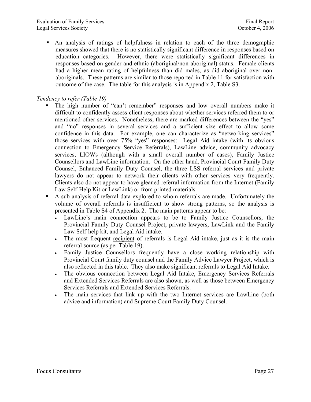An analysis of ratings of helpfulness in relation to each of the three demographic measures showed that there is no statistically significant difference in responses based on education categories. However, there were statistically significant differences in responses based on gender and ethnic (aboriginal/non-aboriginal) status. Female clients had a higher mean rating of helpfulness than did males, as did aboriginal over nonaboriginals. These patterns are similar to those reported in Table 11 for satisfaction with outcome of the case. The table for this analysis is in Appendix 2, Table S3.

#### *Tendency to refer (Table 19)*

- The high number of "can't remember" responses and low overall numbers make it difficult to confidently assess client responses about whether services referred them to or mentioned other services. Nonetheless, there are marked differences between the "yes" and "no" responses in several services and a sufficient size effect to allow some confidence in this data. For example, one can characterize as "networking services" those services with over 75% "yes" responses: Legal Aid intake (with its obvious connection to Emergency Service Referrals), LawLine advice, community advocacy services, LIOWs (although with a small overall number of cases), Family Justice Counsellors and LawLine information. On the other hand, Provincial Court Family Duty Counsel, Enhanced Family Duty Counsel, the three LSS referral services and private lawyers do not appear to network their clients with other services very frequently. Clients also do not appear to have gleaned referral information from the Internet (Family Law Self-Help Kit or LawLink) or from printed materials.
- A sub-analysis of referral data explored to whom referrals are made. Unfortunately the volume of overall referrals is insufficient to show strong patterns, so the analysis is presented in Table S4 of Appendix 2. The main patterns appear to be:
	- LawLine's main connection appears to be to Family Justice Counsellors, the Provincial Family Duty Counsel Project, private lawyers, LawLink and the Family Law Self-help kit, and Legal Aid intake.
	- The most frequent recipient of referrals is Legal Aid intake, just as it is the main referral source (as per Table 19).
	- Family Justice Counsellors frequently have a close working relationship with Provincial Court family duty counsel and the Family Advice Lawyer Project, which is also reflected in this table. They also make significant referrals to Legal Aid Intake.
	- The obvious connection between Legal Aid Intake, Emergency Services Referrals and Extended Services Referrals are also shown, as well as those between Emergency Services Referrals and Extended Services Referrals.
	- The main services that link up with the two Internet services are LawLine (both advice and information) and Supreme Court Family Duty Counsel.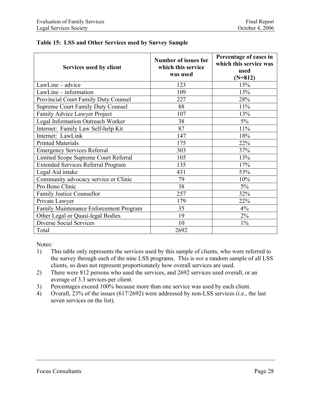| Services used by client                   | <b>Number of issues for</b><br>which this service<br>was used | Percentage of cases in<br>which this service was<br>used<br>$(N=812)$ |
|-------------------------------------------|---------------------------------------------------------------|-----------------------------------------------------------------------|
| LawLine - advice                          | 123                                                           | 15%                                                                   |
| LawLine - information                     | 109                                                           | 13%                                                                   |
| Provincial Court Family Duty Counsel      | 227                                                           | 28%                                                                   |
| <b>Supreme Court Family Duty Counsel</b>  | 88                                                            | 11%                                                                   |
| Family Advice Lawyer Project              | 107                                                           | 13%                                                                   |
| Legal Information Outreach Worker         | 38                                                            | $5\%$                                                                 |
| Internet: Family Law Self-help Kit        | 87                                                            | 11%                                                                   |
| Internet: LawLink                         | 147                                                           | 18%                                                                   |
| <b>Printed Materials</b>                  | 175                                                           | 22%                                                                   |
| <b>Emergency Services Referral</b>        | 303                                                           | 37%                                                                   |
| Limited Scope Supreme Court Referral      | 105                                                           | 13%                                                                   |
| <b>Extended Services Referral Program</b> | 135                                                           | 17%                                                                   |
| Legal Aid intake                          | 431                                                           | 53%                                                                   |
| Community advocacy service or Clinic      | 79                                                            | 10%                                                                   |
| Pro Bono Clinic                           | 38                                                            | $5\%$                                                                 |
| <b>Family Justice Counsellor</b>          | 257                                                           | 32%                                                                   |
| Private Lawyer                            | 179                                                           | 22%                                                                   |
| Family Maintenance Enforcement Program    | 35                                                            | 4%                                                                    |
| Other Legal or Quasi-legal Bodies         | 19                                                            | $2\%$                                                                 |
| <b>Diverse Social Services</b>            | 10                                                            | $1\%$                                                                 |
| Total                                     | 2692                                                          |                                                                       |

#### **Table 15: LSS and Other Services used by Survey Sample**

Notes:

- 1) This table only represents the services used by this sample of clients, who were referred to the survey through each of the nine LSS programs. This is *not* a random sample of all LSS clients, so does not represent proportionately how overall services are used.
- 2) There were 812 persons who used the services, and 2692 services used overall, or an average of 3.3 services per client.
- 3) Percentages exceed 100% because more than one service was used by each client.
- 4) Overall, 23% of the issues (617/2692) were addressed by non-LSS services (i.e., the last seven services on the list).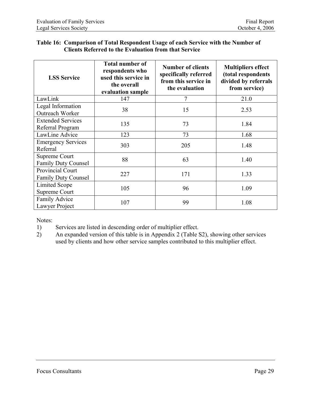#### **Table 16: Comparison of Total Respondent Usage of each Service with the Number of Clients Referred to the Evaluation from that Service**

| <b>LSS Service</b>                             | <b>Total number of</b><br>respondents who<br>used this service in<br>the overall<br>evaluation sample | <b>Number of clients</b><br>specifically referred<br>from this service in<br>the evaluation | <b>Multipliers effect</b><br>(total respondents<br>divided by referrals<br>from service) |
|------------------------------------------------|-------------------------------------------------------------------------------------------------------|---------------------------------------------------------------------------------------------|------------------------------------------------------------------------------------------|
| LawLink                                        | 147                                                                                                   | 7                                                                                           | 21.0                                                                                     |
| Legal Information<br>Outreach Worker           | 38                                                                                                    | 15                                                                                          | 2.53                                                                                     |
| <b>Extended Services</b><br>Referral Program   | 135                                                                                                   | 73                                                                                          | 1.84                                                                                     |
| LawLine Advice                                 | 123                                                                                                   | 73                                                                                          | 1.68                                                                                     |
| <b>Emergency Services</b><br>Referral          | 303                                                                                                   | 205                                                                                         | 1.48                                                                                     |
| Supreme Court<br><b>Family Duty Counsel</b>    | 88                                                                                                    | 63                                                                                          | 1.40                                                                                     |
| Provincial Court<br><b>Family Duty Counsel</b> | 227                                                                                                   | 171                                                                                         | 1.33                                                                                     |
| Limited Scope<br>Supreme Court                 | 105                                                                                                   | 96                                                                                          | 1.09                                                                                     |
| Family Advice<br>Lawyer Project                | 107                                                                                                   | 99                                                                                          | 1.08                                                                                     |

Notes:

- 1) Services are listed in descending order of multiplier effect.
- 2) An expanded version of this table is in Appendix 2 (Table S2), showing other services used by clients and how other service samples contributed to this multiplier effect.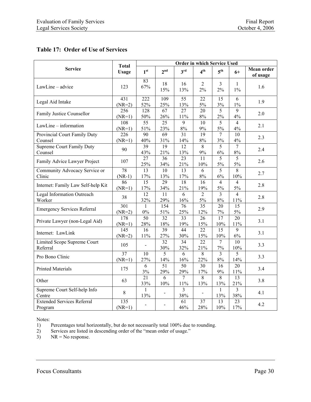### **Table 17: Order of Use of Services**

|                                              | <b>Total</b>                 | Order in which Service Used |                          |                         |                         |                         |                         |                               |
|----------------------------------------------|------------------------------|-----------------------------|--------------------------|-------------------------|-------------------------|-------------------------|-------------------------|-------------------------------|
| <b>Service</b>                               | <b>Usage</b>                 | 1 <sup>st</sup>             | 2 <sup>nd</sup>          | 3 <sup>rd</sup>         | 4 <sup>th</sup>         | 5 <sup>th</sup>         | $6+$                    | <b>Mean order</b><br>of usage |
| LawLine - advice                             | 123                          | 83<br>67%                   | 18<br>15%                | 16<br>13%               | $\overline{2}$<br>2%    | 3<br>$2\%$              | $\mathbf{1}$<br>$1\%$   | 1.6                           |
| Legal Aid Intake                             | 431<br>$(NR=2)$              | 222<br>52%                  | 109<br>25%               | 55<br>13%               | 22<br>5%                | 15<br>3%                | 6<br>$1\%$              | 1.9                           |
| Family Justice Counsellor                    | 256<br>$(NR=1)$              | 128<br>50%                  | 67<br>26%                | 27<br>11%               | 20<br>$8\%$             | $\overline{5}$<br>$2\%$ | 9<br>4%                 | 2.0                           |
| LawLine - information                        | 108<br>$(NR=1)$              | $\overline{55}$<br>51%      | $\overline{25}$<br>23%   | $\overline{9}$<br>$8\%$ | 10<br>9%                | $\overline{5}$<br>$5\%$ | $\overline{4}$<br>4%    | 2.1                           |
| Provincial Court Family Duty<br>Counsel      | $\overline{226}$<br>$(NR=1)$ | $\overline{90}$<br>40%      | 69<br>31%                | $\overline{31}$<br>14%  | 19<br>$8\%$             | $\overline{7}$<br>$3\%$ | 10<br>4%                | 2.3                           |
| Supreme Court Family Duty<br>Counsel         | 90                           | 39<br>43%                   | $\overline{19}$<br>21%   | 12<br>13%               | 8<br>$9\%$              | $\overline{5}$<br>$6\%$ | $\overline{7}$<br>$8\%$ | 2.4                           |
| Family Advice Lawyer Project                 | 107                          | 27<br>25%                   | 36<br>34%                | 23<br>21%               | 11<br>10%               | $\overline{5}$<br>5%    | 5<br>$5\%$              | 2.6                           |
| Community Advocacy Service or<br>Clinic      | 78<br>$(NR-1)$               | 13<br>$17\%$                | 10<br>13%                | 13<br>$17\%$            | 6<br>$8\%$              | 5<br>6%                 | 8<br>10%                | 2.7                           |
| Internet: Family Law Self-help Kit           | 86<br>$(NR=1)$               | $\overline{15}$<br>17%      | $\overline{29}$<br>34%   | $\overline{18}$<br>21%  | $\overline{16}$<br>19%  | $\overline{4}$<br>5%    | $\overline{4}$<br>5%    | 2.8                           |
| <b>Legal Information Outreach</b><br>Worker  | 38                           | $\overline{12}$<br>32%      | 11<br>29%                | 6<br>$16\%$             | $\overline{2}$<br>$5\%$ | $\overline{3}$<br>$8\%$ | $\overline{4}$<br>11%   | 2.8                           |
| <b>Emergency Services Referral</b>           | 301<br>$(NR=2)$              | $\mathbf{1}$<br>$0\%$       | 154<br>51%               | 76<br>25%               | 35<br>12%               | 20<br>$7\%$             | 15<br>5%                | 2.9                           |
| Private Lawyer (non-Legal Aid)               | 178<br>$(NR=1)$              | 50<br>28%                   | 32<br>$18\%$             | 33<br>19%               | 26<br>15%               | 17<br>$10\%$            | 20<br>$11\%$            | 3.1                           |
| Internet: LawLink                            | 145<br>$(NR=2)$              | 16<br>11%                   | 39<br>27%                | 44<br>30%               | 22<br>15%               | 15<br>10%               | 9<br>6%                 | 3.1                           |
| Limited Scope Supreme Court<br>Referral      | 105                          | $\blacksquare$              | $\overline{32}$<br>30%   | $\overline{34}$<br>32%  | $\overline{22}$<br>21%  | $\overline{7}$<br>$7\%$ | 10<br>$10\%$            | 3.3                           |
| Pro Bono Clinic                              | 37<br>$(NR=1)$               | 10<br>27%                   | 5<br>14%                 | 6<br>16%                | $\overline{8}$<br>22%   | $\overline{3}$<br>$8\%$ | $\overline{5}$<br>14%   | 3.3                           |
| <b>Printed Materials</b>                     | 175                          | 6<br>3%                     | 51<br>29%                | 50<br>29%               | 30<br>17%               | 16<br>$9\%$             | 20<br>$11\%$            | 3.4                           |
| Other                                        | 63                           | 21<br>33%                   | $\overline{6}$<br>$10\%$ | 7<br>$11\%$             | 8<br>13%                | $\overline{8}$<br>13%   | 13<br>21%               | 3.8                           |
| Supreme Court Self-help Info<br>Centre       | $8\,$                        | $\mathbf{1}$<br>13%         |                          | $\overline{3}$<br>38%   |                         | $\mathbf{1}$<br>13%     | $\overline{3}$<br>38%   | 4.1                           |
| <b>Extended Services Referral</b><br>Program | 135<br>$(NR=1)$              |                             |                          | 61<br>46%               | 37<br>28%               | 13<br>10%               | 23<br>17%               | 4.2                           |

Notes:

1) Percentages total horizontally, but do not necessarily total 100% due to rounding.

2) Services are listed in descending order of the "mean order of usage."

3) NR = No response.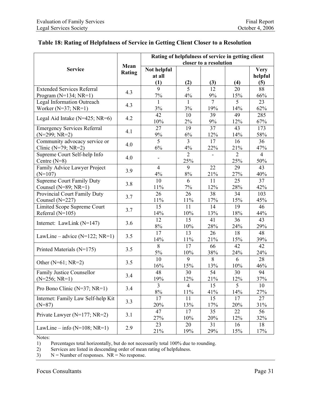#### **Table 18: Rating of Helpfulness of Service in Getting Client Closer to a Resolution**

|                                     |        | Rating of helpfulness of service in getting client |                |                        |                |                |  |  |  |
|-------------------------------------|--------|----------------------------------------------------|----------------|------------------------|----------------|----------------|--|--|--|
|                                     | Mean   |                                                    |                | closer to a resolution |                |                |  |  |  |
| <b>Service</b>                      | Rating | Not helpful                                        |                |                        |                | <b>Very</b>    |  |  |  |
|                                     |        | at all                                             |                |                        |                | helpful        |  |  |  |
|                                     |        | (1)                                                | (2)            | (3)                    | (4)            | (5)            |  |  |  |
| <b>Extended Services Referral</b>   | 4.3    | $\overline{9}$                                     | $\overline{5}$ | 12                     | 20             | 88             |  |  |  |
| Program $(N=134; NR=1)$             |        | $7\%$                                              | $4\%$          | 9%                     | 15%            | 66%            |  |  |  |
| <b>Legal Information Outreach</b>   | 4.3    | $\mathbf{1}$                                       | 1              | $\overline{7}$         | $\overline{5}$ | 23             |  |  |  |
| Worker ( $N=37$ ; $NR=1$ )          |        | $3\%$                                              | 3%             | 19%                    | 14%            | 62%            |  |  |  |
|                                     | 4.2    | 42                                                 | 10             | 39                     | 49             | 285            |  |  |  |
| Legal Aid Intake (N=425; NR=6)      |        | 10%                                                | 2%             | 9%                     | 12%            | 67%            |  |  |  |
| <b>Emergency Services Referral</b>  | 4.1    | 27                                                 | 19             | 37                     | 43             | 173            |  |  |  |
| $(N=299; NR=2)$                     |        | 9%                                                 | $6\%$          | 12%                    | 14%            | 58%            |  |  |  |
| Community advocacy service or       | 4.0    | 5                                                  | $\overline{3}$ | 17                     | 16             | 36             |  |  |  |
| Clinic ( $N=79$ ; $NR=2$ )          |        | 6%                                                 | 4%             | 22%                    | 21%            | 47%            |  |  |  |
| Supreme Court Self-help Info        | 4.0    |                                                    | $\overline{2}$ |                        | $\overline{2}$ | $\overline{4}$ |  |  |  |
| Centre $(N=8)$                      |        |                                                    | 25%            |                        | 25%            | 50%            |  |  |  |
| Family Advice Lawyer Project        |        | $\overline{4}$                                     | 9              | 22                     | 29             | 43             |  |  |  |
| $(N=107)$                           | 3.9    | $4\%$                                              | $8\%$          | 21%                    | 27%            | 40%            |  |  |  |
| <b>Supreme Court Family Duty</b>    |        | 10                                                 | 6              | 11                     | 25             | 37             |  |  |  |
| Counsel (N=89; NR=1)                | 3.8    | $11\%$                                             | $7\%$          | 12%                    | 28%            | 42%            |  |  |  |
| Provincial Court Family Duty        |        | 26                                                 | 26             | 38                     | 34             | 103            |  |  |  |
| Counsel (N=227)                     | 3.7    | 11%                                                | $11\%$         | 17%                    | 15%            | 45%            |  |  |  |
| Limited Scope Supreme Court         |        | 15                                                 | 11             | 14                     | 19             | 46             |  |  |  |
| Referral $(N=105)$                  | 3.7    | 14%                                                | 10%            | 13%                    | 18%            | 44%            |  |  |  |
|                                     |        | 12                                                 | 15             | 41                     | 36             | 43             |  |  |  |
| Internet: LawLink $(N=147)$         | 3.6    | $8\%$                                              | 10%            | 28%                    | 24%            | 29%            |  |  |  |
|                                     |        | 17                                                 | 13             | 26                     | 18             | 48             |  |  |  |
| LawLine – advice $(N=122; NR=1)$    | 3.5    | 14%                                                | 11%            | 21%                    | 15%            | 39%            |  |  |  |
|                                     |        | 8                                                  | 17             | 66                     | 42             | 42             |  |  |  |
| Printed Materials (N=175)           | 3.5    | $5\%$                                              | 10%            | 38%                    | 24%            | 24%            |  |  |  |
|                                     |        | 10                                                 | 9              | 8                      | 6              | 28             |  |  |  |
| Other ( $N=61$ ; $NR=2$ )           | 3.5    | 16%                                                | 15%            | 13%                    | 10%            | 46%            |  |  |  |
| Family Justice Counsellor           |        | 48                                                 | 30             | 54                     | 30             | 94             |  |  |  |
| $(N=256; NR=1)$                     | 3.4    | 19%                                                | 12%            | 21%                    | 12%            | 37%            |  |  |  |
|                                     |        | $\overline{3}$                                     | $\overline{4}$ | 15                     | 5              | 10             |  |  |  |
| Pro Bono Clinic ( $N=37$ ; $NR=1$ ) | 3.4    | $8\%$                                              | 11%            | 41%                    | 14%            | 27%            |  |  |  |
| Internet: Family Law Self-help Kit  |        | 17                                                 | 11             | 15                     | 17             | 27             |  |  |  |
| $(N=87)$                            | 3.3    | 20%                                                | 13%            | 17%                    | 20%            | 31%            |  |  |  |
|                                     |        | 47                                                 | 17             | 35                     | 22             | 56             |  |  |  |
| Private Lawyer ( $N=177$ ; $NR=2$ ) | 3.1    | 27%                                                | 10%            | 20%                    | 12%            | 32%            |  |  |  |
|                                     |        | 23                                                 | 20             | 31                     | 16             | 18             |  |  |  |
| LawLine – info $(N=108; NR=1)$      | 2.9    | 21%                                                | 19%            | 29%                    | 15%            | 17%            |  |  |  |

Notes:

1) Percentages total horizontally, but do not necessarily total 100% due to rounding.<br>
2) Services are listed in descending order of mean rating of helpfulness.

Services are listed in descending order of mean rating of helpfulness.

 $3)$  N = Number of responses. NR = No response.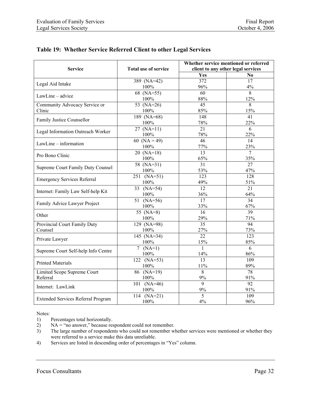|  |  |  | Table 19: Whether Service Referred Client to other Legal Services |
|--|--|--|-------------------------------------------------------------------|
|  |  |  |                                                                   |

| <b>Service</b>                            | Total use of service            |                  | Whether service mentioned or referred<br>client to any other legal services |  |  |  |
|-------------------------------------------|---------------------------------|------------------|-----------------------------------------------------------------------------|--|--|--|
|                                           |                                 | Yes              | N <sub>0</sub>                                                              |  |  |  |
|                                           | 389 (NA=42)                     | $\overline{372}$ | 17                                                                          |  |  |  |
| Legal Aid Intake                          | 100%                            | 96%              | 4%                                                                          |  |  |  |
| LawLine - advice                          | $68 \overline{(NA=55)}$<br>100% | 60<br>88%        | $\overline{8}$<br>12%                                                       |  |  |  |
| Community Advocacy Service or             | 53 $(NA=26)$                    | $\overline{45}$  | 8                                                                           |  |  |  |
| Clinic                                    | 100%                            | 85%              | 15%                                                                         |  |  |  |
|                                           | $189$ (NA=68)                   | 148              | 41                                                                          |  |  |  |
| Family Justice Counsellor                 | 100%                            | 78%              | 22%                                                                         |  |  |  |
|                                           | $27 (NA=11)$                    | 21               | 6                                                                           |  |  |  |
| Legal Information Outreach Worker         | 100%                            | 78%              | 22%                                                                         |  |  |  |
|                                           | $60 \overline{(NA=49)}$         | 46               | 14                                                                          |  |  |  |
| LawLine - information                     | 100%                            | 77%              | 23%                                                                         |  |  |  |
|                                           | $20 (NA=18)$                    | $\overline{13}$  | $\overline{7}$                                                              |  |  |  |
| Pro Bono Clinic                           | 100%                            | 65%              | 35%                                                                         |  |  |  |
|                                           | 58 $(NA=31)$                    | $\overline{31}$  | 27                                                                          |  |  |  |
| Supreme Court Family Duty Counsel         | 100%                            | 53%              | 47%                                                                         |  |  |  |
|                                           | $251 \overline{(NA=51)}$        | $\overline{123}$ | $\overline{128}$                                                            |  |  |  |
| <b>Emergency Services Referral</b>        | 100%                            | 49%              | 51%                                                                         |  |  |  |
| Internet: Family Law Self-help Kit        | $33 \overline{(NA=54)}$         | $\overline{12}$  | $\overline{21}$                                                             |  |  |  |
|                                           | 100%                            | 36%              | 64%                                                                         |  |  |  |
| Family Advice Lawyer Project              | $51 \over (NA=56)$              | $\overline{17}$  | 34                                                                          |  |  |  |
|                                           | 100%                            | 33%              | 67%                                                                         |  |  |  |
| Other                                     | 55 $(NA=8)$                     | 16               | $\overline{39}$                                                             |  |  |  |
|                                           | 100%                            | 29%              | 71%                                                                         |  |  |  |
| Provincial Court Family Duty              | $129 (NA=98)$                   | $\overline{35}$  | $\overline{94}$                                                             |  |  |  |
| Counsel                                   | 100%                            | 27%              | 73%                                                                         |  |  |  |
| Private Lawyer                            | 145 (NA=34)                     | $\overline{22}$  | 123                                                                         |  |  |  |
|                                           | 100%                            | 15%              | 85%                                                                         |  |  |  |
| Supreme Court Self-help Info Centre       | $7 (NA=1)$                      | $\mathbf{1}$     | $\overline{6}$                                                              |  |  |  |
|                                           | 100%                            | 14%              | 86%                                                                         |  |  |  |
| <b>Printed Materials</b>                  | $122 (NA=53)$                   | $\overline{13}$  | 109                                                                         |  |  |  |
|                                           | 100%                            | 11%              | 89%                                                                         |  |  |  |
| Limited Scope Supreme Court               | $86$ (NA=19)                    | 8                | $\overline{78}$                                                             |  |  |  |
| Referral                                  | 100%                            | 9%               | 91%                                                                         |  |  |  |
| Internet: LawLink                         | $101 (NA=46)$                   | $\mathbf{Q}$     | 92                                                                          |  |  |  |
|                                           | 100%                            | $9\%$            | 91%                                                                         |  |  |  |
| <b>Extended Services Referral Program</b> | 114 $(NA=21)$                   | $\overline{5}$   | 109                                                                         |  |  |  |
|                                           | 100%                            | 4%               | 96%                                                                         |  |  |  |

Notes:

1) Percentages total horizontally.<br>2) NA = "no answer," because res

 $NA = "no answer," because respondent could not remember.$ 

3) The large number of respondents who could not remember whether services were mentioned or whether they were referred to a service make this data unreliable.

4) Services are listed in descending order of percentages in "Yes" column.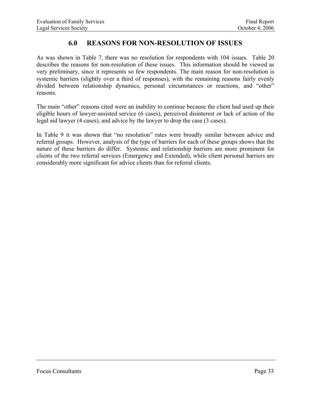## **6.0 REASONS FOR NON-RESOLUTION OF ISSUES**

As was shown in Table 7, there was no resolution for respondents with 104 issues. Table 20 describes the reasons for non-resolution of these issues. This information should be viewed as very preliminary, since it represents so few respondents. The main reason for non-resolution is systemic barriers (slightly over a third of responses), with the remaining reasons fairly evenly divided between relationship dynamics, personal circumstances or reactions, and "other" reasons.

The main "other" reasons cited were an inability to continue because the client had used up their eligible hours of lawyer-assisted service (6 cases), perceived disinterest or lack of action of the legal aid lawyer (4 cases), and advice by the lawyer to drop the case (3 cases).

In Table 9 it was shown that "no resolution" rates were broadly similar between advice and referral groups. However, analysis of the type of barriers for each of these groups shows that the nature of these barriers do differ. Systemic and relationship barriers are more prominent for clients of the two referral services (Emergency and Extended), while client personal barriers are considerably more significant for advice clients than for referral clients.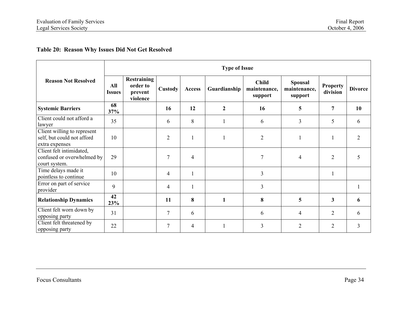#### **Table 20: Reason Why Issues Did Not Get Resolved**

|                                                                             |                      |                                                       |                |                |                  | <b>Type of Issue</b>                    |                                           |                             |                |  |
|-----------------------------------------------------------------------------|----------------------|-------------------------------------------------------|----------------|----------------|------------------|-----------------------------------------|-------------------------------------------|-----------------------------|----------------|--|
| <b>Reason Not Resolved</b>                                                  | All<br><b>Issues</b> | <b>Restraining</b><br>order to<br>prevent<br>violence | Custody        | Access         | Guardianship     | <b>Child</b><br>maintenance,<br>support | <b>Spousal</b><br>maintenance,<br>support | <b>Property</b><br>division | <b>Divorce</b> |  |
| <b>Systemic Barriers</b>                                                    | 68<br>37%            |                                                       | 16             | 12             | $\boldsymbol{2}$ | 16                                      | 5                                         | 7                           | 10             |  |
| Client could not afford a<br>lawyer                                         | 35                   |                                                       | 6              | 8              |                  | 6                                       | $\overline{3}$                            | 5                           | 6              |  |
| Client willing to represent<br>self, but could not afford<br>extra expenses | 10                   |                                                       | $\overline{2}$ |                |                  | $\overline{2}$                          |                                           | $\mathbf{1}$                | $\overline{2}$ |  |
| Client felt intimidated,<br>confused or overwhelmed by<br>court system.     | 29                   |                                                       | 7              | $\overline{4}$ |                  | $\overline{7}$                          | $\overline{4}$                            | $\overline{2}$              | 5              |  |
| Time delays made it<br>pointless to continue                                | 10                   |                                                       | $\overline{4}$ |                |                  | 3                                       |                                           | $\mathbf{1}$                |                |  |
| Error on part of service<br>provider                                        | 9                    |                                                       | $\overline{4}$ |                |                  | 3                                       |                                           |                             |                |  |
| <b>Relationship Dynamics</b>                                                | 42<br>23%            |                                                       | 11             | 8              | $\mathbf{1}$     | 8                                       | 5                                         | $\mathbf{3}$                | 6              |  |
| Client felt worn down by<br>opposing party                                  | 31                   |                                                       | $\overline{7}$ | 6              |                  | 6                                       | $\overline{4}$                            | $\overline{2}$              | 6              |  |
| Client felt threatened by<br>opposing party                                 | 22                   |                                                       | $\overline{7}$ | 4              |                  | $\mathfrak{Z}$                          | $\overline{2}$                            | $\overline{2}$              | 3              |  |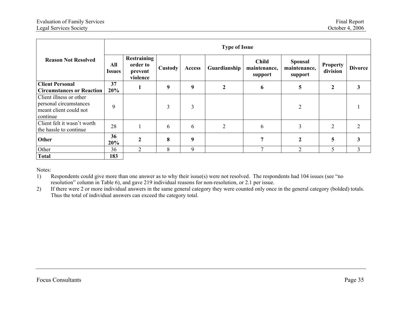|                                                                                         | <b>Type of Issue</b> |                                                |                |               |                  |                                         |                                           |                             |                |  |  |
|-----------------------------------------------------------------------------------------|----------------------|------------------------------------------------|----------------|---------------|------------------|-----------------------------------------|-------------------------------------------|-----------------------------|----------------|--|--|
| <b>Reason Not Resolved</b>                                                              | All<br>Issues        | Restraining<br>order to<br>prevent<br>violence | <b>Custody</b> | <b>Access</b> | Guardianship     | <b>Child</b><br>maintenance,<br>support | <b>Spousal</b><br>maintenance,<br>support | <b>Property</b><br>division | <b>Divorce</b> |  |  |
| <b>Client Personal</b>                                                                  | 37                   |                                                | 9              | 9             | $\boldsymbol{2}$ | 6                                       | 5                                         | $\boldsymbol{2}$            | 3              |  |  |
| <b>Circumstances or Reaction</b>                                                        | 20%                  |                                                |                |               |                  |                                         |                                           |                             |                |  |  |
| Client illness or other<br>personal circumstances<br>meant client could not<br>continue | 9                    |                                                | 3              | 3             |                  |                                         | $\overline{2}$                            |                             |                |  |  |
| Client felt it wasn't worth<br>the hassle to continue                                   | 28                   |                                                | 6              | 6             | 2                | 6                                       | 3                                         | $\overline{2}$              |                |  |  |
| Other                                                                                   | 36<br>20%            | $\mathbf{2}$                                   | 8              | 9             |                  | 7                                       | 2                                         | 5                           | 3              |  |  |
| Other                                                                                   | 36                   | $\overline{2}$                                 | 8              | 9             |                  | $\mathcal{I}$                           | 2                                         | 5                           | 3              |  |  |
| <b>Total</b>                                                                            | 183                  |                                                |                |               |                  |                                         |                                           |                             |                |  |  |

Notes:

1) Respondents could give more than one answer as to why their issue(s) were not resolved. The respondents had 104 issues (see "no resolution" column in Table 6), and gave 219 individual reasons for non-resolution, or 2.1 per issue.

2) If there were 2 or more individual answers in the same general category they were counted only once in the general category (bolded) totals. Thus the total of individual answers can exceed the category total.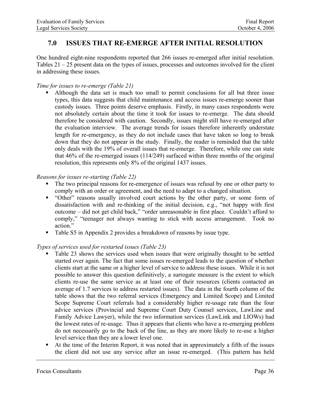## **7.0 ISSUES THAT RE-EMERGE AFTER INITIAL RESOLUTION**

One hundred eight-nine respondents reported that 266 issues re-emerged after initial resolution. Tables 21 – 25 present data on the types of issues, processes and outcomes involved for the client in addressing these issues.

#### *Time for issues to re-emerge (Table 21)*

 Although the data set is much too small to permit conclusions for all but three issue types, this data suggests that child maintenance and access issues re-emerge sooner than custody issues. Three points deserve emphasis. Firstly, in many cases respondents were not absolutely certain about the time it took for issues to re-emerge. The data should therefore be considered with caution. Secondly, issues might still have re-emerged after the evaluation interview. The average trends for issues therefore inherently understate length for re-emergency, as they do not include cases that have taken so long to break down that they do not appear in the study. Finally, the reader is reminded that the table only deals with the 19% of overall issues that re-emerge. Therefore, while one can state that 46% of the re-emerged issues (114/249) surfaced within three months of the original resolution, this represents only 8% of the original 1437 issues.

#### *Reasons for issues re-starting (Table 22)*

- The two principal reasons for re-emergence of issues was refusal by one or other party to comply with an order or agreement, and the need to adapt to a changed situation.
- "Other" reasons usually involved court actions by the other party, or some form of dissatisfaction with and re-thinking of the initial decision, e.g., "not happy with first outcome – did not get child back," "order unreasonable in first place. Couldn't afford to comply," "teenager not always wanting to stick with access arrangement. Took no action."
- Table S5 in Appendix 2 provides a breakdown of reasons by issue type.

#### *Types of services used for restarted issues (Table 23)*

- Table 23 shows the services used when issues that were originally thought to be settled started over again. The fact that some issues re-emerged leads to the question of whether clients start at the same or a higher level of service to address these issues. While it is not possible to answer this question definitively, a surrogate measure is the extent to which clients re-use the same service as at least one of their resources (clients contacted an average of 1.7 services to address restarted issues). The data in the fourth column of the table shows that the two referral services (Emergency and Limited Scope) and Limited Scope Supreme Court referrals had a considerably higher re-usage rate than the four advice services (Provincial and Supreme Court Duty Counsel services, LawLine and Family Advice Lawyer), while the two information services (LawLink and LIOWs) had the lowest rates of re-usage. Thus it appears that clients who have a re-emerging problem do not necessarily go to the back of the line, as they are more likely to re-use a higher level service than they are a lower level one.
- At the time of the Interim Report, it was noted that in approximately a fifth of the issues the client did not use any service after an issue re-emerged. (This pattern has held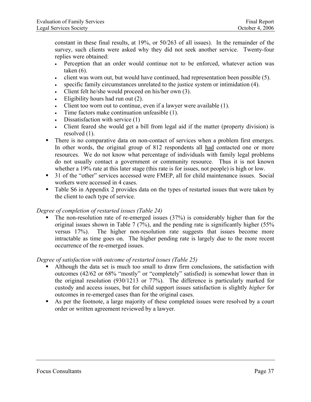constant in these final results, at 19%, or 50/263 of all issues). In the remainder of the survey, such clients were asked why they did not seek another service. Twenty-four replies were obtained:

- Perception that an order would continue not to be enforced, whatever action was taken  $(6)$ .
- client was worn out, but would have continued, had representation been possible (5).
- specific family circumstances unrelated to the justice system or intimidation  $(4)$ .
- Client felt he/she would proceed on his/her own (3).
- Eligibility hours had run out (2).
- Client too worn out to continue, even if a lawyer were available (1).
- Time factors make continuation unfeasible (1).
- Dissatisfaction with service (1)
- Client feared she would get a bill from legal aid if the matter (property division) is resolved (1).
- There is no comparative data on non-contact of services when a problem first emerges. In other words, the original group of 812 respondents all had contacted one or more resources. We do not know what percentage of individuals with family legal problems do not usually contact a government or community resource. Thus it is not known whether a 19% rate at this later stage (this rate is for issues, not people) is high or low.
- <sup>31</sup> of the "other" services accessed were FMEP, all for child maintenance issues. Social workers were accessed in 4 cases.
- Table S6 in Appendix 2 provides data on the types of restarted issues that were taken by the client to each type of service.

#### *Degree of completion of restarted issues (Table 24)*

 The non-resolution rate of re-emerged issues (37%) is considerably higher than for the original issues shown in Table 7 (7%), and the pending rate is significantly higher (55% versus 17%). The higher non-resolution rate suggests that issues become more intractable as time goes on. The higher pending rate is largely due to the more recent occurrence of the re-emerged issues.

#### *Degree of satisfaction with outcome of restarted issues (Table 25)*

- Although the data set is much too small to draw firm conclusions, the satisfaction with outcomes (42/62 or 68% "mostly" or "completely" satisfied) is somewhat lower than in the original resolution (930/1213 or 77%). The difference is particularly marked for custody and access issues, but for child support issues satisfaction is slightly *higher* for outcomes in re-emerged cases than for the original cases.
- As per the footnote, a large majority of these completed issues were resolved by a court order or written agreement reviewed by a lawyer.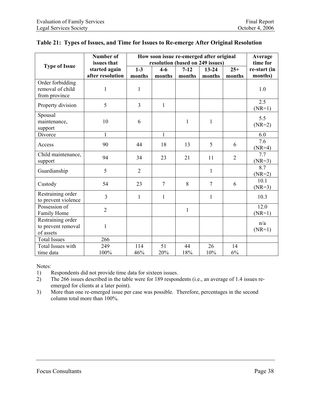|                      | <b>Number of</b><br>How soon issue re-emerged after original |                |                                  |              |                |                |              |  |
|----------------------|--------------------------------------------------------------|----------------|----------------------------------|--------------|----------------|----------------|--------------|--|
| <b>Type of Issue</b> | issues that                                                  |                | resolution (based on 249 issues) |              |                |                | time for     |  |
|                      | started again                                                | $1-3$          | $4 - 6$                          | $7 - 12$     | $13 - 24$      | $25+$          | re-start (in |  |
|                      | after resolution                                             | months         | months                           | months       | months         | months         | months)      |  |
| Order forbidding     |                                                              |                |                                  |              |                |                |              |  |
| removal of child     | 1                                                            | $\mathbf{1}$   |                                  |              |                |                | 1.0          |  |
| from province        |                                                              |                |                                  |              |                |                |              |  |
| Property division    | 5                                                            | 3              | $\mathbf{1}$                     |              |                |                | 2.5          |  |
|                      |                                                              |                |                                  |              |                |                | $(NR=1)$     |  |
| Spousal              |                                                              |                |                                  |              |                |                | 5.5          |  |
| maintenance,         | 10                                                           | 6              |                                  | 1            | $\mathbf{1}$   |                | $(NR=2)$     |  |
| support              |                                                              |                |                                  |              |                |                |              |  |
| Divorce              | $\mathbf{1}$                                                 |                | $\mathbf{1}$                     |              |                |                | 6.0          |  |
| Access               | 90                                                           | 44             | 18                               | 13           | 5              | 6              | 7.6          |  |
|                      |                                                              |                |                                  |              |                |                | $(NR=4)$     |  |
| Child maintenance,   | 94                                                           | 34             | 23                               | 21           | 11             | $\overline{2}$ | 7.7          |  |
| support              |                                                              |                |                                  |              |                |                | $(NR=3)$     |  |
| Guardianship         | 5                                                            | $\overline{2}$ |                                  |              | $\mathbf{1}$   |                | 8.7          |  |
|                      |                                                              |                |                                  |              |                |                | $(NR=2)$     |  |
| Custody              | 54                                                           | 23             | $\overline{7}$                   | 8            | $\overline{7}$ | 6              | 10.1         |  |
|                      |                                                              |                |                                  |              |                |                | $(NR=3)$     |  |
| Restraining order    | 3                                                            | $\mathbf{1}$   | 1                                |              | $\mathbf{1}$   |                | 10.3         |  |
| to prevent violence  |                                                              |                |                                  |              |                |                |              |  |
| Possession of        | $\overline{2}$                                               |                |                                  | $\mathbf{1}$ |                |                | 12.0         |  |
| Family Home          |                                                              |                |                                  |              |                |                | $(NR=1)$     |  |
| Restraining order    |                                                              |                |                                  |              |                |                | n/a          |  |
| to prevent removal   | $\mathbf{1}$                                                 |                |                                  |              |                |                | $(NR=1)$     |  |
| of assets            |                                                              |                |                                  |              |                |                |              |  |
| <b>Total Issues</b>  | 266                                                          |                |                                  |              |                |                |              |  |
| Total Issues with    | 249                                                          | 114            | 51                               | 44           | 26             | 14             |              |  |
| time data            | 100%                                                         | 46%            | 20%                              | 18%          | 10%            | 6%             |              |  |

### **Table 21: Types of Issues, and Time for Issues to Re-emerge After Original Resolution**

Notes:

1) Respondents did not provide time data for sixteen issues.

2) The 266 issues described in the table were for 189 respondents (i.e., an average of 1.4 issues reemerged for clients at a later point).

3) More than one re-emerged issue per case was possible. Therefore, percentages in the second column total more than 100%.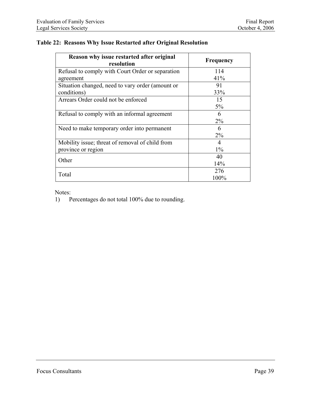#### **Table 22: Reasons Why Issue Restarted after Original Resolution**

| Reason why issue restarted after original<br>resolution | Frequency |  |  |
|---------------------------------------------------------|-----------|--|--|
| Refusal to comply with Court Order or separation        | 114       |  |  |
| agreement                                               | 41%       |  |  |
| Situation changed, need to vary order (amount or        | 91        |  |  |
| conditions)                                             | 33%       |  |  |
| Arrears Order could not be enforced                     | 15        |  |  |
|                                                         | 5%        |  |  |
| Refusal to comply with an informal agreement            | 6         |  |  |
|                                                         | $2\%$     |  |  |
| Need to make temporary order into permanent             | 6         |  |  |
|                                                         | $2\%$     |  |  |
| Mobility issue; threat of removal of child from         | 4         |  |  |
| province or region                                      | $1\%$     |  |  |
| Other                                                   | 40        |  |  |
|                                                         | 14%       |  |  |
|                                                         | 276       |  |  |
| Total                                                   | 100%      |  |  |

Notes:<br>1) P

Percentages do not total 100% due to rounding.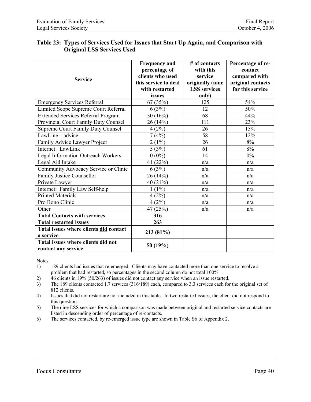#### **Table 23: Types of Services Used for Issues that Start Up Again, and Comparison with Original LSS Services Used**

| <b>Service</b>                                            | <b>Frequency and</b><br>percentage of<br>clients who used<br>this service to deal<br>with restarted | # of contacts<br>with this<br>service<br>originally (nine<br><b>LSS</b> services | Percentage of re-<br>contact<br>compared with<br>original contacts<br>for this service |
|-----------------------------------------------------------|-----------------------------------------------------------------------------------------------------|----------------------------------------------------------------------------------|----------------------------------------------------------------------------------------|
|                                                           | issues                                                                                              | only)                                                                            |                                                                                        |
| <b>Emergency Services Referral</b>                        | 67(35%)                                                                                             | 125                                                                              | 54%                                                                                    |
| Limited Scope Supreme Court Referral                      | 6(3%)                                                                                               | 12                                                                               | 50%                                                                                    |
| <b>Extended Services Referral Program</b>                 | 30(16%)                                                                                             | 68                                                                               | 44%                                                                                    |
| Provincial Court Family Duty Counsel                      | 26(14%)                                                                                             | 111                                                                              | 23%                                                                                    |
| <b>Supreme Court Family Duty Counsel</b>                  | 4(2%)                                                                                               | 26                                                                               | 15%                                                                                    |
| LawLine - advice                                          | 7(4%)                                                                                               | 58                                                                               | 12%                                                                                    |
| Family Advice Lawyer Project                              | $2(1\%)$                                                                                            | 26                                                                               | $8\%$                                                                                  |
| Internet: LawLink                                         | 5(3%)                                                                                               | 61                                                                               | 8%                                                                                     |
| Legal Information Outreach Workers                        | $0(0\%)$                                                                                            | 14                                                                               | $0\%$                                                                                  |
| Legal Aid Intake                                          | 41 (22%)                                                                                            | n/a                                                                              | n/a                                                                                    |
| Community Advocacy Service or Clinic                      | 6(3%)                                                                                               | n/a                                                                              | n/a                                                                                    |
| Family Justice Counsellor                                 | 26(14%)                                                                                             | n/a                                                                              | n/a                                                                                    |
| Private Lawyer                                            | 40 $(21\%)$                                                                                         | n/a                                                                              | n/a                                                                                    |
| Internet: Family Law Self-help                            | $1(1\%)$                                                                                            | n/a                                                                              | n/a                                                                                    |
| <b>Printed Materials</b>                                  | 4(2%)                                                                                               | n/a                                                                              | n/a                                                                                    |
| Pro Bono Clinic                                           | 4(2%)                                                                                               | n/a                                                                              | n/a                                                                                    |
| Other                                                     | 47 (25%)                                                                                            | n/a                                                                              | n/a                                                                                    |
| <b>Total Contacts with services</b>                       | 316                                                                                                 |                                                                                  |                                                                                        |
| <b>Total restarted issues</b>                             | 263                                                                                                 |                                                                                  |                                                                                        |
| Total issues where clients did contact<br>a service       | 213 (81%)                                                                                           |                                                                                  |                                                                                        |
| Total issues where clients did not<br>contact any service | 50(19%)                                                                                             |                                                                                  |                                                                                        |

Notes:

1) 189 clients had issues that re-emerged. Clients may have contacted more than one service to resolve a problem that had restarted, so percentages in the second column do not total 100%

- 2) 46 clients in 19% (50/263) of issues did not contact any service when an issue restarted.
- 3) The 189 clients contacted 1.7 services (316/189) each, compared to 3.3 services each for the original set of 812 clients.
- 4) Issues that did not restart are not included in this table. In two restarted issues, the client did not respond to this question.
- 5) The nine LSS services for which a comparison was made between original and restarted service contacts are listed in descending order of percentage of re-contacts.
- 6) The services contacted, by re-emerged issue type are shown in Table S6 of Appendix 2.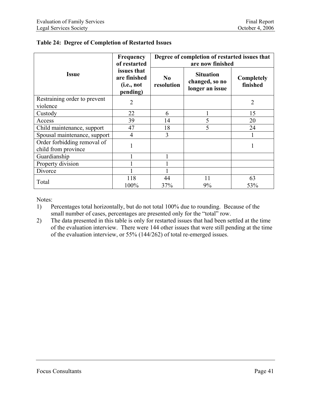|                                                    | Frequency<br>of restarted                             | Degree of completion of restarted issues that<br>are now finished |                                                       |                        |  |  |
|----------------------------------------------------|-------------------------------------------------------|-------------------------------------------------------------------|-------------------------------------------------------|------------------------|--|--|
| <b>Issue</b>                                       | issues that<br>are finished<br>(i.e., not<br>pending) | N <sub>0</sub><br>resolution                                      | <b>Situation</b><br>changed, so no<br>longer an issue | Completely<br>finished |  |  |
| Restraining order to prevent<br>violence           | $\overline{2}$                                        |                                                                   |                                                       | $\overline{2}$         |  |  |
| Custody                                            | 22                                                    | 6                                                                 |                                                       | 15                     |  |  |
| Access                                             | 39                                                    | 14                                                                | 5                                                     | 20                     |  |  |
| Child maintenance, support                         | 47                                                    | 18                                                                | 5                                                     | 24                     |  |  |
| Spousal maintenance, support                       | 4                                                     | 3                                                                 |                                                       |                        |  |  |
| Order forbidding removal of<br>child from province |                                                       |                                                                   |                                                       |                        |  |  |
| Guardianship                                       |                                                       |                                                                   |                                                       |                        |  |  |
| Property division                                  |                                                       |                                                                   |                                                       |                        |  |  |
| Divorce                                            |                                                       |                                                                   |                                                       |                        |  |  |
| Total                                              | 118<br>100%                                           | 44<br>37%                                                         | 11<br>9%                                              | 63<br>53%              |  |  |

## **Table 24: Degree of Completion of Restarted Issues**

Notes:

- 1) Percentages total horizontally, but do not total 100% due to rounding. Because of the small number of cases, percentages are presented only for the "total" row.
- 2) The data presented in this table is only for restarted issues that had been settled at the time of the evaluation interview. There were 144 other issues that were still pending at the time of the evaluation interview, or 55% (144/262) of total re-emerged issues.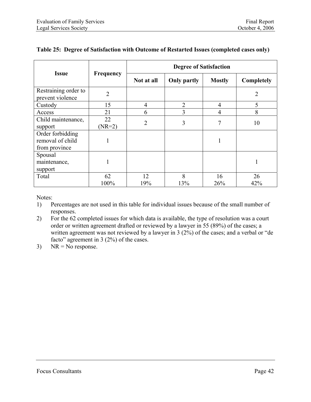|                                                       |                  | <b>Degree of Satisfaction</b> |                    |               |                   |  |
|-------------------------------------------------------|------------------|-------------------------------|--------------------|---------------|-------------------|--|
| <b>Issue</b>                                          | <b>Frequency</b> | Not at all                    | <b>Only partly</b> | <b>Mostly</b> | <b>Completely</b> |  |
| Restraining order to<br>prevent violence              | $\overline{2}$   |                               |                    |               | 2                 |  |
| Custody                                               | 15               | $\overline{4}$                | $\overline{2}$     | 4             | 5                 |  |
| Access                                                | 21               | 6                             | 3                  | 4             | 8                 |  |
| Child maintenance,<br>support                         | 22<br>$(NR=2)$   | $\overline{2}$                | 3                  | 7             | 10                |  |
| Order forbidding<br>removal of child<br>from province | 1                |                               |                    | ш             |                   |  |
| Spousal<br>maintenance,<br>support                    | 1                |                               |                    |               |                   |  |
| Total                                                 | 62<br>100%       | 12<br>19%                     | 8<br>13%           | 16<br>26%     | 26<br>42%         |  |

#### **Table 25: Degree of Satisfaction with Outcome of Restarted Issues (completed cases only)**

Notes:

- 1) Percentages are not used in this table for individual issues because of the small number of responses.
- 2) For the 62 completed issues for which data is available, the type of resolution was a court order or written agreement drafted or reviewed by a lawyer in 55 (89%) of the cases; a written agreement was not reviewed by a lawyer in 3 (2%) of the cases; and a verbal or "de" facto" agreement in 3 (2%) of the cases.
- 3)  $NR = No$  response.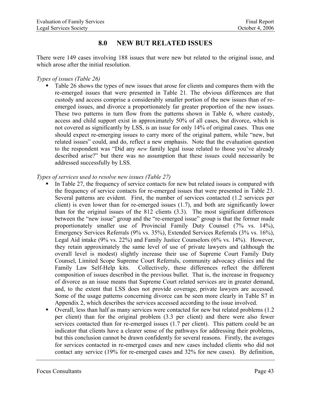## **8.0 NEW BUT RELATED ISSUES**

There were 149 cases involving 188 issues that were new but related to the original issue, and which arose after the initial resolution.

*Types of issues (Table 26)* 

• Table 26 shows the types of new issues that arose for clients and compares them with the re-emerged issues that were presented in Table 21. The obvious differences are that custody and access comprise a considerably smaller portion of the new issues than of reemerged issues, and divorce a proportionately far greater proportion of the new issues. These two patterns in turn flow from the patterns shown in Table 6, where custody, access and child support exist in approximately 50% of all cases, but divorce, which is not covered as significantly by LSS, is an issue for only 14% of original cases. Thus one should expect re-emerging issues to carry more of the original pattern, while "new, but related issues" could, and do, reflect a new emphasis. Note that the evaluation question to the respondent was "Did any *new* family legal issue related to those you've already described arise?" but there was no assumption that these issues could necessarily be addressed successfully by LSS.

#### *Types of services used to resolve new issues (Table 27)*

- In Table 27, the frequency of service contacts for new but related issues is compared with the frequency of service contacts for re-emerged issues that were presented in Table 23. Several patterns are evident. First, the number of services contacted (1.2 services per client) is even lower than for re-emerged issues (1.7), and both are significantly lower than for the original issues of the 812 clients (3.3). The most significant differences between the "new issue" group and the "re-emerged issue" group is that the former made proportionately smaller use of Provincial Family Duty Counsel (7% vs. 14%), Emergency Services Referrals (9% vs. 35%), Extended Services Referrals (3% vs. 16%), Legal Aid intake (9% vs. 22%) and Family Justice Counselors (6% vs. 14%). However, they retain approximately the same level of use of private lawyers and (although the overall level is modest) slightly increase their use of Supreme Court Family Duty Counsel, Limited Scope Supreme Court Referrals, community advocacy clinics and the Family Law Self-Help kits. Collectively, these differences reflect the different composition of issues described in the previous bullet. That is, the increase in frequency of divorce as an issue means that Supreme Court related services are in greater demand, and, to the extent that LSS does not provide coverage, private lawyers are accessed. Some of the usage patterns concerning divorce can be seen more clearly in Table S7 in Appendix 2, which describes the services accessed according to the issue involved.
- Overall, less than half as many services were contacted for new but related problems (1.2 per client) than for the original problem (3.3 per client) and there were also fewer services contacted than for re-emerged issues (1.7 per client). This pattern could be an indicator that clients have a clearer sense of the pathways for addressing their problems, but this conclusion cannot be drawn confidently for several reasons. Firstly, the averages for services contacted in re-emerged cases and new cases included clients who did not contact any service (19% for re-emerged cases and 32% for new cases). By definition,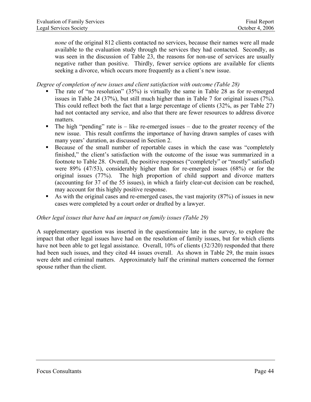*none* of the original 812 clients contacted no services, because their names were all made available to the evaluation study through the services they had contacted. Secondly, as was seen in the discussion of Table 23, the reasons for non-use of services are usually negative rather than positive. Thirdly, fewer service options are available for clients seeking a divorce, which occurs more frequently as a client's new issue.

#### *Degree of completion of new issues and client satisfaction with outcome (Table 28)*

- The rate of "no resolution" (35%) is virtually the same in Table 28 as for re-emerged issues in Table 24 (37%), but still much higher than in Table 7 for original issues (7%). This could reflect both the fact that a large percentage of clients (32%, as per Table 27) had not contacted any service, and also that there are fewer resources to address divorce matters.
- $\blacksquare$  The high "pending" rate is like re-emerged issues due to the greater recency of the new issue. This result confirms the importance of having drawn samples of cases with many years' duration, as discussed in Section 2.
- Because of the small number of reportable cases in which the case was "completely" finished," the client's satisfaction with the outcome of the issue was summarized in a footnote to Table 28. Overall, the positive responses ("completely" or "mostly" satisfied) were 89% (47/53), considerably higher than for re-emerged issues (68%) or for the original issues (77%). The high proportion of child support and divorce matters (accounting for 37 of the 55 issues), in which a fairly clear-cut decision can be reached, may account for this highly positive response.
- As with the original cases and re-emerged cases, the vast majority (87%) of issues in new cases were completed by a court order or drafted by a lawyer.

#### *Other legal issues that have had an impact on family issues (Table 29)*

A supplementary question was inserted in the questionnaire late in the survey, to explore the impact that other legal issues have had on the resolution of family issues, but for which clients have not been able to get legal assistance. Overall, 10% of clients (32/320) responded that there had been such issues, and they cited 44 issues overall. As shown in Table 29, the main issues were debt and criminal matters. Approximately half the criminal matters concerned the former spouse rather than the client.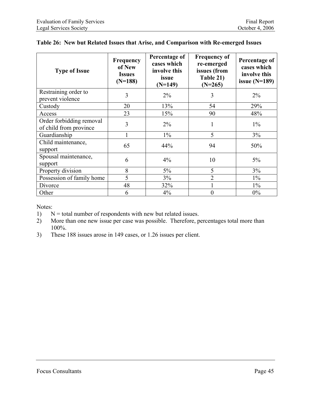| <b>Type of Issue</b>                               | Frequency<br>of New<br><b>Issues</b><br>$(N=188)$ | Percentage of<br>cases which<br>involve this<br>issue<br>$(N=149)$ | <b>Frequency of</b><br>re-emerged<br>issues (from<br>Table 21)<br>$(N=265)$ | Percentage of<br>cases which<br>involve this<br>issue $(N=189)$ |
|----------------------------------------------------|---------------------------------------------------|--------------------------------------------------------------------|-----------------------------------------------------------------------------|-----------------------------------------------------------------|
| Restraining order to<br>prevent violence           | 3                                                 | $2\%$                                                              | 3                                                                           | $2\%$                                                           |
| Custody                                            | 20                                                | 13%                                                                | 54                                                                          | 29%                                                             |
| Access                                             | 23                                                | 15%                                                                | 90                                                                          | 48%                                                             |
| Order forbidding removal<br>of child from province | 3                                                 | $2\%$                                                              |                                                                             | $1\%$                                                           |
| Guardianship                                       | 1                                                 | $1\%$                                                              | 5                                                                           | 3%                                                              |
| Child maintenance,<br>support                      | 65                                                | 44%                                                                | 94                                                                          | 50%                                                             |
| Spousal maintenance,<br>support                    | 6                                                 | 4%                                                                 | 10                                                                          | $5\%$                                                           |
| Property division                                  | 8                                                 | 5%                                                                 | 5                                                                           | 3%                                                              |
| Possession of family home                          | 5                                                 | 3%                                                                 | $\overline{2}$                                                              | $1\%$                                                           |
| Divorce                                            | 48                                                | 32%                                                                |                                                                             | $1\%$                                                           |
| Other                                              | 6                                                 | 4%                                                                 | $\theta$                                                                    | $0\%$                                                           |

### **Table 26: New but Related Issues that Arise, and Comparison with Re-emerged Issues**

Notes:

1)  $N =$  total number of respondents with new but related issues.

2) More than one new issue per case was possible. Therefore, percentages total more than 100%.

3) These 188 issues arose in 149 cases, or 1.26 issues per client.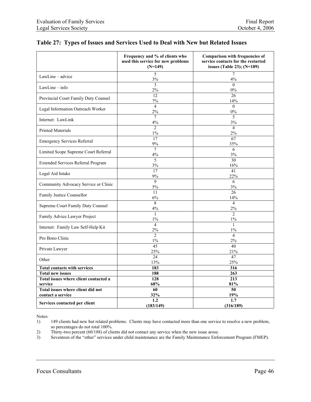|                                       | Frequency and % of clients who<br>used this service for new problems<br>$(N=149)$ | Comparison with frequencies of<br>service contacts for the restarted<br>issues (Table 23); (N=189) |
|---------------------------------------|-----------------------------------------------------------------------------------|----------------------------------------------------------------------------------------------------|
| $LawLine - advice$                    | 5<br>$3\%$                                                                        | $\overline{7}$<br>4%                                                                               |
| $LawLine - info$                      | 3<br>2%                                                                           | $\Omega$<br>0%                                                                                     |
| Provincial Court Family Duty Counsel  | 12<br>7%                                                                          | 26<br>14%                                                                                          |
| Legal Information Outreach Worker     | $\overline{4}$<br>2%                                                              | $\overline{0}$<br>0%                                                                               |
| Internet: LawLink                     | $\overline{7}$<br>$4\%$                                                           | 5<br>3%                                                                                            |
| <b>Printed Materials</b>              | $\overline{2}$<br>$1\%$                                                           | $\overline{4}$<br>2%                                                                               |
| <b>Emergency Services Referral</b>    | 17<br>9%                                                                          | 67<br>35%                                                                                          |
| Limited Scope Supreme Court Referral  | $\overline{7}$<br>4%                                                              | $\overline{6}$<br>3%                                                                               |
| Extended Services Referral Program    | 5<br>$3\%$                                                                        | 30<br>16%                                                                                          |
| Legal Aid Intake                      | 17<br>9%                                                                          | 41<br>22%                                                                                          |
| Community Advocacy Service or Clinic  | $\mathbf{Q}$<br>5%                                                                | 6<br>3%                                                                                            |
| Family Justice Counsellor             | 11<br>$6\%$                                                                       | 26<br>14%                                                                                          |
| Supreme Court Family Duty Counsel     | 8<br>$4\%$                                                                        | $\overline{4}$<br>2%                                                                               |
| Family Advice Lawyer Project          | $\mathbf{1}$<br>$1\%$                                                             | $\overline{c}$<br>$1\%$                                                                            |
| Internet: Family Law Self-Help Kit    | $\overline{4}$<br>2%                                                              | $\mathbf{1}$<br>$1\%$                                                                              |
| Pro Bono Clinic                       | $\overline{2}$<br>$1\%$                                                           | $\overline{4}$<br>2%                                                                               |
| Private Lawyer                        | 45<br>25%                                                                         | 40<br>21%                                                                                          |
| Other                                 | 24<br>13%                                                                         | 47<br>25%                                                                                          |
| <b>Total contacts with services</b>   | 183                                                                               | 316                                                                                                |
| <b>Total new issues</b>               | 188                                                                               | 263                                                                                                |
| Total issues where client contacted a | $\frac{128}{x}$                                                                   | 213                                                                                                |
| service                               | 68%                                                                               | 81%                                                                                                |
| Total issues where client did not     | 60                                                                                | 50                                                                                                 |
| contact a service                     | 32%                                                                               | 19%                                                                                                |
| Services contacted per client         | 1.2<br>(183/149)                                                                  | 1.7<br>(316/189)                                                                                   |

#### **Table 27: Types of Issues and Services Used to Deal with New but Related Issues**

Notes:

1) 149 clients had new but related problems. Clients may have contacted more than one service to resolve a new problem, so percentages do not total 100%.

2) Thirty-two percent (60/188) of clients did not contact any service when the new issue arose.

3) Seventeen of the "other" services under child maintenance are the Family Maintenance Enforcement Program (FMEP).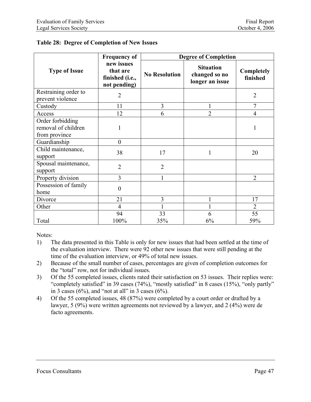|                                                          | <b>Frequency of</b>                                       | <b>Degree of Completion</b> |                                                      |                        |  |  |
|----------------------------------------------------------|-----------------------------------------------------------|-----------------------------|------------------------------------------------------|------------------------|--|--|
| <b>Type of Issue</b>                                     | new issues<br>that are<br>finished (i.e.,<br>not pending) | <b>No Resolution</b>        | <b>Situation</b><br>changed so no<br>longer an issue | Completely<br>finished |  |  |
| Restraining order to<br>prevent violence                 | $\overline{2}$                                            |                             |                                                      | $\overline{2}$         |  |  |
| Custody                                                  | 11                                                        | 3                           | 1                                                    | $\overline{7}$         |  |  |
| Access                                                   | 12                                                        | 6                           | $\overline{2}$                                       | $\overline{4}$         |  |  |
| Order forbidding<br>removal of children<br>from province | $\mathbf{1}$                                              |                             |                                                      |                        |  |  |
| Guardianship                                             | $\overline{0}$                                            |                             |                                                      |                        |  |  |
| Child maintenance,<br>support                            | 38                                                        | 17                          | 1                                                    | 20                     |  |  |
| Spousal maintenance,<br>support                          | $\overline{2}$                                            | $\overline{2}$              |                                                      |                        |  |  |
| Property division                                        | 3                                                         |                             |                                                      | $\overline{2}$         |  |  |
| Possession of family<br>home                             | $\overline{0}$                                            |                             |                                                      |                        |  |  |
| Divorce                                                  | 21                                                        | 3                           | 1                                                    | 17                     |  |  |
| Other                                                    | $\overline{4}$                                            |                             | 1                                                    | $\overline{2}$         |  |  |
|                                                          | 94                                                        | 33                          | 6                                                    | 55                     |  |  |
| Total                                                    | 100%                                                      | 35%                         | 6%                                                   | 59%                    |  |  |

#### **Table 28: Degree of Completion of New Issues**

Notes:

- 1) The data presented in this Table is only for new issues that had been settled at the time of the evaluation interview. There were 92 other new issues that were still pending at the time of the evaluation interview, or 49% of total new issues.
- 2) Because of the small number of cases, percentages are given of completion outcomes for the "total" row, not for individual issues.
- 3) Of the 55 completed issues, clients rated their satisfaction on 53 issues. Their replies were: "completely satisfied" in 39 cases (74%), "mostly satisfied" in 8 cases (15%), "only partly" in 3 cases  $(6\%)$ , and "not at all" in 3 cases  $(6\%)$ .
- 4) Of the 55 completed issues, 48 (87%) were completed by a court order or drafted by a lawyer, 5 (9%) were written agreements not reviewed by a lawyer, and 2 (4%) were de facto agreements.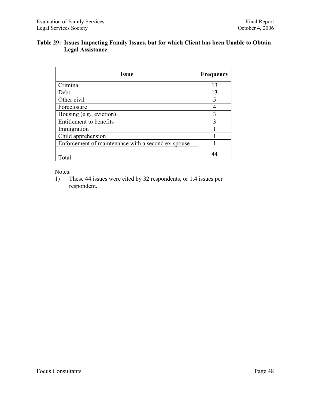#### **Table 29: Issues Impacting Family Issues, but for which Client has been Unable to Obtain Legal Assistance**

| <b>Issue</b>                                       | <b>Frequency</b> |
|----------------------------------------------------|------------------|
| Criminal                                           | 13               |
| Debt                                               | 13               |
| Other civil                                        | 5                |
| Foreclosure                                        |                  |
| Housing (e.g., eviction)                           | 3                |
| Entitlement to benefits                            | 3                |
| Immigration                                        |                  |
| Child apprehension                                 |                  |
| Enforcement of maintenance with a second ex-spouse |                  |
| Total                                              |                  |

Notes:

1) These 44 issues were cited by 32 respondents, or 1.4 issues per respondent.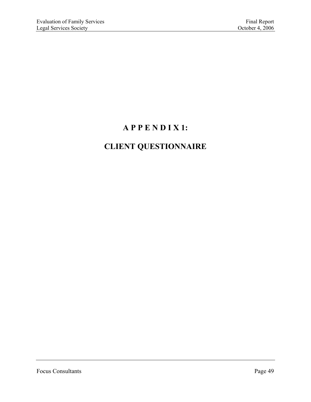# **A P P E N D I X 1:**

## **CLIENT QUESTIONNAIRE**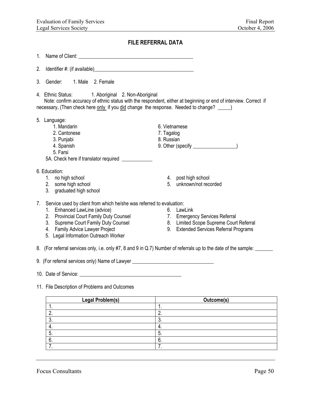#### **FILE REFERRAL DATA**

- 1. Name of Client: \_\_\_\_\_\_\_\_\_\_\_\_\_\_\_\_\_\_\_\_\_\_\_\_\_\_\_\_\_\_\_\_\_\_\_\_\_\_\_\_\_\_\_\_\_
- 2. Identifier #: (if available)\_\_\_\_\_\_\_\_\_\_\_\_\_\_\_\_\_\_\_\_\_\_\_\_\_\_\_\_\_\_\_\_\_\_\_\_\_\_\_
- 3. Gender: 1. Male 2. Female
- 4. Ethnic Status: 1. Aboriginal 2. Non-Aboriginal

 Note: confirm accuracy of ethnic status with the respondent, either at beginning or end of interview. Correct if necessary. **(Then check here only if you did change the response. Needed to change?**  $\qquad$ )

- 5. Language:
	-
	- 2. Cantonese 7. Tagalog
	- 3. Punjabi 8. Russian
	-
	- 5. Farsi
	- 5A. Check here if translator required \_\_\_\_\_\_\_\_\_\_\_\_
- 6. Education:
	- 1. no high school
	- 2. some high school
	- 3. graduated high school
- 1. Mandarin 6. Vietnamese
	-
	-
- 4. Spanish 9. Other (specify  $\overline{9}$ )
	- 4. post high school
	- 5. unknown/not recorded
- 7. Service used by client from which he/she was referred to evaluation:
	- 1. Enhanced LawLine (advice)
	- 2. Provincial Court Family Duty Counsel
	- 3. Supreme Court Family Duty Counsel
	- 4. Family Advice Lawyer Project
	- 5. Legal Information Outreach Worker
- 6. LawLink
	- 7. Emergency Services Referral
	- 8. Limited Scope Supreme Court Referral
	- 9. Extended Services Referral Programs
- 8. (For referral services only, i.e. only #7, 8 and 9 in Q.7) Number of referrals up to the date of the sample:

9. (For referral services only) Name of Lawyer

- 10. Date of Service: \_\_\_\_\_\_\_\_\_\_\_\_\_\_\_\_\_\_\_\_\_\_\_\_\_\_\_\_\_\_\_\_\_\_\_\_\_\_\_\_
- 11. File Description of Problems and Outcomes

| <b>Legal Problem(s)</b> | Outcome(s) |  |  |  |
|-------------------------|------------|--|--|--|
|                         | . .        |  |  |  |
|                         |            |  |  |  |
| ◠<br>ν.                 | v.         |  |  |  |
| 4.                      | 4.         |  |  |  |
| 5.                      | 5.         |  |  |  |
| 6.                      | ∵ხ.        |  |  |  |
|                         |            |  |  |  |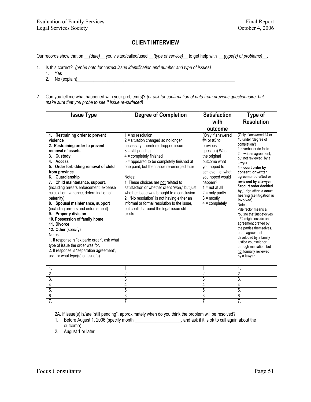#### **CLIENT INTERVIEW**

Our records show that on *\_\_(date)\_\_* you visited/called/used *\_\_(type of service)\_\_* to get help with \_\_*(type(s) of problems)*\_\_.

- 1. Is this correct? *(probe both for correct issue identification and number and type of issues)* 
	- 1. Yes
	- 2. No (explain)\_\_\_\_\_\_\_\_\_\_\_\_\_\_\_\_\_\_\_\_\_\_\_\_\_\_\_\_\_\_\_\_\_\_\_\_\_\_\_\_\_\_\_\_\_\_\_\_\_\_\_\_\_\_\_\_\_\_\_\_\_\_\_\_\_\_\_\_
- $\mathcal{L}_\text{max} = \frac{1}{2} \frac{1}{2} \frac{1}{2} \frac{1}{2} \frac{1}{2} \frac{1}{2} \frac{1}{2} \frac{1}{2} \frac{1}{2} \frac{1}{2} \frac{1}{2} \frac{1}{2} \frac{1}{2} \frac{1}{2} \frac{1}{2} \frac{1}{2} \frac{1}{2} \frac{1}{2} \frac{1}{2} \frac{1}{2} \frac{1}{2} \frac{1}{2} \frac{1}{2} \frac{1}{2} \frac{1}{2} \frac{1}{2} \frac{1}{2} \frac{1}{2} \frac{1}{2} \frac{1}{$ 2. Can you tell me what happened with your problem(s)? *(or ask for confirmation of data from previous questionnaire, but make sure that you probe to see if issue re-surfaced)*

| <b>Issue Type</b>                                                                                                                                                                                                                                                                                                                                                                                                                                                                                                                                                                                                                                                                                               | <b>Degree of Completion</b>                                                                                                                                                                                                                                                                                                                                                                                                                                                                                                                            | <b>Satisfaction</b><br>with<br>outcome                                                                                                                                                                                                                | Type of<br><b>Resolution</b>                                                                                                                                                                                                                                                                                                                                                                                                                                                                                                                                                                                                            |
|-----------------------------------------------------------------------------------------------------------------------------------------------------------------------------------------------------------------------------------------------------------------------------------------------------------------------------------------------------------------------------------------------------------------------------------------------------------------------------------------------------------------------------------------------------------------------------------------------------------------------------------------------------------------------------------------------------------------|--------------------------------------------------------------------------------------------------------------------------------------------------------------------------------------------------------------------------------------------------------------------------------------------------------------------------------------------------------------------------------------------------------------------------------------------------------------------------------------------------------------------------------------------------------|-------------------------------------------------------------------------------------------------------------------------------------------------------------------------------------------------------------------------------------------------------|-----------------------------------------------------------------------------------------------------------------------------------------------------------------------------------------------------------------------------------------------------------------------------------------------------------------------------------------------------------------------------------------------------------------------------------------------------------------------------------------------------------------------------------------------------------------------------------------------------------------------------------------|
| 1. Restraining order to prevent<br>violence<br>2. Restraining order to prevent<br>removal of assets<br>Custody<br>3.<br>4. Access<br>5. Order forbidding removal of child<br>from province<br>6. Guardianship<br>Child maintenance, support,<br>7.<br>(including arrears enforcement, expense<br>calculation, variance, determination of<br>paternity)<br>8. Spousal maintenance, support<br>(including arrears and enforcement)<br>9. Property division<br>10. Possession of family home<br>11. Divorce<br>12. Other (specify)<br>Notes:<br>1. If response is "ex parte order", ask what<br>type of issue the order was for.<br>2. If response is "separation agreement",<br>ask for what type(s) of issue(s). | $1 = no resolution$<br>$2$ = situation changed so no longer<br>necessary; therefore dropped issue<br>$3 =$ still pending<br>$4 =$ completely finished<br>5 = appeared to be completely finished at<br>one point, but then issue re-emerged later<br>Notes:<br>1. These choices are not related to<br>satisfaction or whether client "won," but just<br>whether issue was brought to a conclusion.<br>2. "No resolution" is not having either an<br>informal or formal resolution to the issue.<br>but conflict around the legal issue still<br>exists. | (Only if answered<br>#4 or #5 to<br>previous<br>question) Was<br>the original<br>outcome what<br>you hoped to<br>achieve, i.e. what<br>you hoped would<br>happen?<br>$1 = not at all$<br>$2 =$ only partly<br>$3 = \text{mostly}$<br>$4 =$ completely | (Only if answered #4 or<br>#5 under "degree of<br>completion")<br>$1 =$ verbal or de facto<br>$2$ = written agreement.<br>but not reviewed by a<br>lawyer<br>$4 =$ court order by<br>consent, or written<br>agreement drafted or<br>reviewed by a lawyer<br>5=court order decided<br>by judge after a court<br>hearing (i.e.litigation is<br>involved)<br>Notes:<br>-"de facto" means a<br>routine that just evolves<br>- #2 might include an<br>agreement drafted by<br>the parties themselves.<br>or an agreement<br>developed by a family<br>justice counselor or<br>through mediation, but<br>not formally reviewed<br>by a lawyer. |
| 1.                                                                                                                                                                                                                                                                                                                                                                                                                                                                                                                                                                                                                                                                                                              | 1.                                                                                                                                                                                                                                                                                                                                                                                                                                                                                                                                                     | 1.                                                                                                                                                                                                                                                    | 1.                                                                                                                                                                                                                                                                                                                                                                                                                                                                                                                                                                                                                                      |
| $\overline{2}$ .                                                                                                                                                                                                                                                                                                                                                                                                                                                                                                                                                                                                                                                                                                | $\overline{2}$ .                                                                                                                                                                                                                                                                                                                                                                                                                                                                                                                                       | $\overline{2}$ .                                                                                                                                                                                                                                      | 2.                                                                                                                                                                                                                                                                                                                                                                                                                                                                                                                                                                                                                                      |
| 3.                                                                                                                                                                                                                                                                                                                                                                                                                                                                                                                                                                                                                                                                                                              | 3.                                                                                                                                                                                                                                                                                                                                                                                                                                                                                                                                                     | 3.                                                                                                                                                                                                                                                    | 3.                                                                                                                                                                                                                                                                                                                                                                                                                                                                                                                                                                                                                                      |
| 4.<br>5.                                                                                                                                                                                                                                                                                                                                                                                                                                                                                                                                                                                                                                                                                                        | 4.<br>5.                                                                                                                                                                                                                                                                                                                                                                                                                                                                                                                                               | 4.<br>5.                                                                                                                                                                                                                                              | 4.<br>5.                                                                                                                                                                                                                                                                                                                                                                                                                                                                                                                                                                                                                                |
| 6.                                                                                                                                                                                                                                                                                                                                                                                                                                                                                                                                                                                                                                                                                                              | 6.                                                                                                                                                                                                                                                                                                                                                                                                                                                                                                                                                     | 6.                                                                                                                                                                                                                                                    | 6.                                                                                                                                                                                                                                                                                                                                                                                                                                                                                                                                                                                                                                      |
| 7.                                                                                                                                                                                                                                                                                                                                                                                                                                                                                                                                                                                                                                                                                                              | 7 <sub>1</sub>                                                                                                                                                                                                                                                                                                                                                                                                                                                                                                                                         | 7.                                                                                                                                                                                                                                                    | 7 <sub>1</sub>                                                                                                                                                                                                                                                                                                                                                                                                                                                                                                                                                                                                                          |

2A. If issue(s) is/are "still pending", approximately when do you think the problem will be resolved?

- 1. Before August 1, 2006 (specify month \_\_\_\_\_\_\_\_\_\_\_\_\_\_\_\_\_\_\_\_, and ask if it is ok to call again about the outcome)
- 2. August 1 or later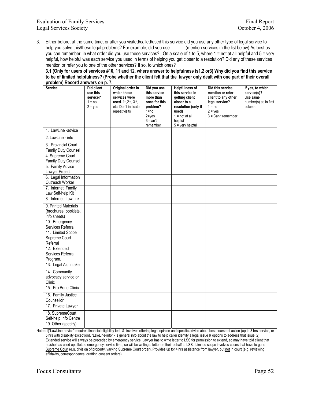3. Either before, at the same time, or after you visited/called/used this service did you use any other type of legal service to help you solve this/these legal problems? For example, did you use ………. (mention services in the list below) As best as you can remember, in what order did you use these services? On a scale of 1 to 5, where 1 = not at all helpful and 5 = very helpful, how helpful was each service you used in terms of helping you get closer to a resolution? Did any of these services mention or refer you to one of the other services? If so, to which ones?

**3.1 (Only for users of services #10, 11 and 12, where answer to helpfulness is1,2 or3) Why did you find this service to be of limited helpfulness? (Probe whether the client felt that the lawyer only dealt with one part of their overall problem) Record answers on p. 7.**

| propiemį ivečoru answers on p. <i>r</i> .  |                                                             |                                                                                                                   |                                                                                                           |                                                                                                                                          |                                                                                                                                |                                                                                |
|--------------------------------------------|-------------------------------------------------------------|-------------------------------------------------------------------------------------------------------------------|-----------------------------------------------------------------------------------------------------------|------------------------------------------------------------------------------------------------------------------------------------------|--------------------------------------------------------------------------------------------------------------------------------|--------------------------------------------------------------------------------|
| <b>Service</b>                             | Did client<br>use this<br>service?<br>$1 = no$<br>$2 = yes$ | Original order in<br>which these<br>services were<br>used. 1st, 2nd, 3rd,<br>etc. Don't indicate<br>repeat visits | Did you use<br>this service<br>more than<br>once for this<br>problem?<br>$1 = no$<br>$2 = yes$<br>3=can't | <b>Helpfulness of</b><br>this service in<br>getting client<br>closer to a<br>resolution (only if<br>used)<br>$1 = not at all$<br>helpful | Did this service<br>mention or refer<br>client to any other<br>legal service?<br>$1 = no$<br>$2 = yes$<br>$3 = Can't remember$ | If yes, to which<br>service(s)?<br>Use same<br>number(s) as in first<br>column |
| 1. LawLine -advice                         |                                                             |                                                                                                                   | remember                                                                                                  | $5 =$ very helpful                                                                                                                       |                                                                                                                                |                                                                                |
| 2. LawLine - info                          |                                                             |                                                                                                                   |                                                                                                           |                                                                                                                                          |                                                                                                                                |                                                                                |
|                                            |                                                             |                                                                                                                   |                                                                                                           |                                                                                                                                          |                                                                                                                                |                                                                                |
| 3. Provincial Court<br>Family Duty Counsel |                                                             |                                                                                                                   |                                                                                                           |                                                                                                                                          |                                                                                                                                |                                                                                |
| 4. Supreme Court                           |                                                             |                                                                                                                   |                                                                                                           |                                                                                                                                          |                                                                                                                                |                                                                                |
| Family Duty Counsel                        |                                                             |                                                                                                                   |                                                                                                           |                                                                                                                                          |                                                                                                                                |                                                                                |
| 5. Family Advice                           |                                                             |                                                                                                                   |                                                                                                           |                                                                                                                                          |                                                                                                                                |                                                                                |
| Lawyer Project                             |                                                             |                                                                                                                   |                                                                                                           |                                                                                                                                          |                                                                                                                                |                                                                                |
| 6. Legal Information                       |                                                             |                                                                                                                   |                                                                                                           |                                                                                                                                          |                                                                                                                                |                                                                                |
| Outreach Worker                            |                                                             |                                                                                                                   |                                                                                                           |                                                                                                                                          |                                                                                                                                |                                                                                |
| 7. Internet: Family                        |                                                             |                                                                                                                   |                                                                                                           |                                                                                                                                          |                                                                                                                                |                                                                                |
| Law Self-help Kit                          |                                                             |                                                                                                                   |                                                                                                           |                                                                                                                                          |                                                                                                                                |                                                                                |
| 8. Internet: LawLink                       |                                                             |                                                                                                                   |                                                                                                           |                                                                                                                                          |                                                                                                                                |                                                                                |
| 9. Printed Materials                       |                                                             |                                                                                                                   |                                                                                                           |                                                                                                                                          |                                                                                                                                |                                                                                |
| (brochures, booklets,                      |                                                             |                                                                                                                   |                                                                                                           |                                                                                                                                          |                                                                                                                                |                                                                                |
| info sheets)                               |                                                             |                                                                                                                   |                                                                                                           |                                                                                                                                          |                                                                                                                                |                                                                                |
| 10. Emergency<br>Services Referral         |                                                             |                                                                                                                   |                                                                                                           |                                                                                                                                          |                                                                                                                                |                                                                                |
| 11. Limited Scope                          |                                                             |                                                                                                                   |                                                                                                           |                                                                                                                                          |                                                                                                                                |                                                                                |
| Supreme Court                              |                                                             |                                                                                                                   |                                                                                                           |                                                                                                                                          |                                                                                                                                |                                                                                |
| Referral                                   |                                                             |                                                                                                                   |                                                                                                           |                                                                                                                                          |                                                                                                                                |                                                                                |
| 12. Extended                               |                                                             |                                                                                                                   |                                                                                                           |                                                                                                                                          |                                                                                                                                |                                                                                |
| Services Referral                          |                                                             |                                                                                                                   |                                                                                                           |                                                                                                                                          |                                                                                                                                |                                                                                |
| Program.                                   |                                                             |                                                                                                                   |                                                                                                           |                                                                                                                                          |                                                                                                                                |                                                                                |
| 13. Legal Aid intake                       |                                                             |                                                                                                                   |                                                                                                           |                                                                                                                                          |                                                                                                                                |                                                                                |
| 14. Community                              |                                                             |                                                                                                                   |                                                                                                           |                                                                                                                                          |                                                                                                                                |                                                                                |
| advocacy service or                        |                                                             |                                                                                                                   |                                                                                                           |                                                                                                                                          |                                                                                                                                |                                                                                |
| Clinic                                     |                                                             |                                                                                                                   |                                                                                                           |                                                                                                                                          |                                                                                                                                |                                                                                |
| 15. Pro Bono Clinic                        |                                                             |                                                                                                                   |                                                                                                           |                                                                                                                                          |                                                                                                                                |                                                                                |
| 16. Family Justice                         |                                                             |                                                                                                                   |                                                                                                           |                                                                                                                                          |                                                                                                                                |                                                                                |
| Counsellor                                 |                                                             |                                                                                                                   |                                                                                                           |                                                                                                                                          |                                                                                                                                |                                                                                |
| 17. Private Lawyer                         |                                                             |                                                                                                                   |                                                                                                           |                                                                                                                                          |                                                                                                                                |                                                                                |
| 18. SupremeCourt                           |                                                             |                                                                                                                   |                                                                                                           |                                                                                                                                          |                                                                                                                                |                                                                                |
| Self-help Info Centre                      |                                                             |                                                                                                                   |                                                                                                           |                                                                                                                                          |                                                                                                                                |                                                                                |
| 19. Other (specify)                        |                                                             |                                                                                                                   |                                                                                                           |                                                                                                                                          |                                                                                                                                |                                                                                |

Notes:1)"LawLine-advice" requires financial eligibility test, & involves offering legal opinion and specific advice about best course of action (up to 3 hrs service, or 5 hrs with disability exception). "LawLine-info" - is general info about the law to help caller identify a legal issue & options to address that issue. 2) Extended service will always be preceded by emergency service. Lawyer has to write letter to LSS for permission to extend, so may have told client that he/she has used up allotted emergency service time, so will be writing a letter on their behalf to LSS. Limited scope involves cases that have to go to Supreme Court (e.g. division of property, varying Supreme Court order). Provides up to14 hrs assistance from lawyer, but not in court (e.g. reviewing affidavits, correspondence, drafting consent orders).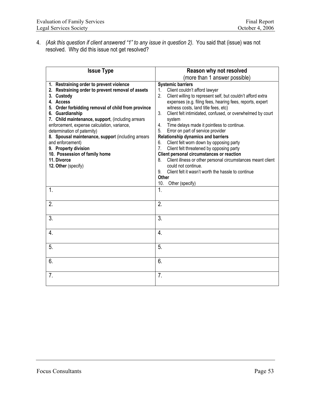4. *(Ask this question if client answered "1" to any issue in question 2)*. You said that (issue) was not resolved. Why did this issue not get resolved?

| <b>Issue Type</b>                                                                                                                                                                                                                                                                                                                                                                                                                                                                                             | Reason why not resolved                                                                                                                                                                                                                                                                                                                                                                                                                                                                                                                                                                                                                                                                                                                                                                                        |
|---------------------------------------------------------------------------------------------------------------------------------------------------------------------------------------------------------------------------------------------------------------------------------------------------------------------------------------------------------------------------------------------------------------------------------------------------------------------------------------------------------------|----------------------------------------------------------------------------------------------------------------------------------------------------------------------------------------------------------------------------------------------------------------------------------------------------------------------------------------------------------------------------------------------------------------------------------------------------------------------------------------------------------------------------------------------------------------------------------------------------------------------------------------------------------------------------------------------------------------------------------------------------------------------------------------------------------------|
|                                                                                                                                                                                                                                                                                                                                                                                                                                                                                                               | (more than 1 answer possible)                                                                                                                                                                                                                                                                                                                                                                                                                                                                                                                                                                                                                                                                                                                                                                                  |
| 1. Restraining order to prevent violence<br>2. Restraining order to prevent removal of assets<br>3. Custody<br>4. Access<br>5. Order forbidding removal of child from province<br>6. Guardianship<br>7. Child maintenance, support, (including arrears<br>enforcement, expense calculation, variance,<br>determination of paternity)<br>8. Spousal maintenance, support (including arrears<br>and enforcement)<br>9. Property division<br>10. Possession of family home<br>11. Divorce<br>12. Other (specify) | <b>Systemic barriers</b><br>Client couldn't afford lawyer<br>1.<br>2.<br>Client willing to represent self, but couldn't afford extra<br>expenses (e.g. filing fees, hearing fees, reports, expert<br>witness costs, land title fees, etc)<br>Client felt intimidated, confused, or overwhelmed by court<br>3.<br>system<br>Time delays made it pointless to continue.<br>4.<br>Error on part of service provider<br>5.<br><b>Relationship dynamics and barriers</b><br>Client felt worn down by opposing party<br>6.<br>7.<br>Client felt threatened by opposing party<br>Client personal circumstances or reaction<br>Client illness or other personal circumstances meant client<br>8.<br>could not continue.<br>Client felt it wasn't worth the hassle to continue<br>9.<br>Other<br>10.<br>Other (specify) |
| 1.                                                                                                                                                                                                                                                                                                                                                                                                                                                                                                            | 1.                                                                                                                                                                                                                                                                                                                                                                                                                                                                                                                                                                                                                                                                                                                                                                                                             |
| 2.                                                                                                                                                                                                                                                                                                                                                                                                                                                                                                            | 2.                                                                                                                                                                                                                                                                                                                                                                                                                                                                                                                                                                                                                                                                                                                                                                                                             |
| 3.                                                                                                                                                                                                                                                                                                                                                                                                                                                                                                            | 3.                                                                                                                                                                                                                                                                                                                                                                                                                                                                                                                                                                                                                                                                                                                                                                                                             |
| 4.                                                                                                                                                                                                                                                                                                                                                                                                                                                                                                            | 4.                                                                                                                                                                                                                                                                                                                                                                                                                                                                                                                                                                                                                                                                                                                                                                                                             |
| 5.                                                                                                                                                                                                                                                                                                                                                                                                                                                                                                            | 5.                                                                                                                                                                                                                                                                                                                                                                                                                                                                                                                                                                                                                                                                                                                                                                                                             |
| 6.                                                                                                                                                                                                                                                                                                                                                                                                                                                                                                            | 6.                                                                                                                                                                                                                                                                                                                                                                                                                                                                                                                                                                                                                                                                                                                                                                                                             |
| 7 <sub>1</sub>                                                                                                                                                                                                                                                                                                                                                                                                                                                                                                | 7.                                                                                                                                                                                                                                                                                                                                                                                                                                                                                                                                                                                                                                                                                                                                                                                                             |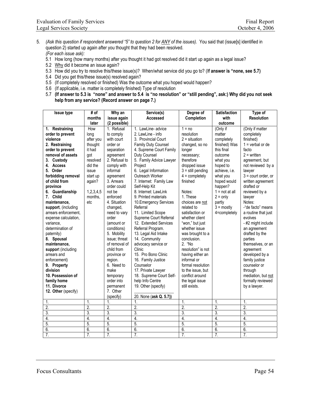- 5. *(Ask this question if respondent answered "5" to question 2 for ANY of the issues).* You said that (issue[s] identified in question 2) started up again after you thought that they had been resolved. *(For each issue ask):*
	- 5.1 How long (how many months) after you thought it had got resolved did it start up again as a legal issue?
	- 5.2 Why did it become an issue again?
	- 5.3 How did you try to resolve this/these issue(s)? When/what service did you go to? (I**f answer is "none, see 5.7)**
	- 5.4 Did you get this/these issue(s) resolved again?
	- 5.5 (If completely resolved or finished) Was the outcome what you hoped would happen?
	- 5.6 (If applicable, i.e. matter is completely finished) Type of resolution
	- 5.7 **(If answer to 5.3 is "none" and answer to 5.4 is "no resolution" or "still pending", ask:) Why did you not seek help from any service? (Record answer on page 7.)**

| <b>Issue type</b>    | # of             | Why an           | Service(s)              | Degree of           | <b>Satisfaction</b> | Type of               |
|----------------------|------------------|------------------|-------------------------|---------------------|---------------------|-----------------------|
|                      | months           | issue again      | Accessed                | Completion          | with                | <b>Resolution</b>     |
|                      | later            | (2 possible)     |                         |                     | outcome             |                       |
| 1. Restraining       | How              | 1. Refusal       | 1. LawLine- advice      | $1 = no$            | (Only if            | (Only if matter       |
| order to prevent     | long             | to comply        | 2. LawLine - info       | resolution          | matter              | completely            |
| violence             | after you        | with court       | 3. Provincial Court     | $2 =$ situation     | completely          | finished)             |
| 2. Restraining       | thought          | order or         | Family Duty Counsel     | changed, so no      | finished) Was       | $1 =$ verbal or de    |
| order to prevent     | it had           | separation       | 4. Supreme Court Family | longer              | this final          | facto                 |
| removal of assets    | got              | agreement        | Duty Counsel            | necessary;          | outcome             | $2 =$ written         |
| 3. Custody           | resolved         | 2. Refusal to    | 5. Family Advice Lawyer | therefore           | what you            | agreement, but        |
| 4. Access            | did the          | comply with      | Project                 | dropped issue       | hoped to            | not reviewed by a     |
| 5. Order             | issue            | informal         | 6. Legal Information    | $3 =$ still pending | achieve, i.e.       | lawyer                |
| forbidding removal   | start up         | agreement        | Outreach Worker         | $4 =$ completely    | what you            | $3 =$ court order, or |
| of child from        | again?           | 3. Arrears       | 7. Internet: Family Law | finished            | hoped would         | written agreement     |
| province             |                  | order could      | Self-Help Kit           |                     | happen?             | drafted or            |
| 6. Guardianship      | 1,2,3,4,5        | not be           | 8. Internet: LawLink    | Notes:              | $1 = not at all$    | reviewed by a         |
| 7. Child             | months,          | enforced         | 9. Printed materials    | 1. These            | $2 = only$          | lawyer                |
| maintenance,         | etc              | 4. Situation     | 10. Emergency Services  | choices are not     | partly              | Notes:                |
| support, (including  |                  | changed,         | Referral                | related to          | $3 = \text{mostly}$ | -"de facto" means     |
| arrears enforcement, |                  | need to vary     | 11. Limited Scope       | satisfaction or     | 4=completely        | a routine that just   |
| expense calculation, |                  | order            | Supreme Court Referral  | whether client      |                     | evolves               |
| variance,            |                  | (amount or       | 12. Extended Services   | "won," but just     |                     | - #2 might include    |
| determination of     |                  | conditions)      | Referral Program.       | whether issue       |                     | an agreement          |
| paternity)           |                  | 5. Mobility      | 13. Legal Aid Intake    | was brought to a    |                     | drafted by the        |
| 8. Spousal           |                  | issue; threat    | 14. Community           | conclusion.         |                     | parties               |
| maintenance,         |                  | of removal of    | advocacy service or     | 2. "No              |                     | themselves, or an     |
| support (including   |                  | child from       | Clinic                  | resolution" is not  |                     | agreement             |
| arrears and          |                  | province or      | 15. Pro Bono Clinic     | having either an    |                     | developed by a        |
| enforcement)         |                  | region.          | 16. Family Justice      | informal or         |                     | family justice        |
| 9. Property          |                  | 6. Need to       | Counselor               | formal resolution   |                     | counselor or          |
| division             |                  | make             | 17. Private Lawyer      | to the issue, but   |                     | through               |
| 10. Possession of    |                  | temporary        | 18. Supreme Court Self- | conflict around     |                     | mediation, but not    |
| family home          |                  | order into       | help Info Centre        | the legal issue     |                     | formally reviewed     |
| 11. Divorce          |                  | permanent        | 19. Other (specify)     | still exists.       |                     | by a lawyer.          |
| 12. Other (specify)  |                  | 7. Other         |                         |                     |                     |                       |
|                      |                  | (specify)        | 20. None (ask Q. 5.7))  |                     |                     |                       |
| 1.                   | $\mathbf{1}$     | 1.               | $\overline{1}$ .        | 1.                  | 1.                  | 1.                    |
| $\overline{2}$ .     | $\overline{2}$ . | $\overline{2}$ . | $\overline{2}$          | $\overline{2}$      | $\overline{2}$      | $\overline{2}$ .      |
| 3.                   | $\overline{3}$ . | $\overline{3}$ . | 3.                      | $\overline{3}$ .    | 3.                  | 3.                    |
| 4.                   | $\overline{4}$ . | 4.               | $\overline{4}$ .        | $\overline{4}$      | $\overline{4}$      | 4.                    |
| 5.                   | 5.               | 5.               | 5.                      | $\overline{5}$      | 5.                  | 5.                    |
| 6.                   | 6.               | 6.               | 6.                      | 6.                  | 6.                  | 6.                    |
| $\overline{7}$ .     | $\overline{7}$ . | $\overline{7}$ . | $\overline{7}$ .        | $\overline{7}$ .    | $\overline{7}$ .    | $\overline{7}$ .      |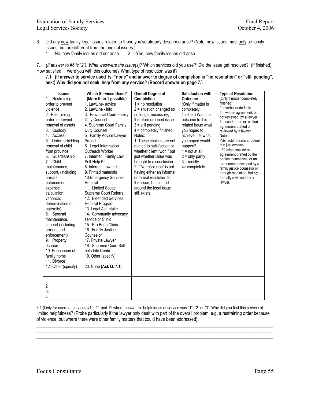- 6. Did any new family legal issues related to those you've already described arise? (Note: new issues must only be family issues, but are different from the original issues.)
	- 1. No, new family issues did not arise. 2. Yes, new family issues did arise

*7. (If answer to #6 is "2"). What was/were the issue(s)?* Which services did you use? Did the issue get resolved? (If finished) How satisfied were you with this outcome? What type of resolution was it?

7.1 **(If answer to service used is "none" and answer to degree of completion is "no resolution" or "still pending", ask:) Why did you not seek help from any service? (Record answer on page 7.)** 

| <b>Issues</b>        | <b>Which Services Used?</b> | <b>Overall Degree of</b>   | <b>Satisfaction with</b> | <b>Type of Resolution</b>                                |
|----------------------|-----------------------------|----------------------------|--------------------------|----------------------------------------------------------|
| 1. Restraining       | (More than 1 possible)      | Completion                 | <b>Outcome</b>           | (Only if matter completely                               |
| order to prevent     | 1. LawLine- advice          | $1 = no resolution$        | (Only if matter is       | finished)                                                |
| violence             | 2. LawLine - info           | $2$ = situation changed so | completely               | $1$ = verbal or de facto                                 |
| 2. Restraining       | 3. Provincial Court Family  | no longer necessary;       | finished) Was the        | $2$ = written agreement, but<br>not reviewed by a lawyer |
| order to prevent     | Duty Counsel                | therefore dropped issue    | outcome to this          | $3$ = court order, or written                            |
| removal of assets    | 4. Supreme Court Family     | $3 =$ still pending        | related issue what       | agreement drafted or                                     |
| Custody<br>3.        | Duty Counsel                | 4 = completely finished    | you hoped to             | reviewed by a lawyer                                     |
| 4. Access            | 5. Family Advice Lawyer     | Notes:                     | achieve, i.e. what       | Notes:                                                   |
| 5. Order forbidding  | Project                     | 1. These choices are not   | you hoped would          | -"de facto" means a routine                              |
| removal of child     | 6. Legal Information        | related to satisfaction or | happen?                  | that just evolves                                        |
| from province        | Outreach Worker             | whether client "won," but  | $1 = not at all$         | - #2 might include an                                    |
| 6. Guardianship      | 7. Internet: Family Law     | just whether issue was     | $2 =$ only partly        | agreement drafted by the<br>parties themselves, or an    |
| Child<br>$7_{\cdot}$ | Self-Help Kit               | brought to a conclusion.   | $3 = \text{mostly}$      | agreement developed by a                                 |
| maintenance,         | 8. Internet: LawLink        | 2. "No resolution" is not  | 4= completely            | family justice counselor or                              |
| support, (including  | 9. Printed materials        | having either an informal  |                          | through mediation, but not                               |
| arrears              | 10. Emergency Services      | or formal resolution to    |                          | formally reviewed by a                                   |
| enforcement.         | Referral                    | the issue, but conflict    |                          | lawyer.                                                  |
| expense              | 11. Limited Scope           | around the legal issue     |                          |                                                          |
| calculation,         | Supreme Court Referral      | still exists.              |                          |                                                          |
| variance,            | 12. Extended Services       |                            |                          |                                                          |
| determination of     | Referral Program.           |                            |                          |                                                          |
| paternity)           | 13. Legal Aid Intake        |                            |                          |                                                          |
| Spousal<br>8.        | 14. Community advocacy      |                            |                          |                                                          |
| maintenance,         | service or Clinic           |                            |                          |                                                          |
| support (including   | 15. Pro Bono Clinic         |                            |                          |                                                          |
| arrears and          | 16. Family Justice          |                            |                          |                                                          |
| enforcement)         | Counselor                   |                            |                          |                                                          |
| 9. Property          | 17. Private Lawyer          |                            |                          |                                                          |
| division             | 18. Supreme Court Self-     |                            |                          |                                                          |
| 10. Possession of    | help Info Centre            |                            |                          |                                                          |
| family home          | 19. Other (specify)         |                            |                          |                                                          |
| 11. Divorce          |                             |                            |                          |                                                          |
| 12. Other (specify)  | 20. None (Ask Q. 7.1)       |                            |                          |                                                          |
|                      |                             |                            |                          |                                                          |
| 1                    |                             |                            |                          |                                                          |
| 2                    |                             |                            |                          |                                                          |
| $\overline{3}$ .     |                             |                            |                          |                                                          |
| 4                    |                             |                            |                          |                                                          |

3.1 (Only for users of services #10, 11 and 12 where answer to "helpfulness of service was "1", "2" or "3". Why did you find this service of limited helpfulness? (Probe particularly if the lawyer only dealt with part of the overall problem, e.g. a restraining order because of violence, but where there were other family matters that could have been addressed)

 $\_$  , and the set of the set of the set of the set of the set of the set of the set of the set of the set of the set of the set of the set of the set of the set of the set of the set of the set of the set of the set of th  $\_$  , and the set of the set of the set of the set of the set of the set of the set of the set of the set of the set of the set of the set of the set of the set of the set of the set of the set of the set of the set of th \_\_\_\_\_\_\_\_\_\_\_\_\_\_\_\_\_\_\_\_\_\_\_\_\_\_\_\_\_\_\_\_\_\_\_\_\_\_\_\_\_\_\_\_\_\_\_\_\_\_\_\_\_\_\_\_\_\_\_\_\_\_\_\_\_\_\_\_\_\_\_\_\_\_\_\_\_\_\_\_\_\_\_\_\_\_\_\_\_\_\_\_\_\_\_\_\_\_\_\_\_\_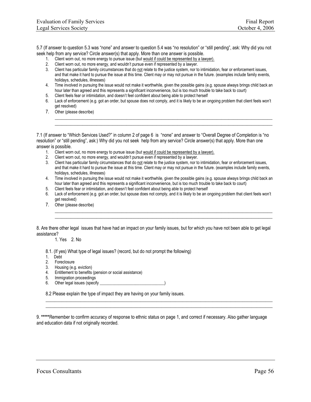5.7 (If answer to question 5.3 was "none" and answer to question 5.4 was "no resolution" or "still pending", ask: Why did you not seek help from any service? Circle answer(s) that apply. More than one answer is possible.

- 1. Client worn out, no more energy to pursue issue (but would if could be represented by a lawyer).
- 2. Client worn out, no more energy, and wouldn't pursue even if represented by a lawyer.
- 3. Client has particular family circumstances that do not relate to the justice system, nor to intimidation, fear or enforcement issues, and that make it hard to pursue the issue at this time. Client may or may not pursue in the future. (examples include family events, holidays, schedules, illnesses)
- 4. Time involved in pursuing the issue would not make it worthwhile, given the possible gains (e.g. spouse always brings child back an hour later than agreed and this represents a significant inconvenience, but is too much trouble to take back to court)
- 5. Client feels fear or intimidation, and doesn't feel confident about being able to protect herself
- 6. Lack of enforcement (e.g. got an order, but spouse does not comply, and it is likely to be an ongoing problem that client feels won't get resolved)

\_\_\_\_\_\_\_\_\_\_\_\_\_\_\_\_\_\_\_\_\_\_\_\_\_\_\_\_\_\_\_\_\_\_\_\_\_\_\_\_\_\_\_\_\_\_\_\_\_\_\_\_\_\_\_\_\_\_\_\_\_\_\_\_\_\_\_\_\_\_\_\_\_\_\_\_\_\_\_\_\_\_\_\_\_\_\_\_\_\_\_\_\_\_ \_\_\_\_\_\_\_\_\_\_\_\_\_\_\_\_\_\_\_\_\_\_\_\_\_\_\_\_\_\_\_\_\_\_\_\_\_\_\_\_\_\_\_\_\_\_\_\_\_\_\_\_\_\_\_\_\_\_\_\_\_\_\_\_\_\_\_\_\_\_\_\_\_\_\_\_\_\_\_\_\_\_\_\_\_\_\_\_\_\_\_\_\_\_

7. Other (please describe)

7.1 (If answer to "Which Services Used?" in column 2 of page 6 is "none" and answer to "Overall Degree of Completion is "no resolution" or "still pending", ask:) Why did you not seek help from any service? Circle answer(s) that apply. More than one answer is possible.

- 1. Client worn out, no more energy to pursue issue (but would if could be represented by a lawyer).
- 2. Client worn out, no more energy, and wouldn't pursue even if represented by a lawyer.
- 3. Client has particular family circumstances that do not relate to the justice system, nor to intimidation, fear or enforcement issues, and that make it hard to pursue the issue at this time. Client may or may not pursue in the future. (examples include family events, holidays, schedules, illnesses)
- 4. Time involved in pursuing the issue would not make it worthwhile, given the possible gains (e.g. spouse always brings child back an hour later than agreed and this represents a significant inconvenience, but is too much trouble to take back to court)
- 5. Client feels fear or intimidation, and doesn't feel confident about being able to protect herself
- 6. Lack of enforcement (e.g. got an order, but spouse does not comply, and it is likely to be an ongoing problem that client feels won't get resolved)

\_\_\_\_\_\_\_\_\_\_\_\_\_\_\_\_\_\_\_\_\_\_\_\_\_\_\_\_\_\_\_\_\_\_\_\_\_\_\_\_\_\_\_\_\_\_\_\_\_\_\_\_\_\_\_\_\_\_\_\_\_\_\_\_\_\_\_\_\_\_\_\_\_\_\_\_\_\_\_\_\_\_\_\_\_\_\_\_\_\_\_\_\_\_ \_\_\_\_\_\_\_\_\_\_\_\_\_\_\_\_\_\_\_\_\_\_\_\_\_\_\_\_\_\_\_\_\_\_\_\_\_\_\_\_\_\_\_\_\_\_\_\_\_\_\_\_\_\_\_\_\_\_\_\_\_\_\_\_\_\_\_\_\_\_\_\_\_\_\_\_\_\_\_\_\_\_\_\_\_\_\_\_\_\_\_\_\_\_

7. Other (please describe)

8. Are there other legal issues that have had an impact on your family issues, but for which you have not been able to get legal assistance?

1. Yes 2. No

- 8.1. (If yes) What type of legal issues? (record, but do not prompt the following)
- 1. Debt
- 2. Foreclosure
- 3. Housing (e.g. eviction)
- 4. Entitlement to benefits (pension or social assistance)
- 5. Immigration proceedings
- 6. Other legal issues (specify \_\_\_\_\_\_\_\_\_\_\_\_\_\_\_\_\_\_\_\_\_\_\_\_\_\_\_\_\_\_\_)

8.2 Please explain the type of impact they are having on your family issues.

9. **\*\*\*\*\***Remember to confirm accuracy of response to ethnic status on page 1, and correct if necessary. Also gather language and education data if not originally recorded.

\_\_\_\_\_\_\_\_\_\_\_\_\_\_\_\_\_\_\_\_\_\_\_\_\_\_\_\_\_\_\_\_\_\_\_\_\_\_\_\_\_\_\_\_\_\_\_\_\_\_\_\_\_\_\_\_\_\_\_\_\_\_\_\_\_\_\_\_\_\_\_\_\_\_\_\_\_\_\_\_\_\_\_\_\_\_\_\_\_\_\_\_\_\_\_\_\_\_ \_\_\_\_\_\_\_\_\_\_\_\_\_\_\_\_\_\_\_\_\_\_\_\_\_\_\_\_\_\_\_\_\_\_\_\_\_\_\_\_\_\_\_\_\_\_\_\_\_\_\_\_\_\_\_\_\_\_\_\_\_\_\_\_\_\_\_\_\_\_\_\_\_\_\_\_\_\_\_\_\_\_\_\_\_\_\_\_\_\_\_\_\_\_\_\_\_\_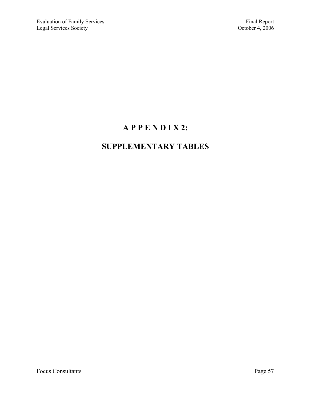# **A P P E N D I X 2:**

## **SUPPLEMENTARY TABLES**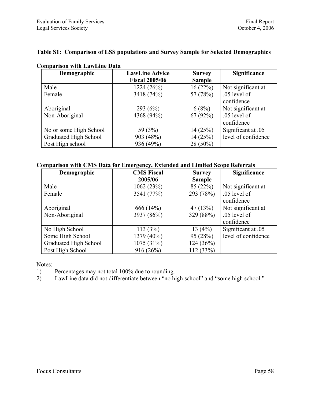#### **Table S1: Comparison of LSS populations and Survey Sample for Selected Demographics**

| Demographic            | <b>LawLine Advice</b> | <b>Survey</b> | Significance        |
|------------------------|-----------------------|---------------|---------------------|
|                        | <b>Fiscal 2005/06</b> | <b>Sample</b> |                     |
| Male                   | 1224(26%)             | 16(22%)       | Not significant at  |
| Female                 | 3418 (74%)            | 57 (78%)      | .05 level of        |
|                        |                       |               | confidence          |
| Aboriginal             | 293 $(6%)$            | 6(8%)         | Not significant at  |
| Non-Aboriginal         | 4368 (94%)            | 67(92%)       | .05 level of        |
|                        |                       |               | confidence          |
| No or some High School | 59 (3%)               | 14(25%)       | Significant at .05  |
| Graduated High School  | 903 (48%)             | 14(25%)       | level of confidence |
| Post High school       | 936 (49%)             | 28 (50%)      |                     |

### **Comparison with LawLine Data**

#### **Comparison with CMS Data for Emergency, Extended and Limited Scope Referrals**

| Demographic           | <b>CMS Fiscal</b> | <b>Survey</b> | Significance        |
|-----------------------|-------------------|---------------|---------------------|
|                       | 2005/06           | <b>Sample</b> |                     |
| Male                  | 1062(23%)         | 85 (22%)      | Not significant at  |
| Female                | 3541 (77%)        | 293 (78%)     | .05 level of        |
|                       |                   |               | confidence          |
| Aboriginal            | 666 (14%)         | 47(13%)       | Not significant at  |
| Non-Aboriginal        | 3937 (86%)        | 329 (88%)     | .05 level of        |
|                       |                   |               | confidence          |
| No High School        | 113(3%)           | 13 $(4%)$     | Significant at .05  |
| Some High School      | 1379 (40%)        | 95(28%)       | level of confidence |
| Graduated High School | 1075 (31%)        | 124 (36%)     |                     |
| Post High School      | 916(26%)          | 112 (33%)     |                     |

Notes:

- 1) Percentages may not total 100% due to rounding.
- 2) LawLine data did not differentiate between "no high school" and "some high school."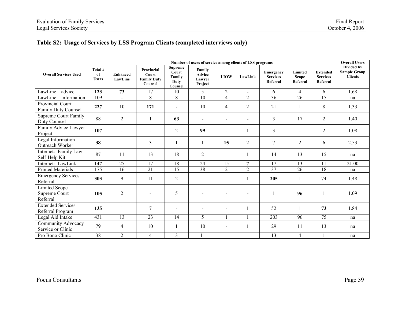## **Table S2: Usage of Services by LSS Program Clients (completed interviews only)**

|                                                   |                               | Number of users of service among clients of LSS programs |                                                      |                                                      |                                              |                          |                          |                                          |                                     |                                                |                                                     |  |  |  |
|---------------------------------------------------|-------------------------------|----------------------------------------------------------|------------------------------------------------------|------------------------------------------------------|----------------------------------------------|--------------------------|--------------------------|------------------------------------------|-------------------------------------|------------------------------------------------|-----------------------------------------------------|--|--|--|
| <b>Overall Services Used</b>                      | Total #<br>of<br><b>Users</b> | <b>Enhanced</b><br>LawLine                               | Provincial<br>Court<br><b>Family Duty</b><br>Counsel | <b>Supreme</b><br>Court<br>Family<br>Duty<br>Counsel | Family<br><b>Advice</b><br>Lawyer<br>Project | <b>LIOW</b>              | LawLink                  | Emergency<br><b>Services</b><br>Referral | Limited<br><b>Scope</b><br>Referral | <b>Extended</b><br><b>Services</b><br>Referral | Divided by<br><b>Sample Group</b><br><b>Clients</b> |  |  |  |
| LawLine - advice                                  | 123                           | 73                                                       | 17                                                   | 10                                                   | 5                                            | $\overline{2}$           | $\overline{\phantom{a}}$ | 6                                        | $\overline{4}$                      | 6                                              | 1.68                                                |  |  |  |
| LawLine - information                             | 109                           | $\overline{a}$                                           | 8                                                    | 8                                                    | $\overline{10}$                              | $\overline{4}$           | $\overline{2}$           | 36                                       | 26                                  | 15                                             | na                                                  |  |  |  |
| Provincial Court<br>Family Duty Counsel           | 227                           | 10                                                       | 171                                                  | $\blacksquare$                                       | 10                                           | 4                        | $\overline{2}$           | 21                                       | $\mathbf{1}$                        | 8                                              | 1.33                                                |  |  |  |
| <b>Supreme Court Family</b><br>Duty Counsel       | 88                            | $\overline{2}$                                           |                                                      | 63                                                   | $\blacksquare$                               | $\blacksquare$           |                          | 3                                        | 17                                  | $\overline{2}$                                 | 1.40                                                |  |  |  |
| Family Advice Lawyer<br>Project                   | 107                           |                                                          |                                                      | $\overline{2}$                                       | 99                                           |                          | $\mathbf{1}$             | 3                                        | $\blacksquare$                      | $\overline{2}$                                 | 1.08                                                |  |  |  |
| Legal Information<br>Outreach Worker              | 38                            | $\mathbf{1}$                                             | 3                                                    | $\mathbf{1}$                                         |                                              | 15                       | $\overline{2}$           | 7                                        | 2                                   | 6                                              | 2.53                                                |  |  |  |
| Internet: Family Law<br>Self-Help Kit             | 87                            | 11                                                       | 13                                                   | 18                                                   | $\overline{2}$                               | $\blacksquare$           | $\mathbf{1}$             | 14                                       | 13                                  | 15                                             | na                                                  |  |  |  |
| Internet: LawLink                                 | 147                           | 25                                                       | 17                                                   | 18                                                   | 24                                           | 15                       | 7                        | 17                                       | 13                                  | 11                                             | 21.00                                               |  |  |  |
| <b>Printed Materials</b>                          | 175                           | 16                                                       | 21                                                   | 15                                                   | 38                                           | $\overline{2}$           | $\overline{2}$           | 37                                       | 26                                  | 18                                             | na                                                  |  |  |  |
| <b>Emergency Services</b><br>Referral             | 303                           | 9                                                        | 11                                                   | $\overline{2}$                                       | $\blacksquare$                               |                          | $\mathbf{1}$             | 205                                      | 1                                   | 74                                             | 1.48                                                |  |  |  |
| <b>Limited Scope</b><br>Supreme Court<br>Referral | 105                           | $\overline{2}$                                           |                                                      | 5                                                    |                                              |                          |                          |                                          | 96                                  | 1                                              | 1.09                                                |  |  |  |
| <b>Extended Services</b><br>Referral Program      | 135                           | $\mathbf{1}$                                             | 7                                                    |                                                      |                                              |                          |                          | 52                                       |                                     | 73                                             | 1.84                                                |  |  |  |
| Legal Aid Intake                                  | 431                           | 13                                                       | 23                                                   | 14                                                   | 5                                            | 1                        | $\mathbf{1}$             | 203                                      | 96                                  | 75                                             | na                                                  |  |  |  |
| Community Advocacy<br>Service or Clinic           | 79                            | $\overline{4}$                                           | 10                                                   | $\mathbf{1}$                                         | 10                                           | $\overline{\phantom{0}}$ |                          | 29                                       | 11                                  | 13                                             | na                                                  |  |  |  |
| Pro Bono Clinic                                   | 38                            | $\overline{2}$                                           | $\overline{4}$                                       | $\overline{3}$                                       | 11                                           | $\blacksquare$           |                          | 13                                       | $\overline{4}$                      | $\mathbf{1}$                                   | na                                                  |  |  |  |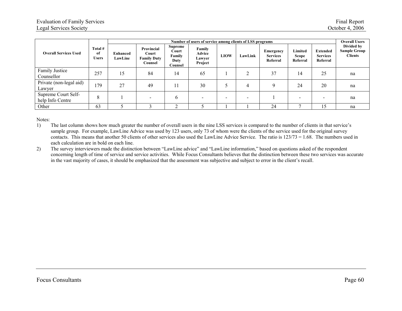| <b>Overall Services Used</b>            |                               |                     | Number of users of service among clients of LSS programs |                                                      |                                       |             |                |                                          |                                     |                                                |                                                     |  |  |  |  |
|-----------------------------------------|-------------------------------|---------------------|----------------------------------------------------------|------------------------------------------------------|---------------------------------------|-------------|----------------|------------------------------------------|-------------------------------------|------------------------------------------------|-----------------------------------------------------|--|--|--|--|
|                                         | Total #<br>of<br><b>Users</b> | Enhanced<br>LawLine | Provincial<br>Court<br><b>Family Duty</b><br>Counsel     | <b>Supreme</b><br>Court<br>Family<br>Duty<br>Counsel | Family<br>Advice<br>Lawyer<br>Project | <b>LIOW</b> | LawLink        | Emergency<br><b>Services</b><br>Referral | Limited<br><b>Scope</b><br>Referral | <b>Extended</b><br><b>Services</b><br>Referral | Divided by<br><b>Sample Group</b><br><b>Clients</b> |  |  |  |  |
| Family Justice<br>Counsellor            | 257                           | 15                  | 84                                                       | 14                                                   | 65                                    |             |                | 37                                       | 14                                  | 25                                             | na                                                  |  |  |  |  |
| Private (non-legal aid)<br>Lawyer       | 79                            | 27                  | 49                                                       |                                                      | 30                                    |             | $\overline{4}$ | $\mathbf Q$                              | 24                                  | 20                                             | na                                                  |  |  |  |  |
| Supreme Court Self-<br>help Info Centre | 8                             |                     |                                                          | 6                                                    | $\overline{\phantom{0}}$              |             | -              |                                          |                                     | $\overline{\phantom{a}}$                       | na                                                  |  |  |  |  |
| Other                                   | 63                            |                     |                                                          | ◠                                                    |                                       |             |                | 24                                       |                                     | 15                                             | na                                                  |  |  |  |  |

Notes:

1) The last column shows how much greater the number of overall users in the nine LSS services is compared to the number of clients in that service's sample group. For example, LawLine Advice was used by 123 users, only 73 of whom were the clients of the service used for the original survey contacts. This means that another 50 clients of other services also used the LawLine Advice Service. The ratio is 123/73 = 1.68. The numbers used in each calculation are in bold on each line.

2) The survey interviewers made the distinction between "LawLine advice" and "LawLine information," based on questions asked of the respondent concerning length of time of service and service activities. While Focus Consultants believes that the distinction between these two services was accurate in the vast majority of cases, it should be emphasized that the assessment was subjective and subject to error in the client's recall.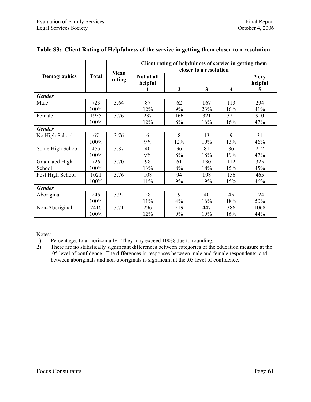|                     |              | Mean   | Client rating of helpfulness of service in getting them<br>closer to a resolution |                  |                         |                         |                             |  |  |  |  |  |  |
|---------------------|--------------|--------|-----------------------------------------------------------------------------------|------------------|-------------------------|-------------------------|-----------------------------|--|--|--|--|--|--|
| <b>Demographics</b> | <b>Total</b> | rating | Not at all<br>helpful                                                             | $\boldsymbol{2}$ | $\overline{\mathbf{3}}$ | $\overline{\mathbf{4}}$ | <b>Very</b><br>helpful<br>5 |  |  |  |  |  |  |
| <b>Gender</b>       |              |        |                                                                                   |                  |                         |                         |                             |  |  |  |  |  |  |
| Male                | 723          | 3.64   | 87                                                                                | 62               | 167                     | 113                     | 294                         |  |  |  |  |  |  |
|                     | 100%         |        | 12%                                                                               | 9%               | 23%                     | 16%                     | 41%                         |  |  |  |  |  |  |
| Female              | 1955         | 3.76   | 237                                                                               | 166              | 321                     | 321                     | 910                         |  |  |  |  |  |  |
|                     | 100%         |        | 12%                                                                               | 8%               | 16%                     | 16%                     | 47%                         |  |  |  |  |  |  |
| <b>Gender</b>       |              |        |                                                                                   |                  |                         |                         |                             |  |  |  |  |  |  |
| No High School      | 67           | 3.76   | 6                                                                                 | 8                | 13                      | 9                       | 31                          |  |  |  |  |  |  |
|                     | 100%         |        | 9%                                                                                | 12%              | 19%                     | 13%                     | 46%                         |  |  |  |  |  |  |
| Some High School    | 455          | 3.87   | 40                                                                                | 36               | 81                      | 86                      | 212                         |  |  |  |  |  |  |
|                     | 100%         |        | 9%                                                                                | 8%               | 18%                     | 19%                     | 47%                         |  |  |  |  |  |  |
| Graduated High      | 726          | 3.70   | 98                                                                                | 61               | 130                     | 112                     | 325                         |  |  |  |  |  |  |
| School              | 100%         |        | 13%                                                                               | 8%               | 18%                     | 15%                     | 45%                         |  |  |  |  |  |  |
| Post High School    | 1021         | 3.76   | 108                                                                               | 94               | 198                     | 156                     | 465                         |  |  |  |  |  |  |
|                     | 100%         |        | 11%                                                                               | 9%               | 19%                     | 15%                     | 46%                         |  |  |  |  |  |  |
| <b>Gender</b>       |              |        |                                                                                   |                  |                         |                         |                             |  |  |  |  |  |  |
| Aboriginal          | 246          | 3.92   | 28                                                                                | 9                | 40                      | 45                      | 124                         |  |  |  |  |  |  |
|                     | 100%         |        | 11%                                                                               | 4%               | 16%                     | 18%                     | 50%                         |  |  |  |  |  |  |
| Non-Aboriginal      | 2416         | 3.71   | 296                                                                               | 219              | 447                     | 386                     | 1068                        |  |  |  |  |  |  |
|                     | 100%         |        | 12%                                                                               | 9%               | 19%                     | 16%                     | 44%                         |  |  |  |  |  |  |

#### **Table S3: Client Rating of Helpfulness of the service in getting them closer to a resolution**

Notes:

1) Percentages total horizontally. They may exceed 100% due to rounding.

2) There are no statistically significant differences between categories of the education measure at the .05 level of confidence. The differences in responses between male and female respondents, and between aboriginals and non-aboriginals is significant at the .05 level of confidence.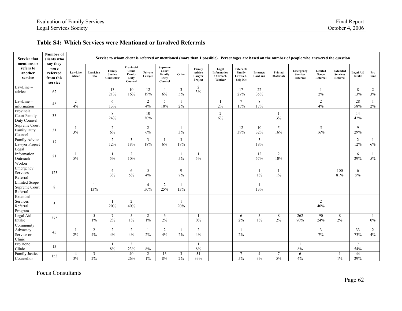#### **Table S4: Which Services were Mentioned or Involved Referrals**

| <b>Service that</b><br>mentions or                | Number of<br>clients who<br>say they     |                      |                      |                                 |                                                  |                       |                                               |                       |                                       | Service to whom client is referred or mentioned (more than 1 possible). Percentages are based on the number of people who answered the question |                                              |                       |                             |                                          |                                     |                                                |                            |                      |
|---------------------------------------------------|------------------------------------------|----------------------|----------------------|---------------------------------|--------------------------------------------------|-----------------------|-----------------------------------------------|-----------------------|---------------------------------------|-------------------------------------------------------------------------------------------------------------------------------------------------|----------------------------------------------|-----------------------|-----------------------------|------------------------------------------|-------------------------------------|------------------------------------------------|----------------------------|----------------------|
| refers to<br>another<br>service                   | were<br>referred<br>from this<br>service | LawLine<br>advice    | LawLine<br>Info      | Family<br>Justice<br>Counsellor | Provincial<br>Court<br>Family<br>Duty<br>Counsel | Private<br>Lawver     | Supreme<br>Court<br>Family<br>Duty<br>Counsel | Other                 | Family<br>Advice<br>Lawver<br>Project | Legal<br>Information<br>Outreach<br>Worker                                                                                                      | Internet:<br>Family<br>Law Self-<br>help Kit | Internet:<br>LawLink  | Printed<br><b>Materials</b> | Emergency<br><b>Services</b><br>Referral | Limited<br><b>Scope</b><br>Referral | <b>Extended</b><br><b>Services</b><br>Referral | <b>Legal Aid</b><br>Intake | Pro<br>Bono          |
| LawLine-<br>advice                                | 62                                       |                      |                      | 13<br>21%                       | 10<br>16%                                        | 12<br>19%             | $\overline{4}$<br>6%                          | 3<br>5%               | $\overline{c}$<br>3%                  |                                                                                                                                                 | 17<br>27%                                    | 22<br>35%             |                             |                                          | $\mathbf{1}$<br>2%                  |                                                | 8<br>13%                   | $\overline{2}$<br>3% |
| LawLine-<br>information                           | 48                                       | $\overline{2}$<br>4% |                      | 6<br>13%                        |                                                  | 2<br>4%               | 5<br>10%                                      | 1<br>2%               |                                       | 1<br>$2\%$                                                                                                                                      | $7\phantom{.0}$<br>15%                       | 8<br>17%              |                             |                                          | 2<br>4%                             |                                                | 28<br>58%                  | 1<br>$2\%$           |
| Provincial<br>Court Family<br>Duty Counsel        | 33                                       |                      |                      | 8<br>24%                        |                                                  | 10<br>30%             |                                               |                       |                                       | $\sqrt{2}$<br>6%                                                                                                                                |                                              |                       | 1<br>3%                     |                                          |                                     |                                                | 14<br>42%                  |                      |
| Supreme Court<br>Family Duty<br>Counsel           | 31                                       | 3%                   |                      | 2<br>6%                         |                                                  | 2<br>6%               |                                               | -1<br>3%              |                                       |                                                                                                                                                 | 12<br>39%                                    | 10<br>32%             | 5<br>16%                    |                                          | 5<br>16%                            |                                                | 9<br>29%                   |                      |
| Family Advice<br>Lawyer Project                   | 17                                       |                      |                      | $\sqrt{2}$<br>12%               | $\mathbf{3}$<br>18%                              | 3<br>18%              | 6%                                            | $\mathfrak{Z}$<br>18% |                                       |                                                                                                                                                 |                                              | $\mathfrak{Z}$<br>18% |                             |                                          |                                     |                                                | 2<br>12%                   | -1<br>$6\%$          |
| Legal<br>Information<br>Outreach<br>Worker        | 21                                       | 5%                   |                      | $\mathbf{1}$<br>5%              | 2<br>10%                                         |                       |                                               | $\mathbf{1}$<br>5%    | 5%                                    |                                                                                                                                                 |                                              | 12<br>57%             | 2<br>10%                    |                                          |                                     |                                                | 6<br>29%                   | -1<br>$5\%$          |
| Emergency<br>Services<br>Referral                 | 123                                      |                      |                      | $\overline{4}$<br>3%            | 6<br>$5\%$                                       | 5<br>4%               |                                               | 9<br>7%               |                                       |                                                                                                                                                 |                                              | 1<br>$1\%$            | 1<br>$1\%$                  |                                          |                                     | 100<br>81%                                     | 6<br>$5\%$                 |                      |
| <b>Limited Scope</b><br>Supreme Court<br>Referral | 8                                        |                      | $\mathbf{1}$<br>13%  |                                 |                                                  | $\overline{4}$<br>50% | 2<br>25%                                      | -1<br>13%             |                                       |                                                                                                                                                 |                                              | -1<br>13%             |                             |                                          |                                     |                                                |                            |                      |
| Extended<br>Services<br>Referral<br>Program       | 5                                        |                      |                      | $\overline{1}$<br>20%           | 2<br>40%                                         |                       |                                               | $\overline{1}$<br>20% |                                       |                                                                                                                                                 |                                              |                       |                             |                                          | 2<br>40%                            |                                                |                            |                      |
| Legal Aid<br>Intake                               | 375                                      |                      | 5<br>$1\%$           | $7\overline{ }$<br>$2\%$        | 5<br>$1\%$                                       | 2<br>$1\%$            | 6<br>2%                                       |                       | $0\%$                                 |                                                                                                                                                 | 6<br>2%                                      | 5<br>$1\%$            | 8<br>2%                     | 262<br>70%                               | $\overline{90}$<br>24%              | 8<br>$2\%$                                     |                            | -1<br>$0\%$          |
| Community<br>Advocacy<br>Service or<br>Clinic     | 45                                       | 2%                   | $\overline{2}$<br>4% | $\sqrt{2}$<br>4%                | $\overline{c}$<br>4%                             | -1<br>$2\%$           | $\overline{2}$<br>4%                          | -1<br>2%              | $\overline{2}$<br>4%                  |                                                                                                                                                 | $\mathbf{1}$<br>2%                           |                       |                             |                                          | $\overline{3}$<br>7%                |                                                | 33<br>73%                  | $\overline{2}$<br>4% |
| Pro Bono<br>Clinic                                | 13                                       |                      |                      | 1<br>$8\%$                      | $\mathbf{3}$<br>23%                              | -1<br>$8\%$           |                                               |                       | -1<br>$8\%$                           |                                                                                                                                                 |                                              |                       |                             | $\mathbf{1}$<br>$8\%$                    |                                     |                                                | $\tau$<br>54%              |                      |
| Family Justice<br>Counsellor                      | 153                                      | 4<br>3%              | 3<br>$2\%$           |                                 | 40<br>26%                                        | 2<br>$1\%$            | 13<br>$8\%$                                   | 3<br>2%               | 51<br>33%                             |                                                                                                                                                 | 7<br>5%                                      | 4<br>3%               | $\tau$<br>5%                | 6<br>4%                                  |                                     | -1<br>$1\%$                                    | 44<br>29%                  |                      |

Focus Consultants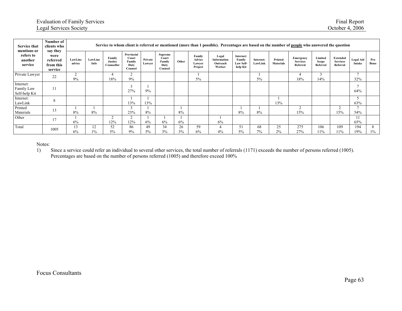| <b>Service that</b><br>mentions or                                          | Number of<br>clients who<br>say they |                 |                                 |                                                  |                       |                                               |          |                                       |                                                   | Service to whom client is referred or mentioned (more than 1 possible). Percentages are based on the number of people who answered the question |                      |                             |                                                 |                              |                                         |                            |             |            |
|-----------------------------------------------------------------------------|--------------------------------------|-----------------|---------------------------------|--------------------------------------------------|-----------------------|-----------------------------------------------|----------|---------------------------------------|---------------------------------------------------|-------------------------------------------------------------------------------------------------------------------------------------------------|----------------------|-----------------------------|-------------------------------------------------|------------------------------|-----------------------------------------|----------------------------|-------------|------------|
| refers to<br>were<br>another<br>referred<br>service<br>from this<br>service | LawLine<br>advice                    | LawLine<br>Info | Family<br>Justice<br>Counsellor | Provincial<br>Court<br>Family<br>Duty<br>Counsel | Private<br>Lawyer     | Supreme<br>Court<br>Family<br>Duty<br>Counsel | Other    | Family<br>Advice<br>Lawyer<br>Project | Legal<br><b>Information</b><br>Outreach<br>Worker | Internet:<br>Family<br>Law Self-<br>help Kit                                                                                                    | Internet:<br>LawLink | Printed<br><b>Materials</b> | <b>Emergency</b><br><b>Services</b><br>Referral | Limited<br>Scope<br>Referral | Extended<br><b>Services</b><br>Referral | <b>Legal Aid</b><br>Intake | Pro<br>Bono |            |
| Private Lawyer                                                              | 22                                   | $\sim$<br>9%    |                                 | 4<br>18%                                         | 2<br>9%               |                                               |          |                                       | $5\%$                                             |                                                                                                                                                 |                      | 5%                          |                                                 | 18%                          | 14%                                     |                            | 32%         |            |
| internet:<br>Family Law<br>Self-help Kit                                    | 11                                   |                 |                                 |                                                  | $\overline{3}$<br>27% | 9%                                            |          |                                       |                                                   |                                                                                                                                                 |                      |                             |                                                 |                              |                                         |                            | 64%         |            |
| Internet:<br>LawLink                                                        | 8                                    |                 |                                 |                                                  | 13%                   | 13%                                           |          |                                       |                                                   |                                                                                                                                                 |                      |                             | 13%                                             |                              |                                         |                            | 63%         |            |
| Printed<br>Materials                                                        | 13                                   | 8%              | 8%                              |                                                  | 3<br>23%              | 8%                                            |          | 8%                                    |                                                   |                                                                                                                                                 | 8%                   | 8%                          |                                                 | $\sim$<br>15%                |                                         | $\sim$<br>15%              | 54%         |            |
| Other                                                                       | 17                                   | 6%              |                                 | $\overline{2}$<br>12%                            | 2<br>12%              | 6%                                            | 6%       | 6%                                    |                                                   | 6%                                                                                                                                              |                      |                             |                                                 |                              |                                         |                            | 65%         |            |
| Total                                                                       | 1005                                 | 13<br>6%        | 12<br>$1\%$                     | 52<br>$5\%$                                      | 86<br>9%              | 49<br>$5\%$                                   | 34<br>3% | 26<br>3%                              | 59<br>6%                                          | 4<br>4%                                                                                                                                         | 51<br>5%             | 68<br>7%                    | 25<br>2%                                        | 275<br>27%                   | 106<br>11%                              | 109<br>11%                 | 194<br>19%  | 8<br>$1\%$ |

Notes:

1) Since a service could refer an individual to several other services, the total number of referrals (1171) exceeds the number of persons referred (1005). Percentages are based on the number of persons referred (1005) and therefore exceed 100%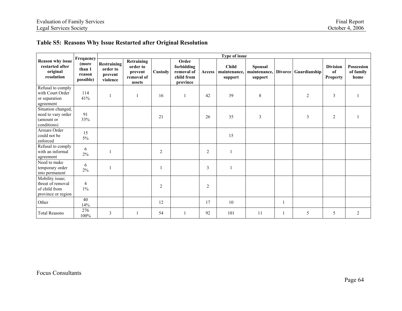## **Table S5: Reasons Why Issue Restarted after Original Resolution**

|                                                                             | Frequency<br>(more<br>than 1<br>reason<br>possible) | <b>Type of issue</b>                                  |                                                                  |                |                                                             |                |                                         |                                           |              |                      |                                   |                                        |  |
|-----------------------------------------------------------------------------|-----------------------------------------------------|-------------------------------------------------------|------------------------------------------------------------------|----------------|-------------------------------------------------------------|----------------|-----------------------------------------|-------------------------------------------|--------------|----------------------|-----------------------------------|----------------------------------------|--|
| <b>Reason why issue</b><br>restarted after<br>original<br>resolution        |                                                     | <b>Restraining</b><br>order to<br>prevent<br>violence | <b>Retraining</b><br>order to<br>prevent<br>removal of<br>assets | Custody        | Order<br>forbidding<br>removal of<br>child from<br>province | Access         | <b>Child</b><br>maintenance,<br>support | <b>Spousal</b><br>maintenance,<br>support |              | Divorce Guardianship | <b>Division</b><br>of<br>Property | <b>Possession</b><br>of family<br>home |  |
| Refusal to comply<br>with Court Order<br>or separation<br>agreement         | 114<br>41%                                          |                                                       |                                                                  | 16             |                                                             | 42             | 39                                      | $\,$ 8 $\,$                               |              | $\overline{2}$       | 3                                 |                                        |  |
| Situation changed,<br>need to vary order<br>(amount or<br>conditions)       | 91<br>33%                                           |                                                       |                                                                  | 21             |                                                             | 26             | 35                                      | 3                                         |              | 3                    | $\overline{2}$                    |                                        |  |
| Arrears Order<br>could not be<br>enforced                                   | 15<br>$5\%$                                         |                                                       |                                                                  |                |                                                             |                | 15                                      |                                           |              |                      |                                   |                                        |  |
| Refusal to comply<br>with an informal<br>agreement                          | 6<br>2%                                             |                                                       |                                                                  | $\overline{2}$ |                                                             | $\overline{2}$ |                                         |                                           |              |                      |                                   |                                        |  |
| Need to make<br>temporary order<br>into permanent                           | 6<br>2%                                             |                                                       |                                                                  |                |                                                             | 3              |                                         |                                           |              |                      |                                   |                                        |  |
| Mobility issue;<br>threat of removal<br>of child from<br>province or region | $\overline{4}$<br>$1\%$                             |                                                       |                                                                  | 2              |                                                             | $\overline{2}$ |                                         |                                           |              |                      |                                   |                                        |  |
| Other                                                                       | 40<br>14%                                           |                                                       |                                                                  | 12             |                                                             | 17             | 10                                      |                                           | $\mathbf{1}$ |                      |                                   |                                        |  |
| <b>Total Reasons</b>                                                        | 276<br>100%                                         | 3                                                     |                                                                  | 54             |                                                             | 92             | 101                                     | 11                                        |              | 5                    | 5                                 | 2                                      |  |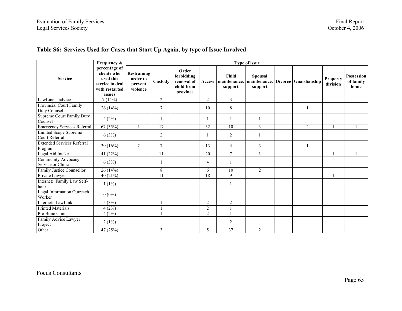## **Table S6: Services Used for Cases that Start Up Again, by type of Issue Involved**

|                                                | Frequency &                                                                              | Type of issue                                         |                |                                                             |                 |                                         |                           |  |                                   |                             |                                        |  |  |
|------------------------------------------------|------------------------------------------------------------------------------------------|-------------------------------------------------------|----------------|-------------------------------------------------------------|-----------------|-----------------------------------------|---------------------------|--|-----------------------------------|-----------------------------|----------------------------------------|--|--|
| <b>Service</b>                                 | percentage of<br>clients who<br>used this<br>service to deal<br>with restarted<br>issues | <b>Restraining</b><br>order to<br>prevent<br>violence | Custody        | Order<br>forbidding<br>removal of<br>child from<br>province | Access          | <b>Child</b><br>maintenance,<br>support | <b>Spousal</b><br>support |  | maintenance, Divorce Guardianship | <b>Property</b><br>division | <b>Possession</b><br>of family<br>home |  |  |
| $LawLine - advice$                             | 7(14%)                                                                                   |                                                       | $\overline{2}$ |                                                             | $\overline{2}$  | $\overline{\mathbf{3}}$                 |                           |  |                                   |                             |                                        |  |  |
| Provincial Court Family<br>Duty Counsel        | 26(14%)                                                                                  |                                                       | $\overline{7}$ |                                                             | 10              | 8                                       |                           |  |                                   |                             |                                        |  |  |
| Supreme Court Family Duty<br>Counsel           | 4(2%)                                                                                    |                                                       | $\mathbf{1}$   |                                                             |                 |                                         |                           |  |                                   |                             |                                        |  |  |
| <b>Emergency Services Referral</b>             | 67(35%)                                                                                  |                                                       | 17             |                                                             | $\overline{32}$ | 10                                      | $\mathfrak{Z}$            |  | $\overline{2}$                    |                             |                                        |  |  |
| <b>Limited Scope Supreme</b><br>Court Referral | 6(3%)                                                                                    |                                                       | 2              |                                                             | -1              | 2                                       |                           |  |                                   |                             |                                        |  |  |
| <b>Extended Services Referral</b><br>Program   | 30(16%)                                                                                  | $\overline{2}$                                        | $\overline{7}$ |                                                             | 13              | $\overline{4}$                          | 3                         |  |                                   |                             |                                        |  |  |
| Legal Aid Intake                               | 41 (22%)                                                                                 |                                                       | 11             |                                                             | 20              | $\tau$                                  | $\mathbf{1}$              |  |                                   |                             | $\mathbf{1}$                           |  |  |
| Community Advocacy<br>Service or Clinic        | 6(3%)                                                                                    |                                                       |                |                                                             | 4               |                                         |                           |  |                                   |                             |                                        |  |  |
| Family Justice Counsellor                      | 26 (14%)                                                                                 |                                                       | $8\,$          |                                                             | 6               | 10                                      | 2                         |  |                                   |                             |                                        |  |  |
| Private Lawyer                                 | 40 (21%)                                                                                 |                                                       | 11             |                                                             | 18              | 9                                       |                           |  |                                   |                             |                                        |  |  |
| Internet: Family Law Self-<br>help             | $1(1\%)$                                                                                 |                                                       |                |                                                             |                 |                                         |                           |  |                                   |                             |                                        |  |  |
| Legal Information Outreach<br>Worker           | $0(0\%)$                                                                                 |                                                       |                |                                                             |                 |                                         |                           |  |                                   |                             |                                        |  |  |
| Internet: LawLink                              | 5(3%)                                                                                    |                                                       |                |                                                             | 2               | $\overline{2}$                          |                           |  |                                   |                             |                                        |  |  |
| <b>Printed Materials</b>                       | 4(2%)                                                                                    |                                                       |                |                                                             | 2               |                                         |                           |  |                                   |                             |                                        |  |  |
| Pro Bono Clinic                                | 4(2%)                                                                                    |                                                       |                |                                                             | 2               |                                         |                           |  |                                   |                             |                                        |  |  |
| Family Advice Lawyer<br>Project                | 2(1%)                                                                                    |                                                       |                |                                                             |                 | $\overline{2}$                          |                           |  |                                   |                             |                                        |  |  |
| Other                                          | 47 (25%)                                                                                 |                                                       | $\mathfrak{Z}$ |                                                             | 5               | 37                                      | $\overline{c}$            |  |                                   |                             |                                        |  |  |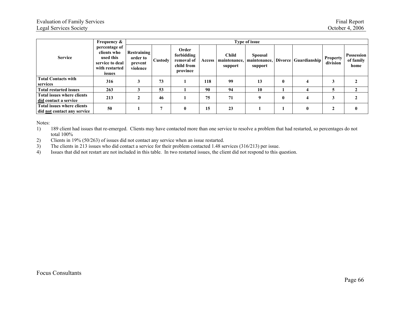|                                                                  | <b>Frequency &amp;</b><br>percentage of<br>clients who<br>used this<br>service to deal<br>with restarted<br>issues | Type of issue                                  |         |                                                             |               |                                         |                           |              |                                   |                      |                                        |  |  |
|------------------------------------------------------------------|--------------------------------------------------------------------------------------------------------------------|------------------------------------------------|---------|-------------------------------------------------------------|---------------|-----------------------------------------|---------------------------|--------------|-----------------------------------|----------------------|----------------------------------------|--|--|
| <b>Service</b>                                                   |                                                                                                                    | Restraining<br>order to<br>prevent<br>violence | Custody | Order<br>forbidding<br>removal of<br>child from<br>province | <b>Access</b> | <b>Child</b><br>maintenance,<br>support | <b>Spousal</b><br>support |              | maintenance, Divorce Guardianship | Property<br>division | <b>Possession</b><br>of family<br>home |  |  |
| <b>Total Contacts with</b><br>services                           | 316                                                                                                                |                                                | 73      |                                                             | 118           | 99                                      | 13                        | $\mathbf{0}$ |                                   |                      |                                        |  |  |
| <b>Total restarted issues</b>                                    | 263                                                                                                                |                                                | 53      |                                                             | 90            | 94                                      | 10                        |              |                                   |                      |                                        |  |  |
| <b>Total issues where clients</b><br>did contact a service       | 213                                                                                                                |                                                | 46      |                                                             | 75            | 71                                      | 9                         | $\mathbf{0}$ |                                   |                      |                                        |  |  |
| <b>Total issues where clients</b><br>did not contact any service | 50                                                                                                                 |                                                | 7       | $\mathbf{0}$                                                | 15            | 23                                      |                           |              |                                   |                      |                                        |  |  |

Notes:

1) 189 client had issues that re-emerged. Clients may have contacted more than one service to resolve a problem that had restarted, so percentages do not total 100%

2) Clients in 19% (50/263) of issues did not contact any service when an issue restarted.<br>3) The clients in 213 issues who did contact a service for their problem contacted 1.48 se

The clients in 213 issues who did contact a service for their problem contacted 1.48 services (316/213) per issue.

4) Issues that did not restart are not included in this table. In two restarted issues, the client did not respond to this question.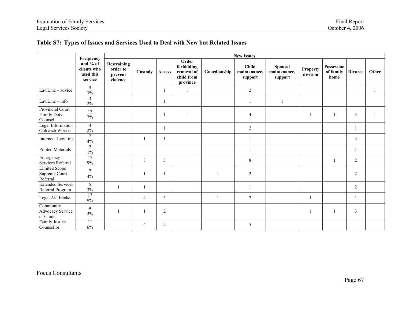|                                                   |                                                              | <b>New Issues</b>                              |                |                |                                                             |                |                                         |                                           |                      |                                 |                |       |  |  |  |
|---------------------------------------------------|--------------------------------------------------------------|------------------------------------------------|----------------|----------------|-------------------------------------------------------------|----------------|-----------------------------------------|-------------------------------------------|----------------------|---------------------------------|----------------|-------|--|--|--|
|                                                   | Frequency<br>and % of<br>clients who<br>used this<br>service | Restraining<br>order to<br>prevent<br>violence | Custody        | Access         | Order<br>forbidding<br>removal of<br>child from<br>province | Guardianship   | <b>Child</b><br>maintenance,<br>support | <b>Spousal</b><br>maintenance.<br>support | Property<br>division | Possession<br>of family<br>home | <b>Divorce</b> | Other |  |  |  |
| LawLine - advice                                  | 5<br>3%                                                      |                                                |                |                | 1                                                           |                | 2                                       |                                           |                      |                                 |                |       |  |  |  |
| $LawLine - info$                                  | $\mathfrak{Z}$<br>$2\%$                                      |                                                |                |                |                                                             |                |                                         | $\mathbf{1}$                              |                      |                                 |                |       |  |  |  |
| Provincial Court<br>Family Duty<br>Counsel        | $12\,$<br>$7\%$                                              |                                                |                |                | 1                                                           |                | $\overline{4}$                          |                                           | $\overline{1}$       |                                 | 3              |       |  |  |  |
| Legal Information<br>Outreach Worker              | $\overline{4}$<br>$2\%$                                      |                                                |                |                |                                                             |                | $\overline{2}$                          |                                           |                      |                                 |                |       |  |  |  |
| Internet: LawLink                                 | $\overline{7}$<br>4%                                         |                                                |                |                |                                                             |                |                                         |                                           |                      |                                 | $\overline{4}$ |       |  |  |  |
| <b>Printed Materials</b>                          | $\overline{2}$<br>$1\%$                                      |                                                |                |                |                                                             |                |                                         |                                           |                      |                                 |                |       |  |  |  |
| Emergency<br>Services Referral                    | $\overline{17}$<br>$9\%$                                     |                                                | $\overline{3}$ | 3              |                                                             |                | 8                                       |                                           |                      |                                 | $\overline{2}$ |       |  |  |  |
| <b>Limited Scope</b><br>Supreme Court<br>Referral | $\overline{7}$<br>4%                                         |                                                |                |                |                                                             | $\overline{1}$ | $\overline{2}$                          |                                           |                      |                                 | 2              |       |  |  |  |
| <b>Extended Services</b><br>Referral Program      | 5<br>3%                                                      |                                                |                |                |                                                             |                |                                         |                                           |                      |                                 | 2              |       |  |  |  |
| Legal Aid Intake                                  | 17<br>$9\%$                                                  |                                                | 4              | $\mathfrak{Z}$ |                                                             | $\overline{1}$ | $7\phantom{.0}$                         |                                           | -1                   |                                 |                |       |  |  |  |
| Community<br>Advocacy Service<br>or Clinic        | 9<br>$5\%$                                                   |                                                |                | $\overline{2}$ |                                                             |                |                                         |                                           | -1                   |                                 | $\mathbf{3}$   |       |  |  |  |
| Family Justice<br>Counsellor                      | 11<br>$6\%$                                                  |                                                | 4              | 2              |                                                             |                | 5                                       |                                           |                      |                                 |                |       |  |  |  |

## **Table S7: Types of Issues and Services Used to Deal with New but Related Issues**

## Focus Consultants